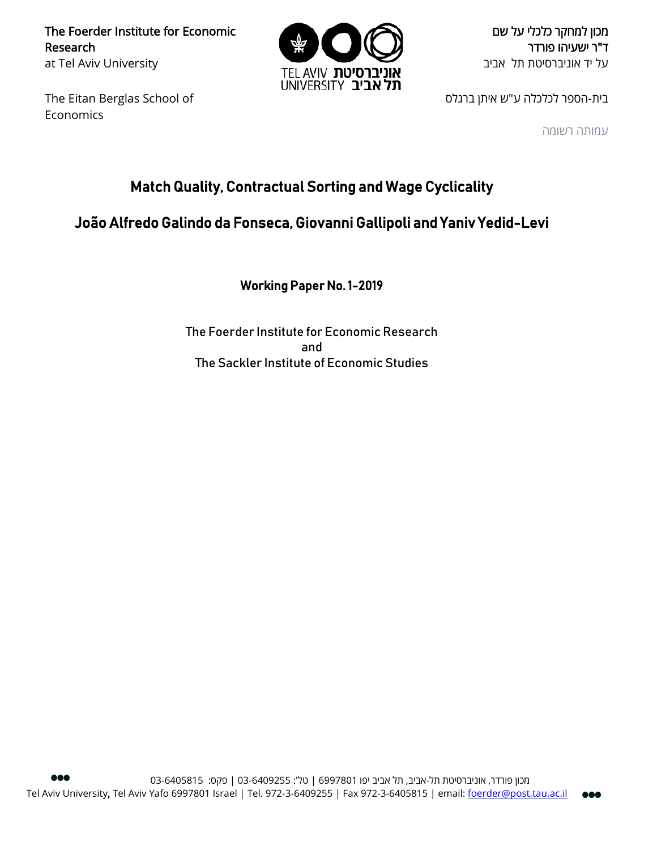The Foerder Institute for Economic Research at Tel Aviv University

The Eitan Berglas School of Economics



מכון למחקר כלכלי על שם ד"ר ישעיהו פורדר על יד אוניברסיטת תל אביב

בית-הספר לכלכלה ע"ש איתן ברגלס

עמותה רשומה

# Match Quality, Contractual Sorting and Wage Cyclicality

# João Alfredo Galindo da Fonseca, Giovanni Gallipoli and Yaniv Yedid-Levi

Working Paper No. 1-2019

The Foerder Institute for Economic Research and The Sackler Institute of Economic Studies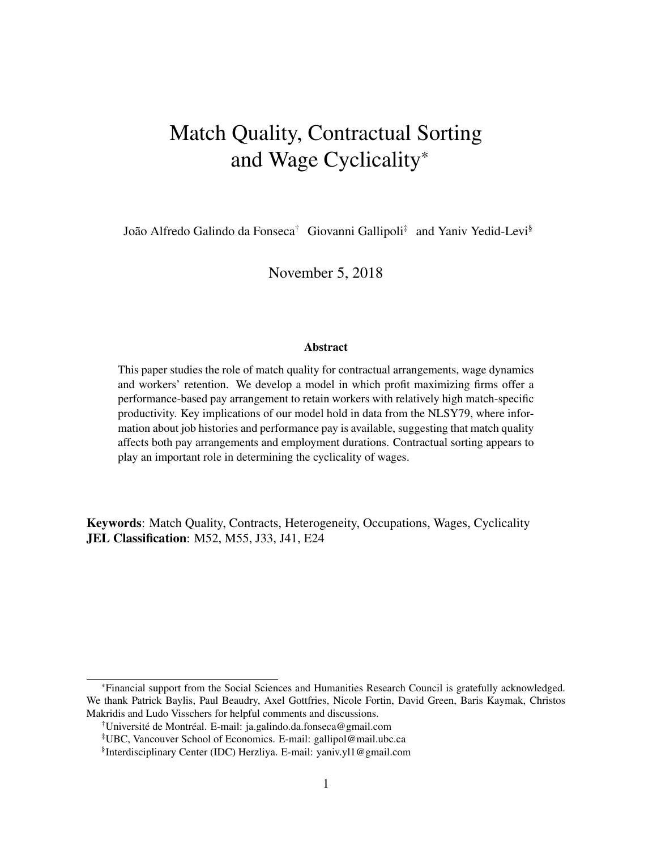# Match Quality, Contractual Sorting and Wage Cyclicality\*

João Alfredo Galindo da Fonseca<sup>†</sup> Giovanni Gallipoli<sup>‡</sup> and Yaniv Yedid-Levi<sup>§</sup>

November 5, 2018

#### **Abstract**

This paper studies the role of match quality for contractual arrangements, wage dynamics and workers' retention. We develop a model in which profit maximizing firms offer a performance-based pay arrangement to retain workers with relatively high match-specific productivity. Key implications of our model hold in data from the NLSY79, where information about job histories and performance pay is available, suggesting that match quality affects both pay arrangements and employment durations. Contractual sorting appears to play an important role in determining the cyclicality of wages.

Keywords: Match Quality, Contracts, Heterogeneity, Occupations, Wages, Cyclicality JEL Classification: M52, M55, J33, J41, E24

<sup>\*</sup>Financial support from the Social Sciences and Humanities Research Council is gratefully acknowledged. We thank Patrick Baylis, Paul Beaudry, Axel Gottfries, Nicole Fortin, David Green, Baris Kaymak, Christos Makridis and Ludo Visschers for helpful comments and discussions.

<sup>†</sup>Université de Montréal. E-mail: ja.galindo.da.fonseca@gmail.com

<sup>‡</sup>UBC, Vancouver School of Economics. E-mail: gallipol@mail.ubc.ca

<sup>§</sup> Interdisciplinary Center (IDC) Herzliya. E-mail: yaniv.yl1@gmail.com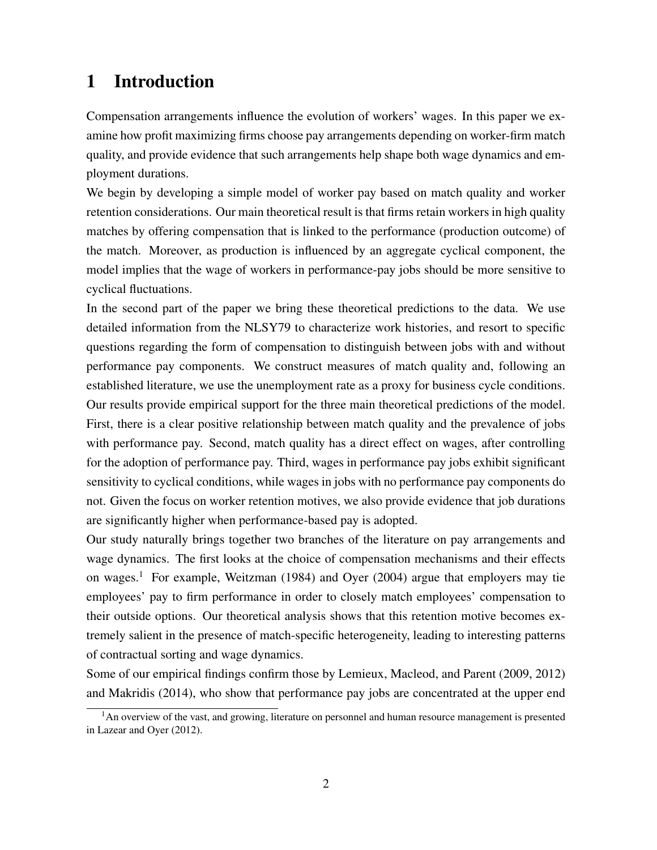# 1 Introduction

Compensation arrangements influence the evolution of workers' wages. In this paper we examine how profit maximizing firms choose pay arrangements depending on worker-firm match quality, and provide evidence that such arrangements help shape both wage dynamics and employment durations.

We begin by developing a simple model of worker pay based on match quality and worker retention considerations. Our main theoretical result is that firms retain workers in high quality matches by offering compensation that is linked to the performance (production outcome) of the match. Moreover, as production is influenced by an aggregate cyclical component, the model implies that the wage of workers in performance-pay jobs should be more sensitive to cyclical fluctuations.

In the second part of the paper we bring these theoretical predictions to the data. We use detailed information from the NLSY79 to characterize work histories, and resort to specific questions regarding the form of compensation to distinguish between jobs with and without performance pay components. We construct measures of match quality and, following an established literature, we use the unemployment rate as a proxy for business cycle conditions. Our results provide empirical support for the three main theoretical predictions of the model. First, there is a clear positive relationship between match quality and the prevalence of jobs with performance pay. Second, match quality has a direct effect on wages, after controlling for the adoption of performance pay. Third, wages in performance pay jobs exhibit significant sensitivity to cyclical conditions, while wages in jobs with no performance pay components do not. Given the focus on worker retention motives, we also provide evidence that job durations are significantly higher when performance-based pay is adopted.

Our study naturally brings together two branches of the literature on pay arrangements and wage dynamics. The first looks at the choice of compensation mechanisms and their effects on wages.<sup>1</sup> For example, Weitzman (1984) and Oyer (2004) argue that employers may tie employees' pay to firm performance in order to closely match employees' compensation to their outside options. Our theoretical analysis shows that this retention motive becomes extremely salient in the presence of match-specific heterogeneity, leading to interesting patterns of contractual sorting and wage dynamics.

Some of our empirical findings confirm those by Lemieux, Macleod, and Parent (2009, 2012) and Makridis (2014), who show that performance pay jobs are concentrated at the upper end

 $<sup>1</sup>$ An overview of the vast, and growing, literature on personnel and human resource management is presented</sup> in Lazear and Oyer (2012).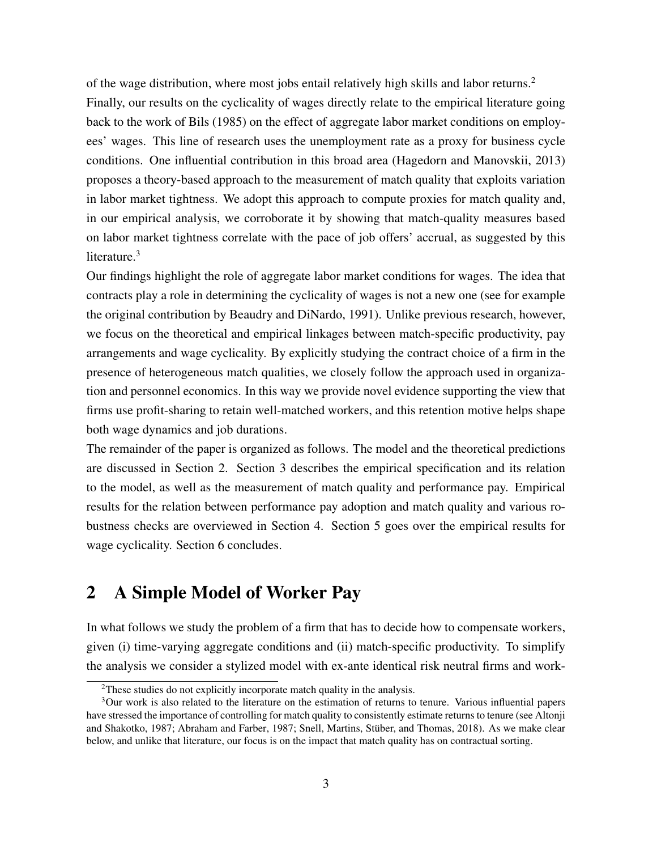of the wage distribution, where most jobs entail relatively high skills and labor returns.<sup>2</sup> Finally, our results on the cyclicality of wages directly relate to the empirical literature going back to the work of Bils (1985) on the effect of aggregate labor market conditions on employees' wages. This line of research uses the unemployment rate as a proxy for business cycle conditions. One influential contribution in this broad area (Hagedorn and Manovskii, 2013) proposes a theory-based approach to the measurement of match quality that exploits variation in labor market tightness. We adopt this approach to compute proxies for match quality and, in our empirical analysis, we corroborate it by showing that match-quality measures based on labor market tightness correlate with the pace of job offers' accrual, as suggested by this literature.<sup>3</sup>

Our findings highlight the role of aggregate labor market conditions for wages. The idea that contracts play a role in determining the cyclicality of wages is not a new one (see for example the original contribution by Beaudry and DiNardo, 1991). Unlike previous research, however, we focus on the theoretical and empirical linkages between match-specific productivity, pay arrangements and wage cyclicality. By explicitly studying the contract choice of a firm in the presence of heterogeneous match qualities, we closely follow the approach used in organization and personnel economics. In this way we provide novel evidence supporting the view that firms use profit-sharing to retain well-matched workers, and this retention motive helps shape both wage dynamics and job durations.

The remainder of the paper is organized as follows. The model and the theoretical predictions are discussed in Section 2. Section 3 describes the empirical specification and its relation to the model, as well as the measurement of match quality and performance pay. Empirical results for the relation between performance pay adoption and match quality and various robustness checks are overviewed in Section 4. Section 5 goes over the empirical results for wage cyclicality. Section 6 concludes.

# 2 A Simple Model of Worker Pay

In what follows we study the problem of a firm that has to decide how to compensate workers, given (i) time-varying aggregate conditions and (ii) match-specific productivity. To simplify the analysis we consider a stylized model with ex-ante identical risk neutral firms and work-

<sup>&</sup>lt;sup>2</sup>These studies do not explicitly incorporate match quality in the analysis.

<sup>3</sup>Our work is also related to the literature on the estimation of returns to tenure. Various influential papers have stressed the importance of controlling for match quality to consistently estimate returns to tenure (see Altonji and Shakotko, 1987; Abraham and Farber, 1987; Snell, Martins, Stüber, and Thomas, 2018). As we make clear below, and unlike that literature, our focus is on the impact that match quality has on contractual sorting.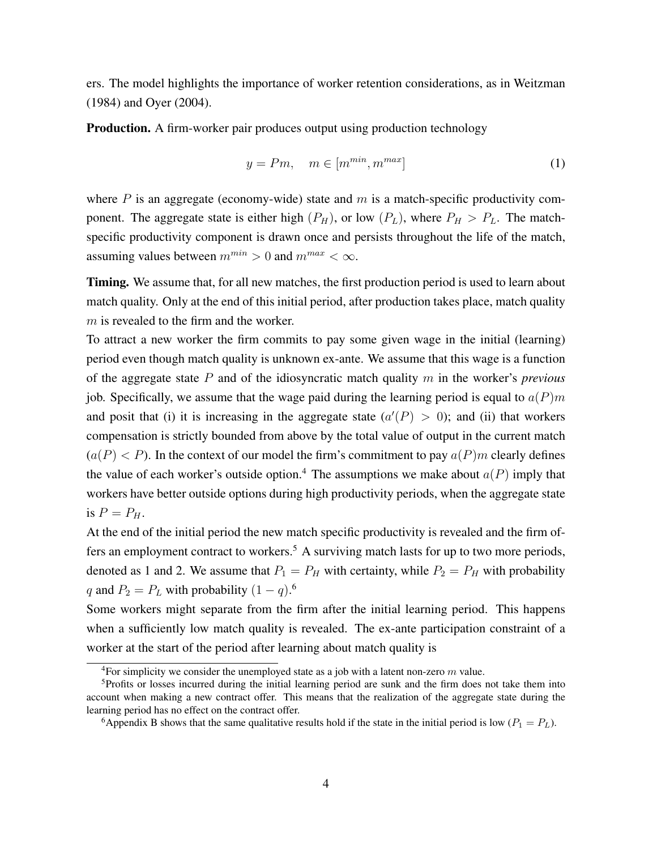ers. The model highlights the importance of worker retention considerations, as in Weitzman (1984) and Oyer (2004).

Production. A firm-worker pair produces output using production technology

$$
y = Pm, \quad m \in [m^{min}, m^{max}]
$$
 (1)

where  $P$  is an aggregate (economy-wide) state and  $m$  is a match-specific productivity component. The aggregate state is either high  $(P_H)$ , or low  $(P_L)$ , where  $P_H > P_L$ . The matchspecific productivity component is drawn once and persists throughout the life of the match, assuming values between  $m^{min} > 0$  and  $m^{max} < \infty$ .

Timing. We assume that, for all new matches, the first production period is used to learn about match quality. Only at the end of this initial period, after production takes place, match quality  $m$  is revealed to the firm and the worker.

To attract a new worker the firm commits to pay some given wage in the initial (learning) period even though match quality is unknown ex-ante. We assume that this wage is a function of the aggregate state P and of the idiosyncratic match quality m in the worker's *previous* job. Specifically, we assume that the wage paid during the learning period is equal to  $a(P)m$ and posit that (i) it is increasing in the aggregate state  $(a'(P) > 0)$ ; and (ii) that workers compensation is strictly bounded from above by the total value of output in the current match  $(a(P) < P)$ . In the context of our model the firm's commitment to pay  $a(P)m$  clearly defines the value of each worker's outside option.<sup>4</sup> The assumptions we make about  $a(P)$  imply that workers have better outside options during high productivity periods, when the aggregate state is  $P = P_H$ .

At the end of the initial period the new match specific productivity is revealed and the firm offers an employment contract to workers.<sup>5</sup> A surviving match lasts for up to two more periods, denoted as 1 and 2. We assume that  $P_1 = P_H$  with certainty, while  $P_2 = P_H$  with probability q and  $P_2 = P_L$  with probability  $(1 - q)^6$ .

Some workers might separate from the firm after the initial learning period. This happens when a sufficiently low match quality is revealed. The ex-ante participation constraint of a worker at the start of the period after learning about match quality is

<sup>6</sup>Appendix B shows that the same qualitative results hold if the state in the initial period is low ( $P_1 = P_L$ ).

<sup>&</sup>lt;sup>4</sup>For simplicity we consider the unemployed state as a job with a latent non-zero  $m$  value.

<sup>5</sup>Profits or losses incurred during the initial learning period are sunk and the firm does not take them into account when making a new contract offer. This means that the realization of the aggregate state during the learning period has no effect on the contract offer.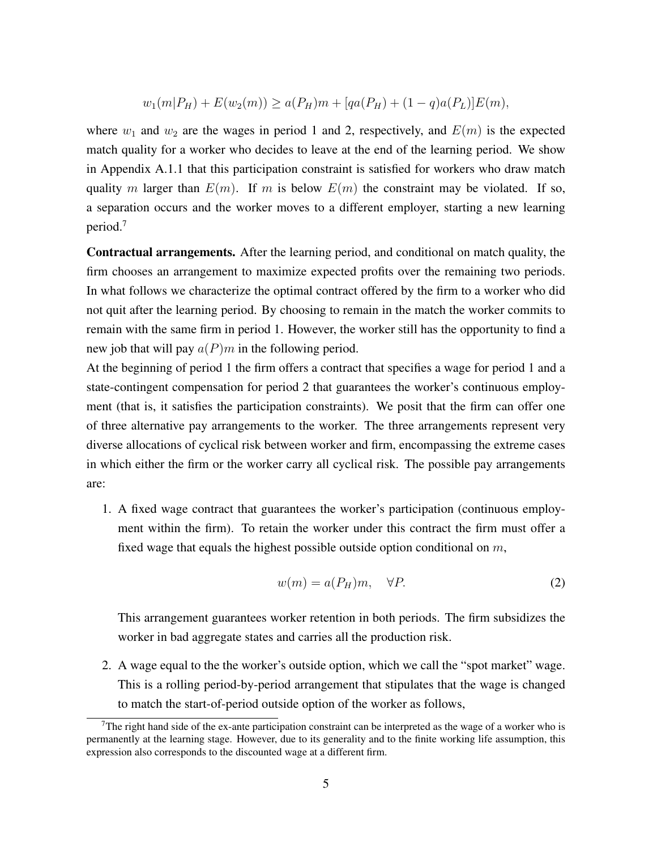$$
w_1(m|P_H) + E(w_2(m)) \ge a(P_H)m + [qa(P_H) + (1-q)a(P_L)]E(m),
$$

where  $w_1$  and  $w_2$  are the wages in period 1 and 2, respectively, and  $E(m)$  is the expected match quality for a worker who decides to leave at the end of the learning period. We show in Appendix A.1.1 that this participation constraint is satisfied for workers who draw match quality m larger than  $E(m)$ . If m is below  $E(m)$  the constraint may be violated. If so, a separation occurs and the worker moves to a different employer, starting a new learning period.<sup>7</sup>

Contractual arrangements. After the learning period, and conditional on match quality, the firm chooses an arrangement to maximize expected profits over the remaining two periods. In what follows we characterize the optimal contract offered by the firm to a worker who did not quit after the learning period. By choosing to remain in the match the worker commits to remain with the same firm in period 1. However, the worker still has the opportunity to find a new job that will pay  $a(P)m$  in the following period.

At the beginning of period 1 the firm offers a contract that specifies a wage for period 1 and a state-contingent compensation for period 2 that guarantees the worker's continuous employment (that is, it satisfies the participation constraints). We posit that the firm can offer one of three alternative pay arrangements to the worker. The three arrangements represent very diverse allocations of cyclical risk between worker and firm, encompassing the extreme cases in which either the firm or the worker carry all cyclical risk. The possible pay arrangements are:

1. A fixed wage contract that guarantees the worker's participation (continuous employment within the firm). To retain the worker under this contract the firm must offer a fixed wage that equals the highest possible outside option conditional on  $m$ ,

$$
w(m) = a(P_H)m, \quad \forall P. \tag{2}
$$

This arrangement guarantees worker retention in both periods. The firm subsidizes the worker in bad aggregate states and carries all the production risk.

2. A wage equal to the the worker's outside option, which we call the "spot market" wage. This is a rolling period-by-period arrangement that stipulates that the wage is changed to match the start-of-period outside option of the worker as follows,

<sup>&</sup>lt;sup>7</sup>The right hand side of the ex-ante participation constraint can be interpreted as the wage of a worker who is permanently at the learning stage. However, due to its generality and to the finite working life assumption, this expression also corresponds to the discounted wage at a different firm.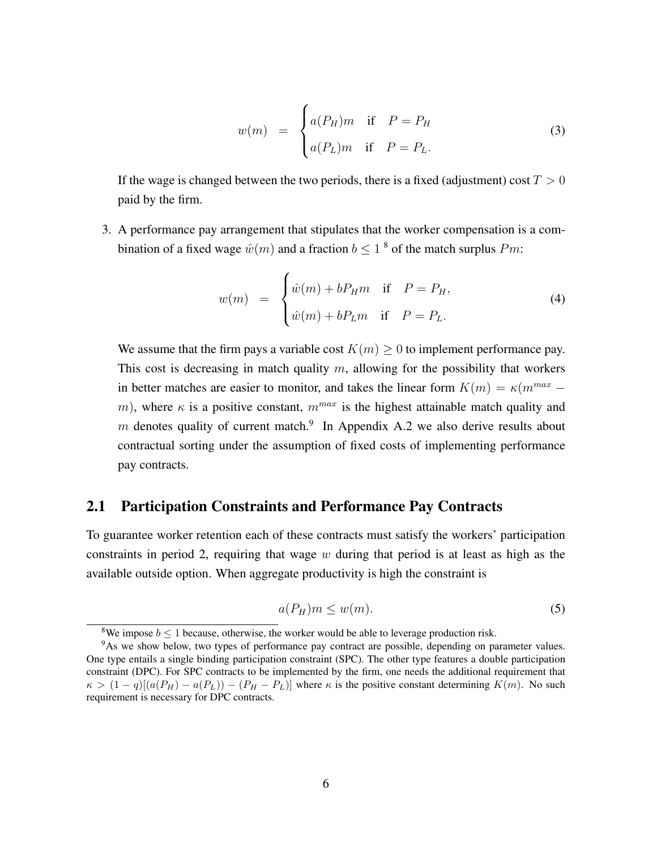$$
w(m) = \begin{cases} a(P_H)m & \text{if } P = P_H \\ a(P_L)m & \text{if } P = P_L. \end{cases}
$$
 (3)

If the wage is changed between the two periods, there is a fixed (adjustment) cost  $T > 0$ paid by the firm.

3. A performance pay arrangement that stipulates that the worker compensation is a combination of a fixed wage  $\hat{w}(m)$  and a fraction  $b \leq 1$  <sup>8</sup> of the match surplus Pm:

$$
w(m) = \begin{cases} \hat{w}(m) + bP_{H}m & \text{if } P = P_{H}, \\ \hat{w}(m) + bP_{L}m & \text{if } P = P_{L}. \end{cases}
$$
 (4)

We assume that the firm pays a variable cost  $K(m) \geq 0$  to implement performance pay. This cost is decreasing in match quality  $m$ , allowing for the possibility that workers in better matches are easier to monitor, and takes the linear form  $K(m) = \kappa(m^{max}$ m), where  $\kappa$  is a positive constant,  $m^{max}$  is the highest attainable match quality and m denotes quality of current match.<sup>9</sup> In Appendix A.2 we also derive results about contractual sorting under the assumption of fixed costs of implementing performance pay contracts.

## 2.1 Participation Constraints and Performance Pay Contracts

To guarantee worker retention each of these contracts must satisfy the workers' participation constraints in period 2, requiring that wage  $w$  during that period is at least as high as the available outside option. When aggregate productivity is high the constraint is

$$
a(P_H)m \le w(m). \tag{5}
$$

<sup>&</sup>lt;sup>8</sup>We impose  $b \le 1$  because, otherwise, the worker would be able to leverage production risk.

<sup>&</sup>lt;sup>9</sup>As we show below, two types of performance pay contract are possible, depending on parameter values. One type entails a single binding participation constraint (SPC). The other type features a double participation constraint (DPC). For SPC contracts to be implemented by the firm, one needs the additional requirement that  $\kappa > (1-q)[(a(P_H) - a(P_L)) - (P_H - P_L)]$  where  $\kappa$  is the positive constant determining  $K(m)$ . No such requirement is necessary for DPC contracts.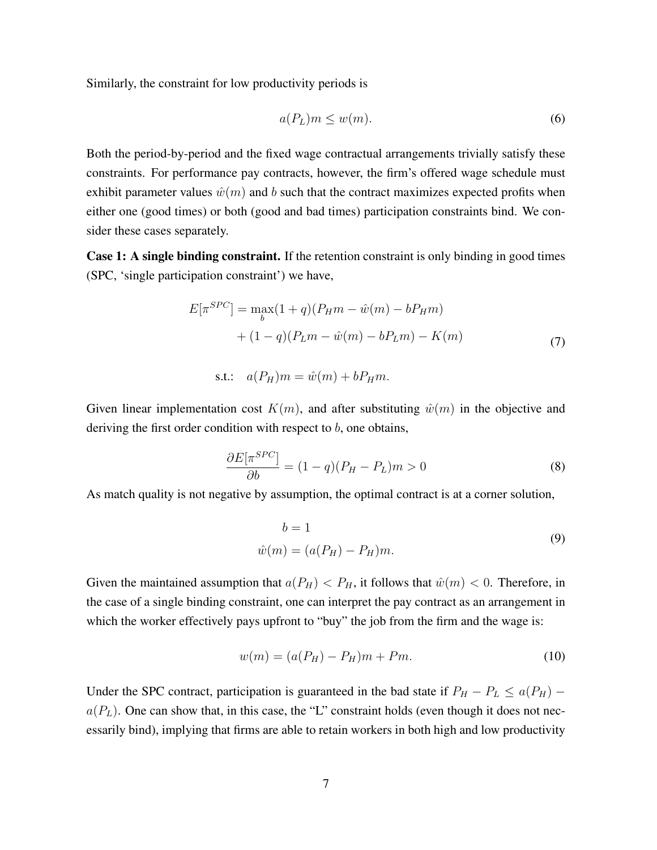Similarly, the constraint for low productivity periods is

$$
a(P_L)m \le w(m). \tag{6}
$$

Both the period-by-period and the fixed wage contractual arrangements trivially satisfy these constraints. For performance pay contracts, however, the firm's offered wage schedule must exhibit parameter values  $\hat{w}(m)$  and b such that the contract maximizes expected profits when either one (good times) or both (good and bad times) participation constraints bind. We consider these cases separately.

Case 1: A single binding constraint. If the retention constraint is only binding in good times (SPC, 'single participation constraint') we have,

$$
E[\pi^{SPC}] = \max_{b} (1+q)(P_{H}m - \hat{w}(m) - bP_{H}m)
$$

$$
+ (1-q)(P_{L}m - \hat{w}(m) - bP_{L}m) - K(m)
$$
(7)

$$
s.t.: \quad a(P_H)m = \hat{w}(m) + bP_Hm.
$$

Given linear implementation cost  $K(m)$ , and after substituting  $\hat{w}(m)$  in the objective and deriving the first order condition with respect to  $b$ , one obtains,

$$
\frac{\partial E[\pi^{SPC}]}{\partial b} = (1 - q)(P_H - P_L)m > 0 \tag{8}
$$

As match quality is not negative by assumption, the optimal contract is at a corner solution,

$$
b = 1
$$
  

$$
\hat{w}(m) = (a(P_H) - P_H)m.
$$
 (9)

Given the maintained assumption that  $a(P_H) < P_H$ , it follows that  $\hat{w}(m) < 0$ . Therefore, in the case of a single binding constraint, one can interpret the pay contract as an arrangement in which the worker effectively pays upfront to "buy" the job from the firm and the wage is:

$$
w(m) = (a(P_H) - P_H)m + Pm.
$$
 (10)

Under the SPC contract, participation is guaranteed in the bad state if  $P_H - P_L \le a(P_H)$  –  $a(P_L)$ . One can show that, in this case, the "L" constraint holds (even though it does not necessarily bind), implying that firms are able to retain workers in both high and low productivity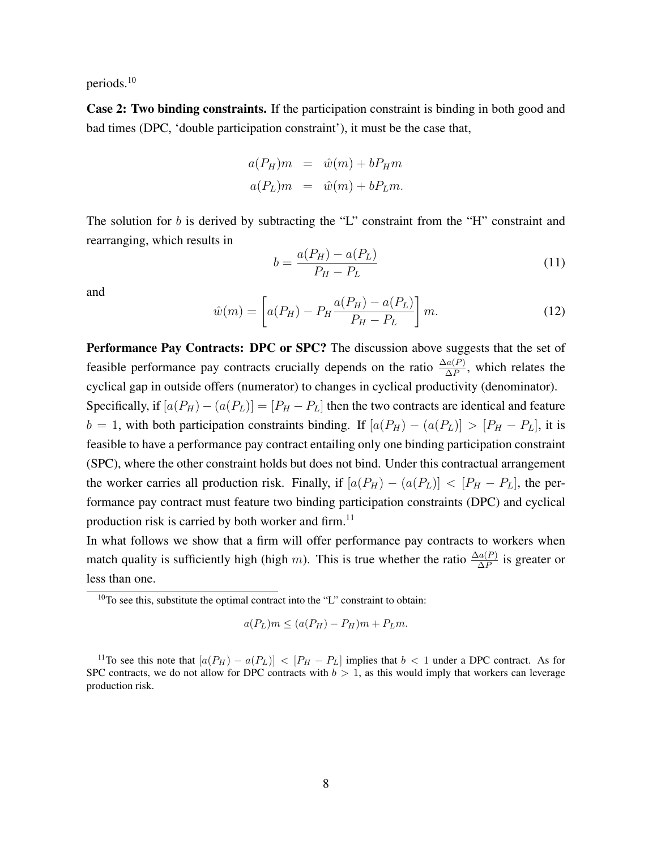periods.<sup>10</sup>

Case 2: Two binding constraints. If the participation constraint is binding in both good and bad times (DPC, 'double participation constraint'), it must be the case that,

$$
a(P_H)m = \hat{w}(m) + bP_Hm
$$
  

$$
a(P_L)m = \hat{w}(m) + bP_Lm.
$$

The solution for  $b$  is derived by subtracting the "L" constraint from the "H" constraint and rearranging, which results in

$$
b = \frac{a(P_H) - a(P_L)}{P_H - P_L} \tag{11}
$$

and

$$
\hat{w}(m) = \left[ a(P_H) - P_H \frac{a(P_H) - a(P_L)}{P_H - P_L} \right] m.
$$
\n(12)

Performance Pay Contracts: DPC or SPC? The discussion above suggests that the set of feasible performance pay contracts crucially depends on the ratio  $\frac{\Delta a(P)}{\Delta P}$ , which relates the cyclical gap in outside offers (numerator) to changes in cyclical productivity (denominator).

Specifically, if  $[a(P_H) - (a(P_L))] = [P_H - P_L]$  then the two contracts are identical and feature  $b = 1$ , with both participation constraints binding. If  $[a(P_H) - (a(P_L))] > [P_H - P_L]$ , it is feasible to have a performance pay contract entailing only one binding participation constraint (SPC), where the other constraint holds but does not bind. Under this contractual arrangement the worker carries all production risk. Finally, if  $[a(P_H) - (a(P_L)] < [P_H - P_L]$ , the performance pay contract must feature two binding participation constraints (DPC) and cyclical production risk is carried by both worker and firm.<sup>11</sup>

In what follows we show that a firm will offer performance pay contracts to workers when match quality is sufficiently high (high m). This is true whether the ratio  $\frac{\Delta a(P)}{\Delta P}$  is greater or less than one.

$$
a(P_L)m \le (a(P_H) - P_H)m + P_Lm.
$$

 $10$ To see this, substitute the optimal contract into the "L" constraint to obtain:

<sup>&</sup>lt;sup>11</sup>To see this note that  $[a(P_H) - a(P_L)] < [P_H - P_L]$  implies that  $b < 1$  under a DPC contract. As for SPC contracts, we do not allow for DPC contracts with  $b > 1$ , as this would imply that workers can leverage production risk.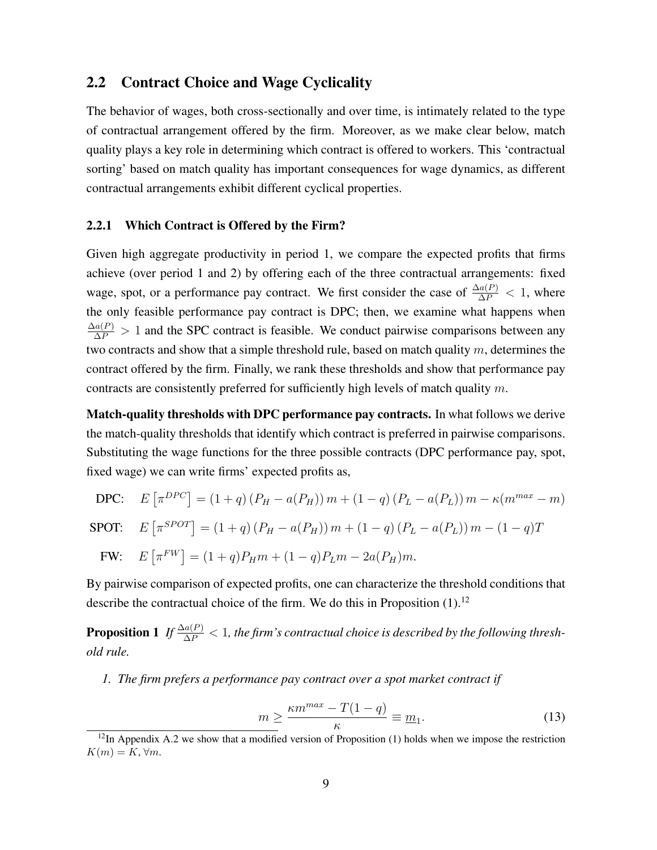#### 2.2 Contract Choice and Wage Cyclicality

The behavior of wages, both cross-sectionally and over time, is intimately related to the type of contractual arrangement offered by the firm. Moreover, as we make clear below, match quality plays a key role in determining which contract is offered to workers. This 'contractual sorting' based on match quality has important consequences for wage dynamics, as different contractual arrangements exhibit different cyclical properties.

#### 2.2.1 Which Contract is Offered by the Firm?

Given high aggregate productivity in period 1, we compare the expected profits that firms achieve (over period 1 and 2) by offering each of the three contractual arrangements: fixed wage, spot, or a performance pay contract. We first consider the case of  $\frac{\Delta a(P)}{\Delta P} < 1$ , where the only feasible performance pay contract is DPC; then, we examine what happens when  $\frac{\Delta a(P)}{\Delta P} > 1$  and the SPC contract is feasible. We conduct pairwise comparisons between any two contracts and show that a simple threshold rule, based on match quality m, determines the contract offered by the firm. Finally, we rank these thresholds and show that performance pay contracts are consistently preferred for sufficiently high levels of match quality m.

Match-quality thresholds with DPC performance pay contracts. In what follows we derive the match-quality thresholds that identify which contract is preferred in pairwise comparisons. Substituting the wage functions for the three possible contracts (DPC performance pay, spot, fixed wage) we can write firms' expected profits as,

DPC: 
$$
E[\pi^{DPC}] = (1+q)(P_H - a(P_H))m + (1-q)(P_L - a(P_L))m - \kappa(m^{max} - m)
$$

$$
\text{SPOT:} \quad E\left[\pi^{SPOT}\right] = (1+q)\left(P_H - a(P_H)\right)m + (1-q)\left(P_L - a(P_L)\right)m - (1-q)T
$$

$$
FW: \quad E\left[\pi^{FW}\right] = (1+q)P_{H}m + (1-q)P_{L}m - 2a(P_{H})m.
$$

By pairwise comparison of expected profits, one can characterize the threshold conditions that describe the contractual choice of the firm. We do this in Proposition  $(1)$ .<sup>12</sup>

**Proposition 1** If  $\frac{\Delta a(P)}{\Delta P} < 1$ , the firm's contractual choice is described by the following thresh*old rule.*

*1. The firm prefers a performance pay contract over a spot market contract if*

$$
m \ge \frac{\kappa m^{max} - T(1 - q)}{\kappa} \equiv \underline{m}_1. \tag{13}
$$

 $12$ In Appendix A.2 we show that a modified version of Proposition (1) holds when we impose the restriction  $K(m) = K, \forall m$ .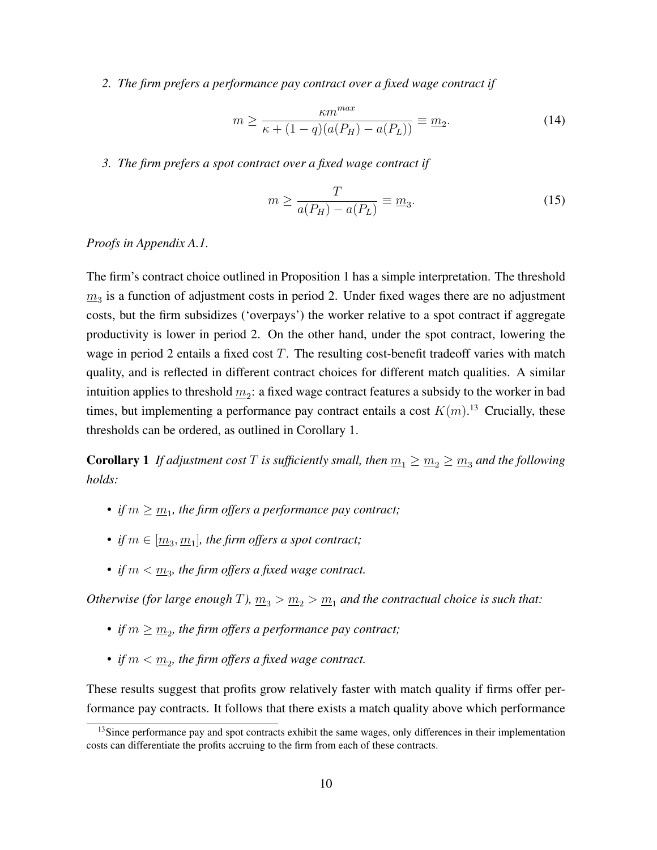*2. The firm prefers a performance pay contract over a fixed wage contract if*

$$
m \ge \frac{\kappa m^{max}}{\kappa + (1 - q)(a(P_H) - a(P_L))} \equiv \underline{m}_2.
$$
 (14)

*3. The firm prefers a spot contract over a fixed wage contract if*

$$
m \ge \frac{T}{a(P_H) - a(P_L)} \equiv \underline{m}_3. \tag{15}
$$

*Proofs in Appendix A.1.*

The firm's contract choice outlined in Proposition 1 has a simple interpretation. The threshold  $m_3$  is a function of adjustment costs in period 2. Under fixed wages there are no adjustment costs, but the firm subsidizes ('overpays') the worker relative to a spot contract if aggregate productivity is lower in period 2. On the other hand, under the spot contract, lowering the wage in period 2 entails a fixed cost  $T$ . The resulting cost-benefit tradeoff varies with match quality, and is reflected in different contract choices for different match qualities. A similar intuition applies to threshold  $\underline{m}_2$ : a fixed wage contract features a subsidy to the worker in bad times, but implementing a performance pay contract entails a cost  $K(m)$ .<sup>13</sup> Crucially, these thresholds can be ordered, as outlined in Corollary 1.

**Corollary 1** *If adjustment cost* T *is sufficiently small, then*  $m_1 \ge m_2 \ge m_3$  *and the following holds:*

- *if*  $m \geq \underline{m}_1$ , the firm offers a performance pay contract;
- *if*  $m \in [\underline{m}_3, \underline{m}_1]$ , the firm offers a spot contract;
- *if*  $m < \underline{m}_3$ , the firm offers a fixed wage contract.

*Otherwise (for large enough* T),  $\underline{m}_3 > \underline{m}_2 > \underline{m}_1$  *and the contractual choice is such that:* 

- *if*  $m \geq \underline{m}_2$ , the firm offers a performance pay contract;
- *if*  $m < \underline{m}_2$ , the firm offers a fixed wage contract.

These results suggest that profits grow relatively faster with match quality if firms offer performance pay contracts. It follows that there exists a match quality above which performance

<sup>&</sup>lt;sup>13</sup>Since performance pay and spot contracts exhibit the same wages, only differences in their implementation costs can differentiate the profits accruing to the firm from each of these contracts.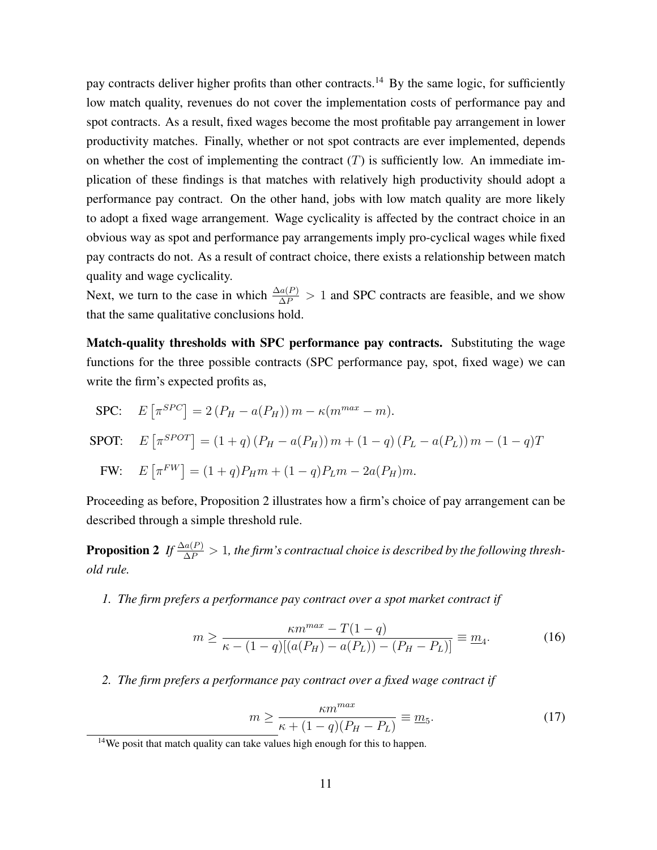pay contracts deliver higher profits than other contracts.<sup>14</sup> By the same logic, for sufficiently low match quality, revenues do not cover the implementation costs of performance pay and spot contracts. As a result, fixed wages become the most profitable pay arrangement in lower productivity matches. Finally, whether or not spot contracts are ever implemented, depends on whether the cost of implementing the contract  $(T)$  is sufficiently low. An immediate implication of these findings is that matches with relatively high productivity should adopt a performance pay contract. On the other hand, jobs with low match quality are more likely to adopt a fixed wage arrangement. Wage cyclicality is affected by the contract choice in an obvious way as spot and performance pay arrangements imply pro-cyclical wages while fixed pay contracts do not. As a result of contract choice, there exists a relationship between match quality and wage cyclicality.

Next, we turn to the case in which  $\frac{\Delta a(P)}{\Delta P} > 1$  and SPC contracts are feasible, and we show that the same qualitative conclusions hold.

Match-quality thresholds with SPC performance pay contracts. Substituting the wage functions for the three possible contracts (SPC performance pay, spot, fixed wage) we can write the firm's expected profits as,

$$
\begin{aligned}\n\text{SPC:} \quad E\left[\pi^{SPC}\right] &= 2\left(P_H - a(P_H)\right)m - \kappa(m^{max} - m).\n\end{aligned}
$$
\n
$$
\text{SPOT:} \quad E\left[\pi^{SPOT}\right] = (1+q)\left(P_H - a(P_H)\right)m + (1-q)\left(P_L - a(P_L)\right)m - (1-q)T
$$
\n
$$
\text{FW:} \quad E\left[\pi^{FW}\right] = (1+q)P_H m + (1-q)P_L m - 2a(P_H)m.
$$

Proceeding as before, Proposition 2 illustrates how a firm's choice of pay arrangement can be described through a simple threshold rule.

**Proposition 2** If  $\frac{\Delta a(P)}{\Delta P} > 1$ , the firm's contractual choice is described by the following thresh*old rule.*

*1. The firm prefers a performance pay contract over a spot market contract if*

$$
m \ge \frac{\kappa m^{max} - T(1 - q)}{\kappa - (1 - q)[(a(P_H) - a(P_L)) - (P_H - P_L)]} \equiv \underline{m}_4.
$$
 (16)

*2. The firm prefers a performance pay contract over a fixed wage contract if*

$$
m \ge \frac{\kappa m^{max}}{\kappa + (1 - q)(P_H - P_L)} \equiv \underline{m}_5.
$$
 (17)

 $14$ We posit that match quality can take values high enough for this to happen.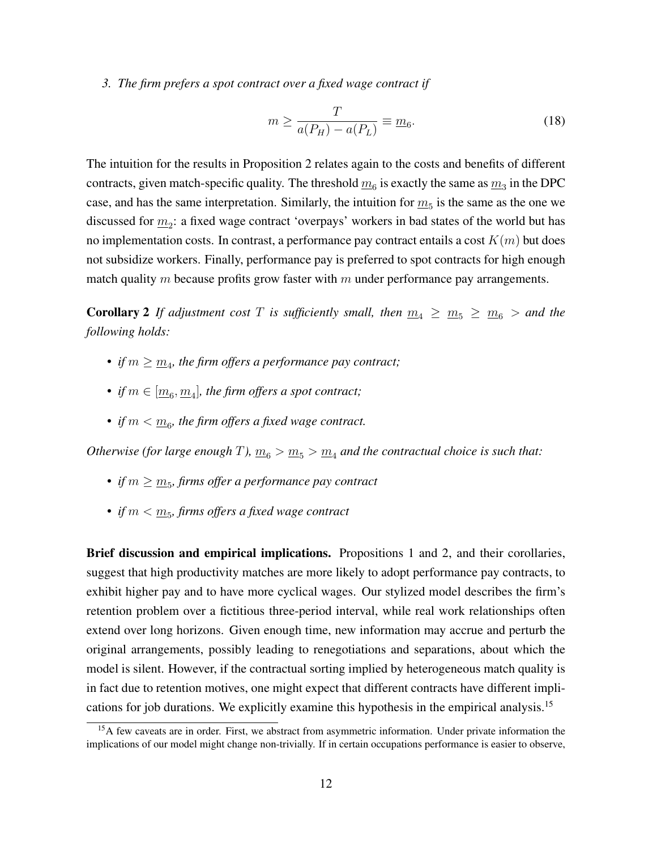*3. The firm prefers a spot contract over a fixed wage contract if*

$$
m \ge \frac{T}{a(P_H) - a(P_L)} \equiv \underline{m}_6. \tag{18}
$$

The intuition for the results in Proposition 2 relates again to the costs and benefits of different contracts, given match-specific quality. The threshold  $\underline{m}_6$  is exactly the same as  $\underline{m}_3$  in the DPC case, and has the same interpretation. Similarly, the intuition for  $m_5$  is the same as the one we discussed for  $\underline{m}_2$ : a fixed wage contract 'overpays' workers in bad states of the world but has no implementation costs. In contrast, a performance pay contract entails a cost  $K(m)$  but does not subsidize workers. Finally, performance pay is preferred to spot contracts for high enough match quality m because profits grow faster with  $m$  under performance pay arrangements.

**Corollary 2** If adjustment cost T is sufficiently small, then  $m_4 \ge m_5 \ge m_6 >$  and the *following holds:*

- *if*  $m \geq \underline{m}_4$ , the firm offers a performance pay contract;
- *if*  $m \in [\underline{m_6}, \underline{m_4}]$ , the firm offers a spot contract;
- *if*  $m < \underline{m}_6$ , the firm offers a fixed wage contract.

*Otherwise (for large enough* T),  $\underline{m}_6 > \underline{m}_5 > \underline{m}_4$  *and the contractual choice is such that:* 

- *• if* m ≥ m<sup>5</sup> *, firms offer a performance pay contract*
- *if*  $m < \underline{m}_5$ *, firms offers a fixed wage contract*

Brief discussion and empirical implications. Propositions 1 and 2, and their corollaries, suggest that high productivity matches are more likely to adopt performance pay contracts, to exhibit higher pay and to have more cyclical wages. Our stylized model describes the firm's retention problem over a fictitious three-period interval, while real work relationships often extend over long horizons. Given enough time, new information may accrue and perturb the original arrangements, possibly leading to renegotiations and separations, about which the model is silent. However, if the contractual sorting implied by heterogeneous match quality is in fact due to retention motives, one might expect that different contracts have different implications for job durations. We explicitly examine this hypothesis in the empirical analysis.<sup>15</sup>

<sup>&</sup>lt;sup>15</sup>A few caveats are in order. First, we abstract from asymmetric information. Under private information the implications of our model might change non-trivially. If in certain occupations performance is easier to observe,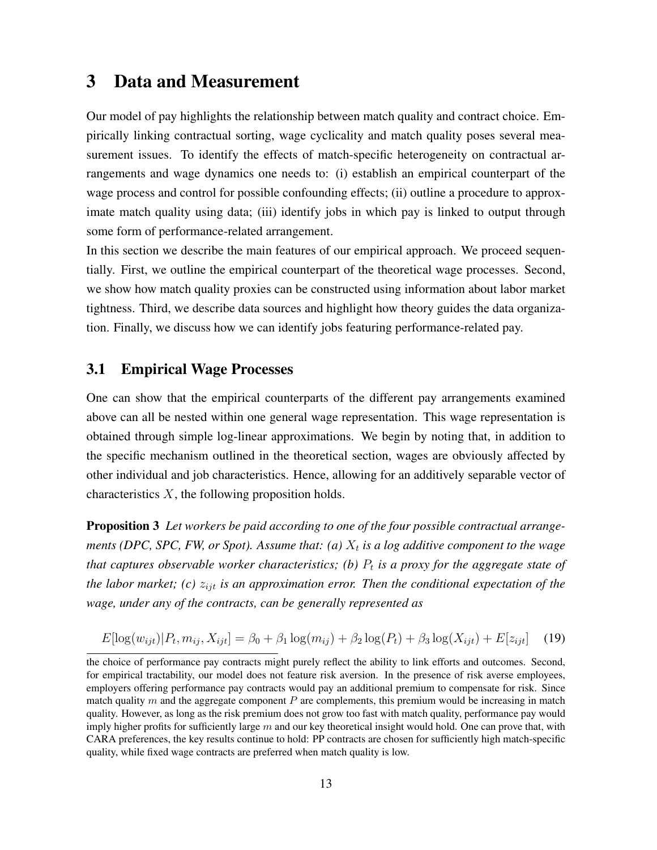## 3 Data and Measurement

Our model of pay highlights the relationship between match quality and contract choice. Empirically linking contractual sorting, wage cyclicality and match quality poses several measurement issues. To identify the effects of match-specific heterogeneity on contractual arrangements and wage dynamics one needs to: (i) establish an empirical counterpart of the wage process and control for possible confounding effects; (ii) outline a procedure to approximate match quality using data; (iii) identify jobs in which pay is linked to output through some form of performance-related arrangement.

In this section we describe the main features of our empirical approach. We proceed sequentially. First, we outline the empirical counterpart of the theoretical wage processes. Second, we show how match quality proxies can be constructed using information about labor market tightness. Third, we describe data sources and highlight how theory guides the data organization. Finally, we discuss how we can identify jobs featuring performance-related pay.

#### 3.1 Empirical Wage Processes

One can show that the empirical counterparts of the different pay arrangements examined above can all be nested within one general wage representation. This wage representation is obtained through simple log-linear approximations. We begin by noting that, in addition to the specific mechanism outlined in the theoretical section, wages are obviously affected by other individual and job characteristics. Hence, allowing for an additively separable vector of characteristics  $X$ , the following proposition holds.

Proposition 3 *Let workers be paid according to one of the four possible contractual arrange*ments (DPC, SPC, FW, or Spot). Assume that: (a)  $X_t$  is a log additive component to the wage *that captures observable worker characteristics; (b)*  $P_t$  *is a proxy for the aggregate state of the labor market; (c)*  $z_{ijt}$  *is an approximation error. Then the conditional expectation of the wage, under any of the contracts, can be generally represented as*

$$
E[\log(w_{ijt})|P_t, m_{ij}, X_{ijt}] = \beta_0 + \beta_1 \log(m_{ij}) + \beta_2 \log(P_t) + \beta_3 \log(X_{ijt}) + E[z_{ijt}] \tag{19}
$$

the choice of performance pay contracts might purely reflect the ability to link efforts and outcomes. Second, for empirical tractability, our model does not feature risk aversion. In the presence of risk averse employees, employers offering performance pay contracts would pay an additional premium to compensate for risk. Since match quality  $m$  and the aggregate component  $P$  are complements, this premium would be increasing in match quality. However, as long as the risk premium does not grow too fast with match quality, performance pay would imply higher profits for sufficiently large  $m$  and our key theoretical insight would hold. One can prove that, with CARA preferences, the key results continue to hold: PP contracts are chosen for sufficiently high match-specific quality, while fixed wage contracts are preferred when match quality is low.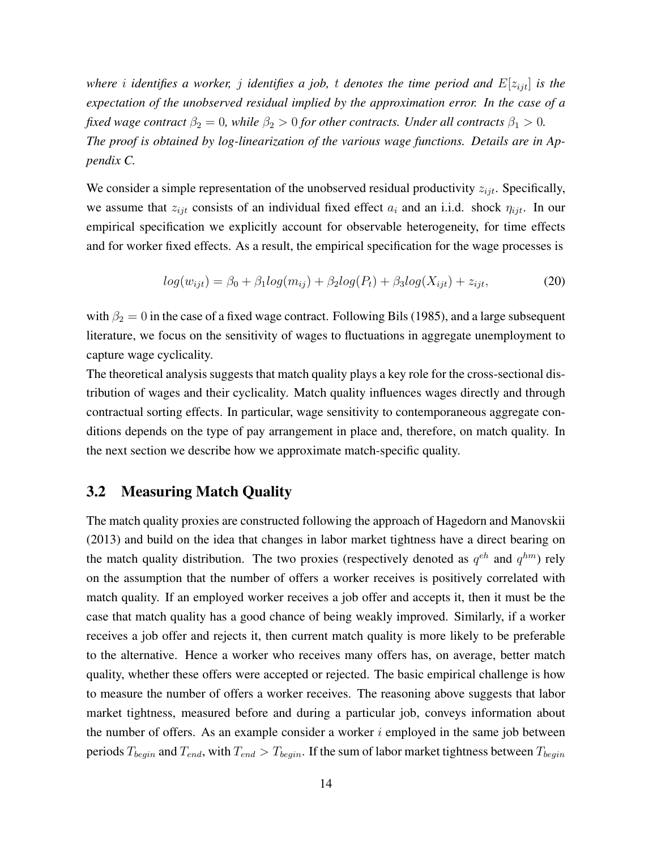*where i identifies* a *worker, j identifies* a *job, t denotes the time* period and  $E[z_{ijt}]$  *is the expectation of the unobserved residual implied by the approximation error. In the case of a fixed wage contract*  $\beta_2 = 0$ *, while*  $\beta_2 > 0$  *for other contracts. Under all contracts*  $\beta_1 > 0$ *. The proof is obtained by log-linearization of the various wage functions. Details are in Appendix C.*

We consider a simple representation of the unobserved residual productivity  $z_{ijt}$ . Specifically, we assume that  $z_{ijt}$  consists of an individual fixed effect  $a_i$  and an i.i.d. shock  $\eta_{ijt}$ . In our empirical specification we explicitly account for observable heterogeneity, for time effects and for worker fixed effects. As a result, the empirical specification for the wage processes is

$$
log(w_{ijt}) = \beta_0 + \beta_1 log(m_{ij}) + \beta_2 log(P_t) + \beta_3 log(X_{ijt}) + z_{ijt},
$$
\n(20)

with  $\beta_2 = 0$  in the case of a fixed wage contract. Following Bils (1985), and a large subsequent literature, we focus on the sensitivity of wages to fluctuations in aggregate unemployment to capture wage cyclicality.

The theoretical analysis suggests that match quality plays a key role for the cross-sectional distribution of wages and their cyclicality. Match quality influences wages directly and through contractual sorting effects. In particular, wage sensitivity to contemporaneous aggregate conditions depends on the type of pay arrangement in place and, therefore, on match quality. In the next section we describe how we approximate match-specific quality.

## 3.2 Measuring Match Quality

The match quality proxies are constructed following the approach of Hagedorn and Manovskii (2013) and build on the idea that changes in labor market tightness have a direct bearing on the match quality distribution. The two proxies (respectively denoted as  $q^{eh}$  and  $q^{hm}$ ) rely on the assumption that the number of offers a worker receives is positively correlated with match quality. If an employed worker receives a job offer and accepts it, then it must be the case that match quality has a good chance of being weakly improved. Similarly, if a worker receives a job offer and rejects it, then current match quality is more likely to be preferable to the alternative. Hence a worker who receives many offers has, on average, better match quality, whether these offers were accepted or rejected. The basic empirical challenge is how to measure the number of offers a worker receives. The reasoning above suggests that labor market tightness, measured before and during a particular job, conveys information about the number of offers. As an example consider a worker  $i$  employed in the same job between periods  $T_{begin}$  and  $T_{end}$ , with  $T_{end} > T_{begin}$ . If the sum of labor market tightness between  $T_{begin}$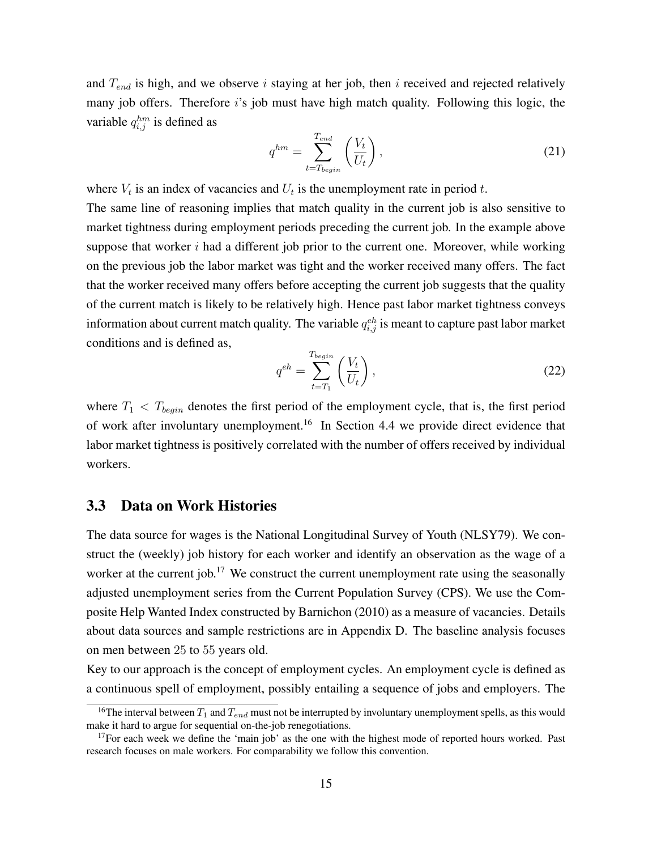and  $T_{end}$  is high, and we observe i staying at her job, then i received and rejected relatively many job offers. Therefore i's job must have high match quality. Following this logic, the variable  $q_{i,j}^{hm}$  is defined as

$$
q^{hm} = \sum_{t=T_{begin}}^{T_{end}} \left(\frac{V_t}{U_t}\right),\tag{21}
$$

where  $V_t$  is an index of vacancies and  $U_t$  is the unemployment rate in period t.

The same line of reasoning implies that match quality in the current job is also sensitive to market tightness during employment periods preceding the current job. In the example above suppose that worker  $i$  had a different job prior to the current one. Moreover, while working on the previous job the labor market was tight and the worker received many offers. The fact that the worker received many offers before accepting the current job suggests that the quality of the current match is likely to be relatively high. Hence past labor market tightness conveys information about current match quality. The variable  $q_{i,j}^{eh}$  is meant to capture past labor market conditions and is defined as,

$$
q^{eh} = \sum_{t=T_1}^{T_{begin}} \left(\frac{V_t}{U_t}\right),\tag{22}
$$

where  $T_1 < T_{begin}$  denotes the first period of the employment cycle, that is, the first period of work after involuntary unemployment.<sup>16</sup> In Section 4.4 we provide direct evidence that labor market tightness is positively correlated with the number of offers received by individual workers.

#### 3.3 Data on Work Histories

The data source for wages is the National Longitudinal Survey of Youth (NLSY79). We construct the (weekly) job history for each worker and identify an observation as the wage of a worker at the current job.<sup>17</sup> We construct the current unemployment rate using the seasonally adjusted unemployment series from the Current Population Survey (CPS). We use the Composite Help Wanted Index constructed by Barnichon (2010) as a measure of vacancies. Details about data sources and sample restrictions are in Appendix D. The baseline analysis focuses on men between 25 to 55 years old.

Key to our approach is the concept of employment cycles. An employment cycle is defined as a continuous spell of employment, possibly entailing a sequence of jobs and employers. The

<sup>&</sup>lt;sup>16</sup>The interval between  $T_1$  and  $T_{end}$  must not be interrupted by involuntary unemployment spells, as this would make it hard to argue for sequential on-the-job renegotiations.

 $17$ For each week we define the 'main job' as the one with the highest mode of reported hours worked. Past research focuses on male workers. For comparability we follow this convention.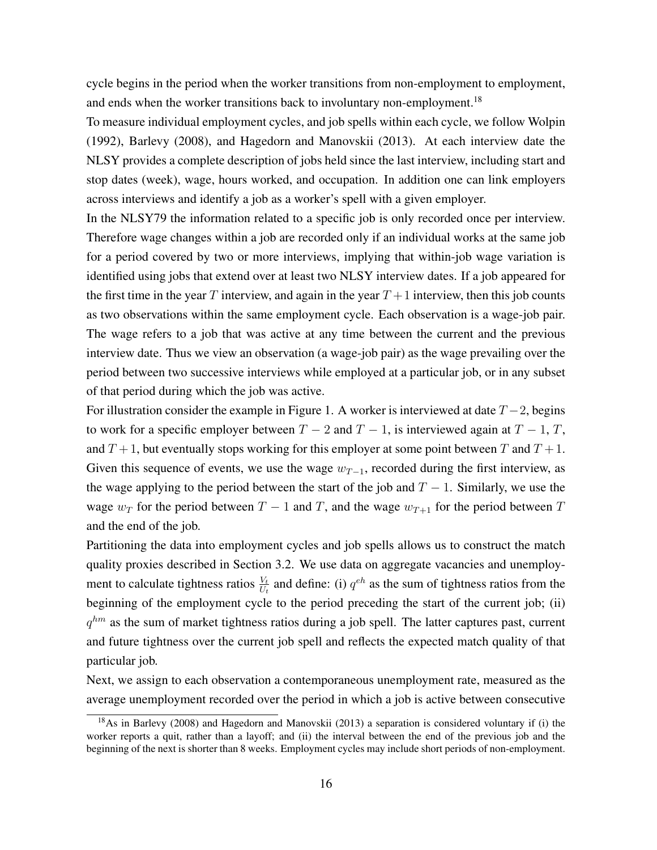cycle begins in the period when the worker transitions from non-employment to employment, and ends when the worker transitions back to involuntary non-employment.<sup>18</sup>

To measure individual employment cycles, and job spells within each cycle, we follow Wolpin (1992), Barlevy (2008), and Hagedorn and Manovskii (2013). At each interview date the NLSY provides a complete description of jobs held since the last interview, including start and stop dates (week), wage, hours worked, and occupation. In addition one can link employers across interviews and identify a job as a worker's spell with a given employer.

In the NLSY79 the information related to a specific job is only recorded once per interview. Therefore wage changes within a job are recorded only if an individual works at the same job for a period covered by two or more interviews, implying that within-job wage variation is identified using jobs that extend over at least two NLSY interview dates. If a job appeared for the first time in the year T interview, and again in the year  $T+1$  interview, then this job counts as two observations within the same employment cycle. Each observation is a wage-job pair. The wage refers to a job that was active at any time between the current and the previous interview date. Thus we view an observation (a wage-job pair) as the wage prevailing over the period between two successive interviews while employed at a particular job, or in any subset of that period during which the job was active.

For illustration consider the example in Figure 1. A worker is interviewed at date  $T - 2$ , begins to work for a specific employer between  $T - 2$  and  $T - 1$ , is interviewed again at  $T - 1$ , T, and  $T + 1$ , but eventually stops working for this employer at some point between T and  $T + 1$ . Given this sequence of events, we use the wage  $w_{T-1}$ , recorded during the first interview, as the wage applying to the period between the start of the job and  $T - 1$ . Similarly, we use the wage  $w_T$  for the period between  $T - 1$  and T, and the wage  $w_{T+1}$  for the period between T and the end of the job.

Partitioning the data into employment cycles and job spells allows us to construct the match quality proxies described in Section 3.2. We use data on aggregate vacancies and unemployment to calculate tightness ratios  $\frac{V_t}{U_t}$  and define: (i)  $q^{eh}$  as the sum of tightness ratios from the beginning of the employment cycle to the period preceding the start of the current job; (ii)  $q^{hm}$  as the sum of market tightness ratios during a job spell. The latter captures past, current and future tightness over the current job spell and reflects the expected match quality of that particular job.

Next, we assign to each observation a contemporaneous unemployment rate, measured as the average unemployment recorded over the period in which a job is active between consecutive

<sup>&</sup>lt;sup>18</sup>As in Barlevy (2008) and Hagedorn and Manovskii (2013) a separation is considered voluntary if (i) the worker reports a quit, rather than a layoff; and (ii) the interval between the end of the previous job and the beginning of the next is shorter than 8 weeks. Employment cycles may include short periods of non-employment.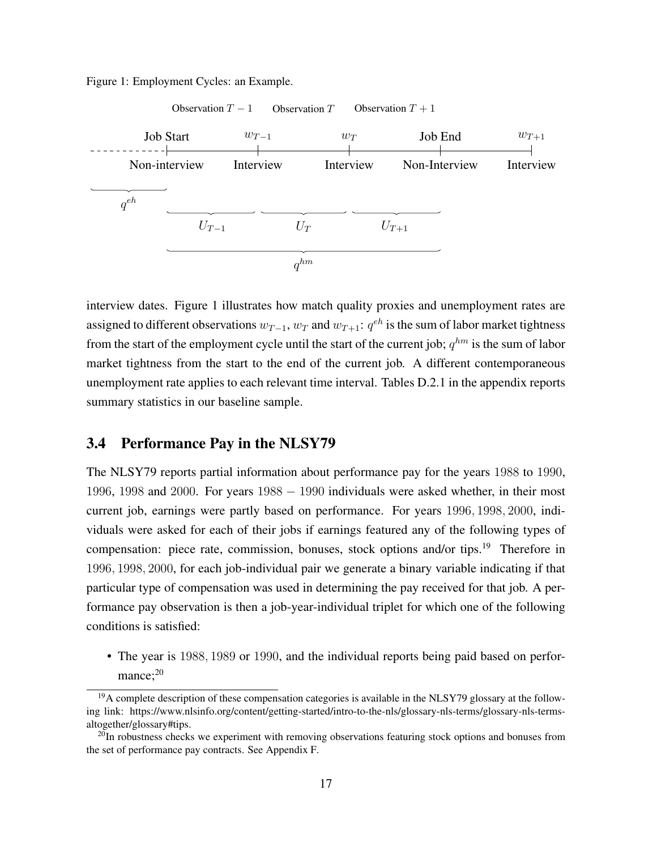



interview dates. Figure 1 illustrates how match quality proxies and unemployment rates are assigned to different observations  $w_{T-1}$ ,  $w_T$  and  $w_{T+1}$ :  $q^{eh}$  is the sum of labor market tightness from the start of the employment cycle until the start of the current job;  $q^{hm}$  is the sum of labor market tightness from the start to the end of the current job. A different contemporaneous unemployment rate applies to each relevant time interval. Tables D.2.1 in the appendix reports summary statistics in our baseline sample.

#### 3.4 Performance Pay in the NLSY79

The NLSY79 reports partial information about performance pay for the years 1988 to 1990, 1996, 1998 and 2000. For years 1988 - 1990 individuals were asked whether, in their most current job, earnings were partly based on performance. For years 1996, 1998, 2000, individuals were asked for each of their jobs if earnings featured any of the following types of compensation: piece rate, commission, bonuses, stock options and/or tips.<sup>19</sup> Therefore in 1996, 1998, 2000, for each job-individual pair we generate a binary variable indicating if that particular type of compensation was used in determining the pay received for that job. A performance pay observation is then a job-year-individual triplet for which one of the following conditions is satisfied:

• The year is 1988, 1989 or 1990, and the individual reports being paid based on perfor $mance: <sup>20</sup>$ 

 $19A$  complete description of these compensation categories is available in the NLSY79 glossary at the following link: https://www.nlsinfo.org/content/getting-started/intro-to-the-nls/glossary-nls-terms/glossary-nls-termsaltogether/glossary#tips.

 $^{20}$ In robustness checks we experiment with removing observations featuring stock options and bonuses from the set of performance pay contracts. See Appendix F.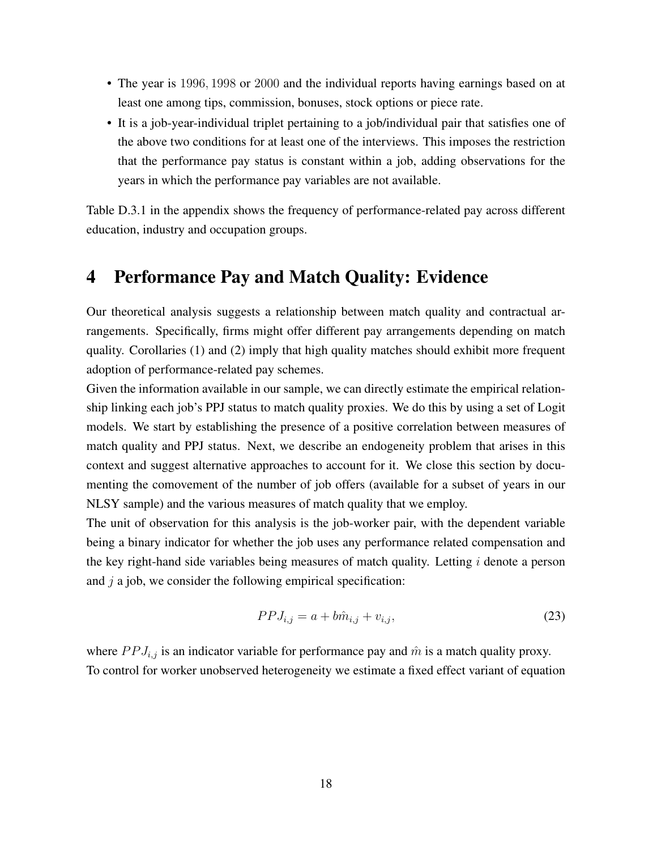- The year is 1996, 1998 or 2000 and the individual reports having earnings based on at least one among tips, commission, bonuses, stock options or piece rate.
- It is a job-year-individual triplet pertaining to a job/individual pair that satisfies one of the above two conditions for at least one of the interviews. This imposes the restriction that the performance pay status is constant within a job, adding observations for the years in which the performance pay variables are not available.

Table D.3.1 in the appendix shows the frequency of performance-related pay across different education, industry and occupation groups.

# 4 Performance Pay and Match Quality: Evidence

Our theoretical analysis suggests a relationship between match quality and contractual arrangements. Specifically, firms might offer different pay arrangements depending on match quality. Corollaries (1) and (2) imply that high quality matches should exhibit more frequent adoption of performance-related pay schemes.

Given the information available in our sample, we can directly estimate the empirical relationship linking each job's PPJ status to match quality proxies. We do this by using a set of Logit models. We start by establishing the presence of a positive correlation between measures of match quality and PPJ status. Next, we describe an endogeneity problem that arises in this context and suggest alternative approaches to account for it. We close this section by documenting the comovement of the number of job offers (available for a subset of years in our NLSY sample) and the various measures of match quality that we employ.

The unit of observation for this analysis is the job-worker pair, with the dependent variable being a binary indicator for whether the job uses any performance related compensation and the key right-hand side variables being measures of match quality. Letting  $i$  denote a person and  $j$  a job, we consider the following empirical specification:

$$
PPJ_{i,j} = a + b\hat{m}_{i,j} + v_{i,j},
$$
\n(23)

where  $PPI_{i,j}$  is an indicator variable for performance pay and  $\hat{m}$  is a match quality proxy. To control for worker unobserved heterogeneity we estimate a fixed effect variant of equation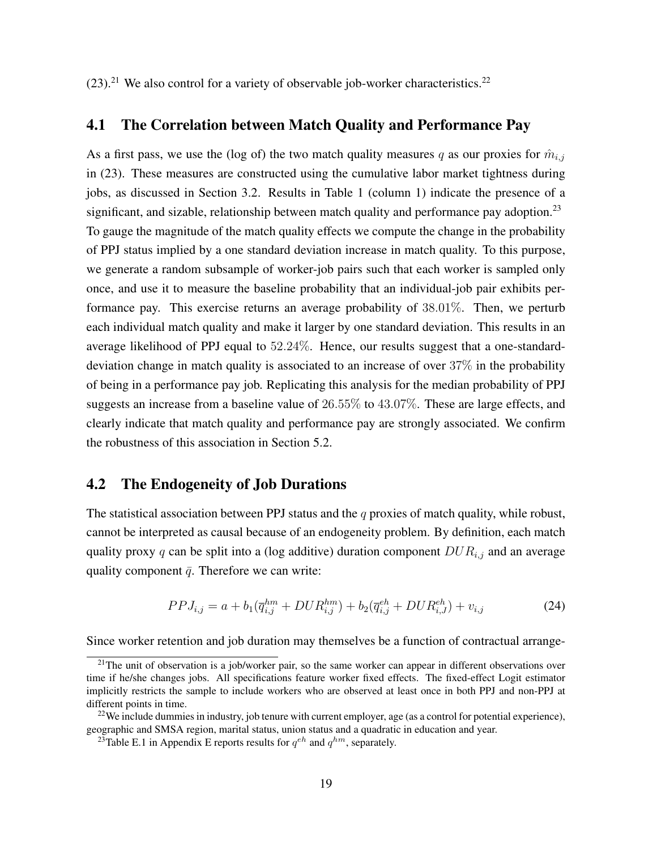$(23).^{21}$  We also control for a variety of observable job-worker characteristics.<sup>22</sup>

## 4.1 The Correlation between Match Quality and Performance Pay

As a first pass, we use the (log of) the two match quality measures q as our proxies for  $\hat{m}_{i,j}$ in (23). These measures are constructed using the cumulative labor market tightness during jobs, as discussed in Section 3.2. Results in Table 1 (column 1) indicate the presence of a significant, and sizable, relationship between match quality and performance pay adoption.<sup>23</sup> To gauge the magnitude of the match quality effects we compute the change in the probability of PPJ status implied by a one standard deviation increase in match quality. To this purpose, we generate a random subsample of worker-job pairs such that each worker is sampled only once, and use it to measure the baseline probability that an individual-job pair exhibits performance pay. This exercise returns an average probability of 38.01%. Then, we perturb each individual match quality and make it larger by one standard deviation. This results in an average likelihood of PPJ equal to 52.24%. Hence, our results suggest that a one-standarddeviation change in match quality is associated to an increase of over 37% in the probability of being in a performance pay job. Replicating this analysis for the median probability of PPJ suggests an increase from a baseline value of 26.55% to 43.07%. These are large effects, and clearly indicate that match quality and performance pay are strongly associated. We confirm the robustness of this association in Section 5.2.

## 4.2 The Endogeneity of Job Durations

The statistical association between PPJ status and the  $q$  proxies of match quality, while robust, cannot be interpreted as causal because of an endogeneity problem. By definition, each match quality proxy q can be split into a (log additive) duration component  $DUR_{i,j}$  and an average quality component  $\bar{q}$ . Therefore we can write:

$$
PPJ_{i,j} = a + b_1(\overline{q}_{i,j}^{hm} + DUR_{i,j}^{hm}) + b_2(\overline{q}_{i,j}^{eh} + DUR_{i,J}^{eh}) + v_{i,j}
$$
(24)

Since worker retention and job duration may themselves be a function of contractual arrange-

<sup>&</sup>lt;sup>21</sup>The unit of observation is a job/worker pair, so the same worker can appear in different observations over time if he/she changes jobs. All specifications feature worker fixed effects. The fixed-effect Logit estimator implicitly restricts the sample to include workers who are observed at least once in both PPJ and non-PPJ at different points in time.

 $22$ We include dummies in industry, job tenure with current employer, age (as a control for potential experience), geographic and SMSA region, marital status, union status and a quadratic in education and year.

<sup>&</sup>lt;sup>23</sup>Table E.1 in Appendix E reports results for  $q^{eh}$  and  $q^{hm}$ , separately.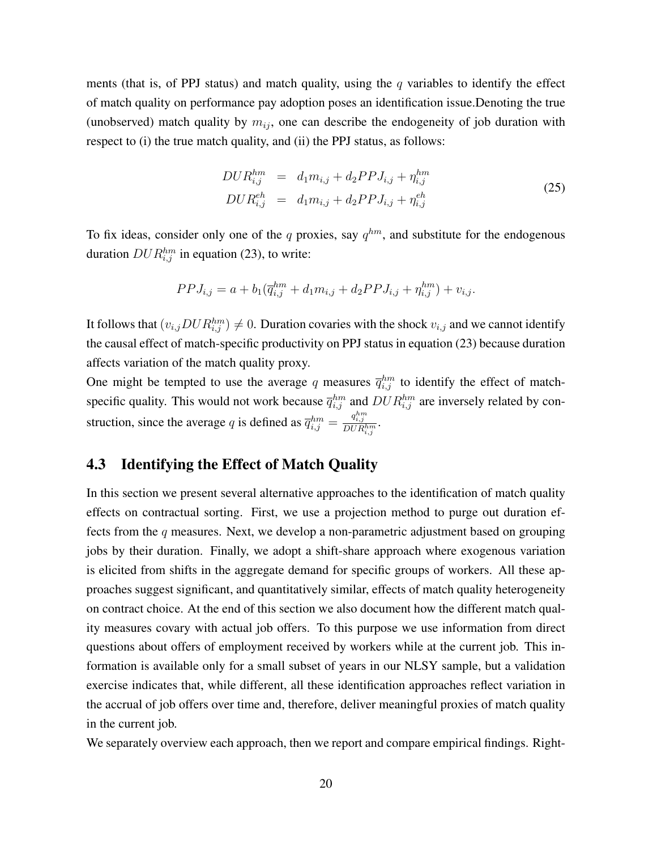ments (that is, of PPJ status) and match quality, using the q variables to identify the effect of match quality on performance pay adoption poses an identification issue.Denoting the true (unobserved) match quality by  $m_{ij}$ , one can describe the endogeneity of job duration with respect to (i) the true match quality, and (ii) the PPJ status, as follows:

$$
DUR_{i,j}^{hm} = d_1m_{i,j} + d_2PPJ_{i,j} + \eta_{i,j}^{hm}
$$
  
\n
$$
DUR_{i,j}^{eh} = d_1m_{i,j} + d_2PPJ_{i,j} + \eta_{i,j}^{eh}
$$
\n(25)

To fix ideas, consider only one of the q proxies, say  $q^{hm}$ , and substitute for the endogenous duration  $DUR_{i,j}^{hm}$  in equation (23), to write:

$$
PPJ_{i,j} = a + b_1(\overline{q}_{i,j}^{hm} + d_1 m_{i,j} + d_2 PPJ_{i,j} + \eta_{i,j}^{hm}) + v_{i,j}.
$$

It follows that  $(v_{i,j} D U R_{i,j}^{hm}) \neq 0$ . Duration covaries with the shock  $v_{i,j}$  and we cannot identify the causal effect of match-specific productivity on PPJ status in equation (23) because duration affects variation of the match quality proxy.

One might be tempted to use the average q measures  $\bar{q}_{i,j}^{hm}$  to identify the effect of matchspecific quality. This would not work because  $\overline{q}_{i,j}^{hm}$  and  $DUR_{i,j}^{hm}$  are inversely related by construction, since the average q is defined as  $\overline{q}_{i,j}^{hm} = \frac{q_{i,j}^{hm}}{DUR_{i,j}^{hm}}$ .

## 4.3 Identifying the Effect of Match Quality

In this section we present several alternative approaches to the identification of match quality effects on contractual sorting. First, we use a projection method to purge out duration effects from the  $q$  measures. Next, we develop a non-parametric adjustment based on grouping jobs by their duration. Finally, we adopt a shift-share approach where exogenous variation is elicited from shifts in the aggregate demand for specific groups of workers. All these approaches suggest significant, and quantitatively similar, effects of match quality heterogeneity on contract choice. At the end of this section we also document how the different match quality measures covary with actual job offers. To this purpose we use information from direct questions about offers of employment received by workers while at the current job. This information is available only for a small subset of years in our NLSY sample, but a validation exercise indicates that, while different, all these identification approaches reflect variation in the accrual of job offers over time and, therefore, deliver meaningful proxies of match quality in the current job.

We separately overview each approach, then we report and compare empirical findings. Right-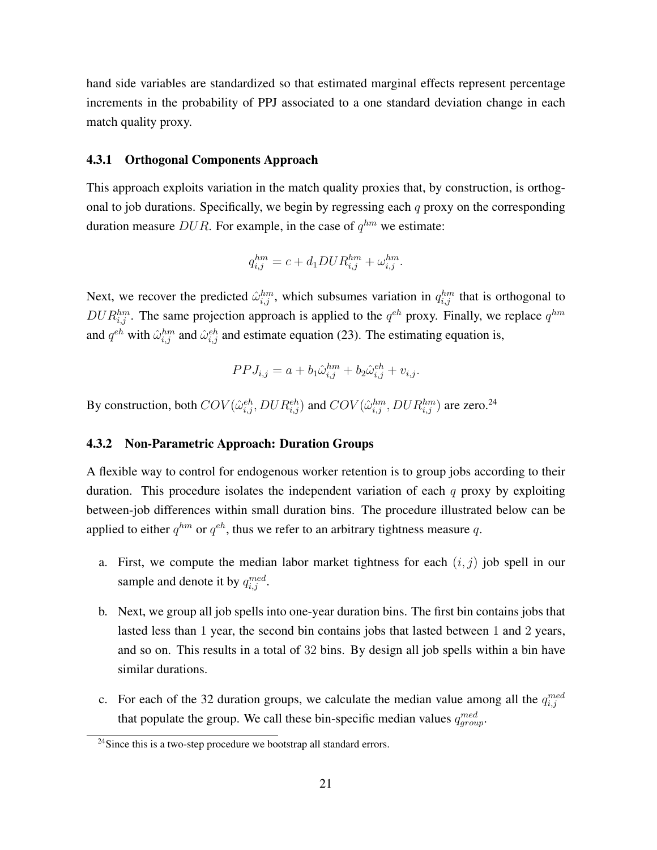hand side variables are standardized so that estimated marginal effects represent percentage increments in the probability of PPJ associated to a one standard deviation change in each match quality proxy.

#### 4.3.1 Orthogonal Components Approach

This approach exploits variation in the match quality proxies that, by construction, is orthogonal to job durations. Specifically, we begin by regressing each  $q$  proxy on the corresponding duration measure DUR. For example, in the case of  $q^{hm}$  we estimate:

$$
q_{i,j}^{hm} = c + d_1 D U R_{i,j}^{hm} + \omega_{i,j}^{hm}.
$$

Next, we recover the predicted  $\hat{\omega}_{i,j}^{hm}$ , which subsumes variation in  $q_{i,j}^{hm}$  that is orthogonal to  $DUR_{i,j}^{hm}$ . The same projection approach is applied to the  $q^{eh}$  proxy. Finally, we replace  $q^{hm}$ and  $q^{eh}$  with  $\hat{\omega}_{i,j}^{hm}$  and  $\hat{\omega}_{i,j}^{eh}$  and estimate equation (23). The estimating equation is,

$$
PPJ_{i,j} = a + b_1 \hat{\omega}_{i,j}^{hm} + b_2 \hat{\omega}_{i,j}^{eh} + v_{i,j}.
$$

By construction, both  $COV(\hat{\omega}_{i,j}^{eh}, DUR_{i,j}^{eh})$  and  $COV(\hat{\omega}_{i,j}^{hm}, DUR_{i,j}^{hm})$  are zero.<sup>24</sup>

#### 4.3.2 Non-Parametric Approach: Duration Groups

A flexible way to control for endogenous worker retention is to group jobs according to their duration. This procedure isolates the independent variation of each  $q$  proxy by exploiting between-job differences within small duration bins. The procedure illustrated below can be applied to either  $q^{hm}$  or  $q^{eh}$ , thus we refer to an arbitrary tightness measure q.

- a. First, we compute the median labor market tightness for each  $(i, j)$  job spell in our sample and denote it by  $q_{i,j}^{med}$ .
- b. Next, we group all job spells into one-year duration bins. The first bin contains jobs that lasted less than 1 year, the second bin contains jobs that lasted between 1 and 2 years, and so on. This results in a total of 32 bins. By design all job spells within a bin have similar durations.
- c. For each of the 32 duration groups, we calculate the median value among all the  $q_{i,j}^{med}$ that populate the group. We call these bin-specific median values  $q_{group}^{med}$ .

 $24$ Since this is a two-step procedure we bootstrap all standard errors.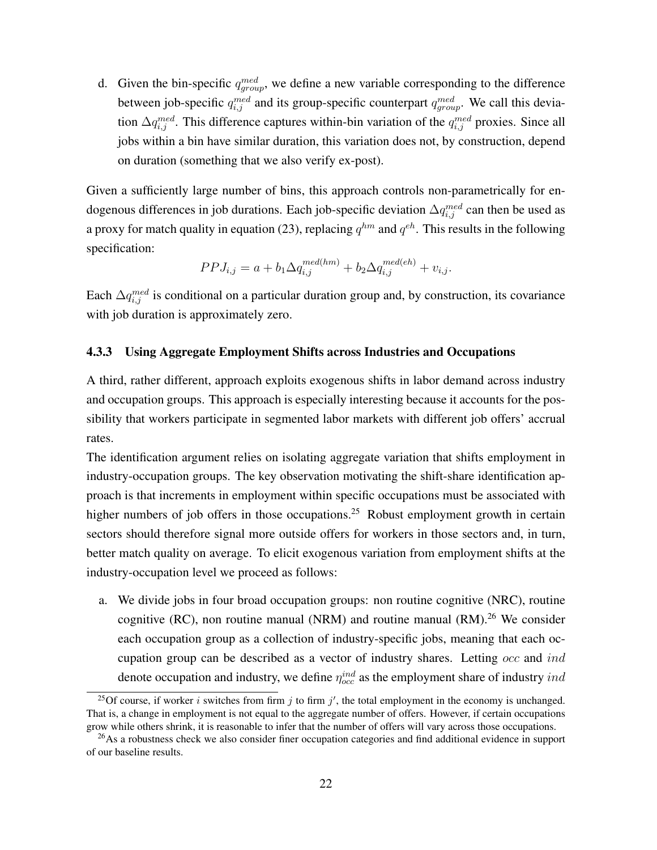d. Given the bin-specific  $q_{group}^{med}$ , we define a new variable corresponding to the difference between job-specific  $q_{i,j}^{med}$  and its group-specific counterpart  $q_{group}^{med}$ . We call this deviation  $\Delta q_{i,j}^{med}$ . This difference captures within-bin variation of the  $q_{i,j}^{med}$  proxies. Since all jobs within a bin have similar duration, this variation does not, by construction, depend on duration (something that we also verify ex-post).

Given a sufficiently large number of bins, this approach controls non-parametrically for endogenous differences in job durations. Each job-specific deviation  $\Delta q_{i,j}^{med}$  can then be used as a proxy for match quality in equation (23), replacing  $q^{hm}$  and  $q^{eh}$ . This results in the following specification:

$$
PPJ_{i,j} = a + b_1 \Delta q_{i,j}^{med(hm)} + b_2 \Delta q_{i,j}^{med(eh)} + v_{i,j}.
$$

Each  $\Delta q_{i,j}^{med}$  is conditional on a particular duration group and, by construction, its covariance with job duration is approximately zero.

#### 4.3.3 Using Aggregate Employment Shifts across Industries and Occupations

A third, rather different, approach exploits exogenous shifts in labor demand across industry and occupation groups. This approach is especially interesting because it accounts for the possibility that workers participate in segmented labor markets with different job offers' accrual rates.

The identification argument relies on isolating aggregate variation that shifts employment in industry-occupation groups. The key observation motivating the shift-share identification approach is that increments in employment within specific occupations must be associated with higher numbers of job offers in those occupations.<sup>25</sup> Robust employment growth in certain sectors should therefore signal more outside offers for workers in those sectors and, in turn, better match quality on average. To elicit exogenous variation from employment shifts at the industry-occupation level we proceed as follows:

a. We divide jobs in four broad occupation groups: non routine cognitive (NRC), routine cognitive (RC), non routine manual (NRM) and routine manual  $(RM)$ <sup>26</sup> We consider each occupation group as a collection of industry-specific jobs, meaning that each occupation group can be described as a vector of industry shares. Letting occ and ind denote occupation and industry, we define  $\eta_{occ}^{ind}$  as the employment share of industry  $ind$ 

<sup>&</sup>lt;sup>25</sup>Of course, if worker i switches from firm j to firm j', the total employment in the economy is unchanged. That is, a change in employment is not equal to the aggregate number of offers. However, if certain occupations grow while others shrink, it is reasonable to infer that the number of offers will vary across those occupations.

 $^{26}$ As a robustness check we also consider finer occupation categories and find additional evidence in support of our baseline results.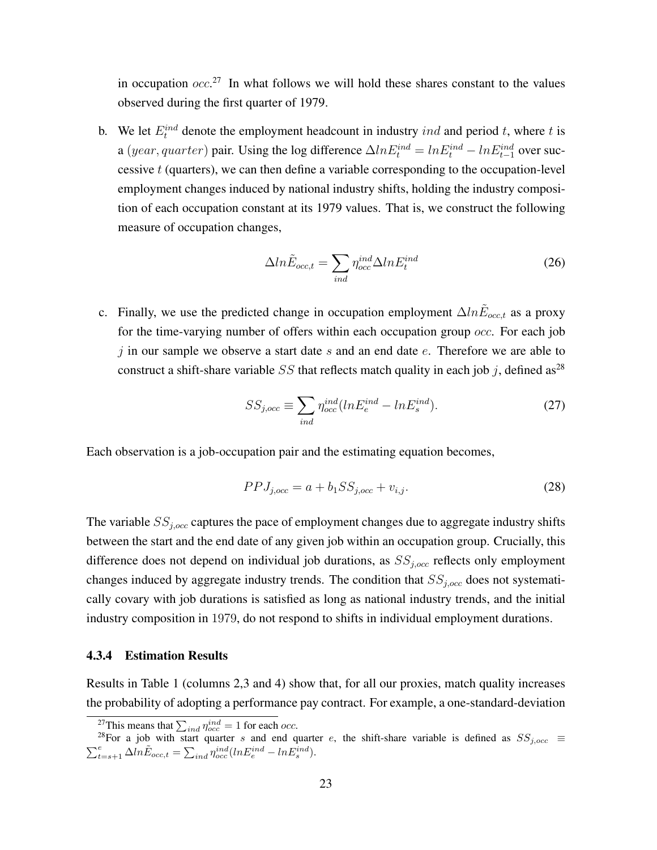in occupation  $occ.^{27}$  In what follows we will hold these shares constant to the values observed during the first quarter of 1979.

b. We let  $E_t^{ind}$  denote the employment headcount in industry *ind* and period t, where t is a (year, quarter) pair. Using the log difference  $\Delta ln E_t^{ind} = ln E_t^{ind} - ln E_{t-1}^{ind}$  over successive  $t$  (quarters), we can then define a variable corresponding to the occupation-level employment changes induced by national industry shifts, holding the industry composition of each occupation constant at its 1979 values. That is, we construct the following measure of occupation changes,

$$
\Delta ln \tilde{E}_{occ,t} = \sum_{ind} \eta_{occ}^{ind} \Delta ln E_t^{ind}
$$
 (26)

c. Finally, we use the predicted change in occupation employment  $\Delta ln \tilde{E}_{occ,t}$  as a proxy for the time-varying number of offers within each occupation group *occ*. For each job j in our sample we observe a start date s and an end date  $e$ . Therefore we are able to construct a shift-share variable SS that reflects match quality in each job j, defined as<sup>28</sup>

$$
SS_{j,occ} \equiv \sum_{ind} \eta_{occ}^{ind} (ln E_e^{ind} - ln E_s^{ind}). \tag{27}
$$

Each observation is a job-occupation pair and the estimating equation becomes,

$$
PPI_{j,occ} = a + b_1 SS_{j,occ} + v_{i,j}.
$$
\n(28)

The variable  $SS_{j,occ}$  captures the pace of employment changes due to aggregate industry shifts between the start and the end date of any given job within an occupation group. Crucially, this difference does not depend on individual job durations, as  $SS<sub>j,occ</sub>$  reflects only employment changes induced by aggregate industry trends. The condition that  $SS<sub>j,occ</sub>$  does not systematically covary with job durations is satisfied as long as national industry trends, and the initial industry composition in 1979, do not respond to shifts in individual employment durations.

#### 4.3.4 Estimation Results

Results in Table 1 (columns 2,3 and 4) show that, for all our proxies, match quality increases the probability of adopting a performance pay contract. For example, a one-standard-deviation

<sup>&</sup>lt;sup>27</sup>This means that  $\sum_{ind} \eta_{occ}^{ind} = 1$  for each *occ*.

<sup>&</sup>lt;sup>28</sup>For a job with start quarter s and end quarter e, the shift-share variable is defined as  $SS_{j,occ}$   $\equiv$  $\sum_{t=s+1}^{e} \Delta ln \tilde{E}_{occ,t} = \sum_{ind} \eta_{occ}^{ind} (ln E_e^{ind} - ln E_s^{ind}).$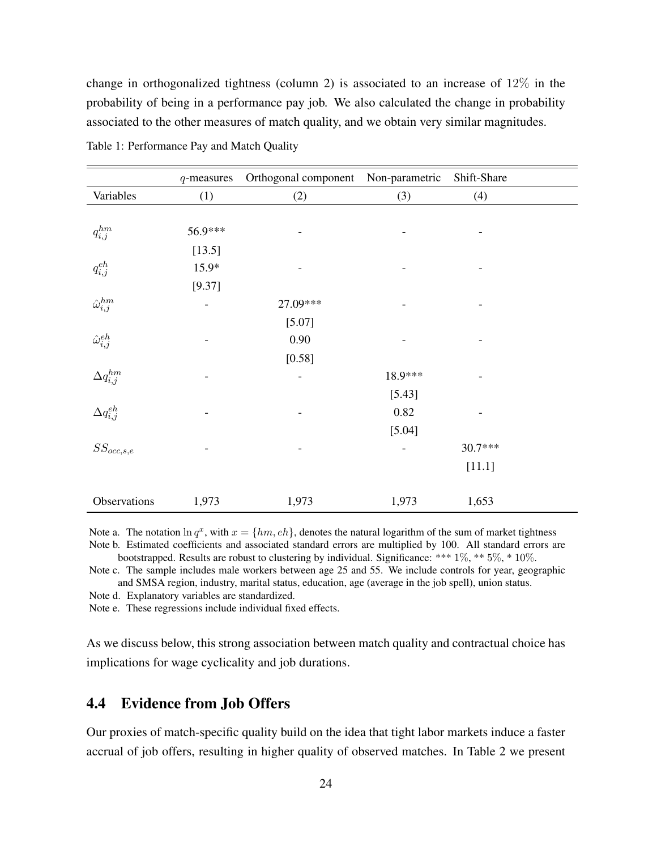change in orthogonalized tightness (column 2) is associated to an increase of 12% in the probability of being in a performance pay job. We also calculated the change in probability associated to the other measures of match quality, and we obtain very similar magnitudes.

|                               | $q$ -measures | Orthogonal component Non-parametric |         | Shift-Share |
|-------------------------------|---------------|-------------------------------------|---------|-------------|
| Variables                     | (1)           | (2)                                 | (3)     | (4)         |
|                               |               |                                     |         |             |
| $q_{i,j}^{hm}$                | 56.9***       |                                     |         |             |
|                               | [13.5]        |                                     |         |             |
| $q_{i,j}^{\operatorname{eh}}$ | 15.9*         |                                     |         |             |
|                               | [9.37]        |                                     |         |             |
| $\hat{\omega}^{hm}_{i,j}$     |               | 27.09***                            |         |             |
|                               |               | [5.07]                              |         |             |
| $\hat{\omega}_{i,j}^{eh}$     |               | 0.90                                |         |             |
|                               |               | [0.58]                              |         |             |
| $\Delta q_{i,j}^{hm}$         |               | $\overline{\phantom{0}}$            | 18.9*** |             |
|                               |               |                                     | [5.43]  |             |
| $\Delta q_{i,j}^{eh}$         |               |                                     | 0.82    |             |
|                               |               |                                     | [5.04]  |             |
| $SS_{occ, s, e}$              |               |                                     |         | 30.7***     |
|                               |               |                                     |         | [11.1]      |
|                               |               |                                     |         |             |
| Observations                  | 1,973         | 1,973                               | 1,973   | 1,653       |

Table 1: Performance Pay and Match Quality

Note a. The notation  $\ln q^x$ , with  $x = \{hm, eh\}$ , denotes the natural logarithm of the sum of market tightness Note b. Estimated coefficients and associated standard errors are multiplied by 100. All standard errors are bootstrapped. Results are robust to clustering by individual. Significance: \*\*\* 1%, \*\* 5%, \* 10%.

Note c. The sample includes male workers between age 25 and 55. We include controls for year, geographic

and SMSA region, industry, marital status, education, age (average in the job spell), union status. Note d. Explanatory variables are standardized.

Note e. These regressions include individual fixed effects.

As we discuss below, this strong association between match quality and contractual choice has implications for wage cyclicality and job durations.

## 4.4 Evidence from Job Offers

Our proxies of match-specific quality build on the idea that tight labor markets induce a faster accrual of job offers, resulting in higher quality of observed matches. In Table 2 we present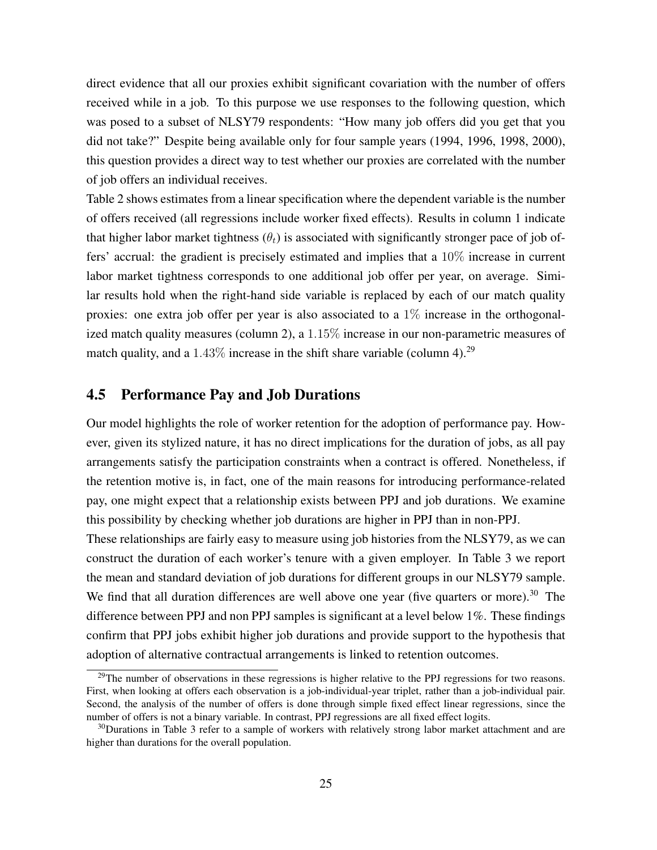direct evidence that all our proxies exhibit significant covariation with the number of offers received while in a job. To this purpose we use responses to the following question, which was posed to a subset of NLSY79 respondents: "How many job offers did you get that you did not take?" Despite being available only for four sample years (1994, 1996, 1998, 2000), this question provides a direct way to test whether our proxies are correlated with the number of job offers an individual receives.

Table 2 shows estimates from a linear specification where the dependent variable is the number of offers received (all regressions include worker fixed effects). Results in column 1 indicate that higher labor market tightness  $(\theta_t)$  is associated with significantly stronger pace of job offers' accrual: the gradient is precisely estimated and implies that a 10% increase in current labor market tightness corresponds to one additional job offer per year, on average. Similar results hold when the right-hand side variable is replaced by each of our match quality proxies: one extra job offer per year is also associated to a  $1\%$  increase in the orthogonalized match quality measures (column 2), a 1.15% increase in our non-parametric measures of match quality, and a  $1.43\%$  increase in the shift share variable (column 4).<sup>29</sup>

## 4.5 Performance Pay and Job Durations

Our model highlights the role of worker retention for the adoption of performance pay. However, given its stylized nature, it has no direct implications for the duration of jobs, as all pay arrangements satisfy the participation constraints when a contract is offered. Nonetheless, if the retention motive is, in fact, one of the main reasons for introducing performance-related pay, one might expect that a relationship exists between PPJ and job durations. We examine this possibility by checking whether job durations are higher in PPJ than in non-PPJ.

These relationships are fairly easy to measure using job histories from the NLSY79, as we can construct the duration of each worker's tenure with a given employer. In Table 3 we report the mean and standard deviation of job durations for different groups in our NLSY79 sample. We find that all duration differences are well above one year (five quarters or more).<sup>30</sup> The difference between PPJ and non PPJ samples is significant at a level below 1%. These findings confirm that PPJ jobs exhibit higher job durations and provide support to the hypothesis that adoption of alternative contractual arrangements is linked to retention outcomes.

 $^{29}$ The number of observations in these regressions is higher relative to the PPJ regressions for two reasons. First, when looking at offers each observation is a job-individual-year triplet, rather than a job-individual pair. Second, the analysis of the number of offers is done through simple fixed effect linear regressions, since the number of offers is not a binary variable. In contrast, PPJ regressions are all fixed effect logits.

<sup>&</sup>lt;sup>30</sup>Durations in Table 3 refer to a sample of workers with relatively strong labor market attachment and are higher than durations for the overall population.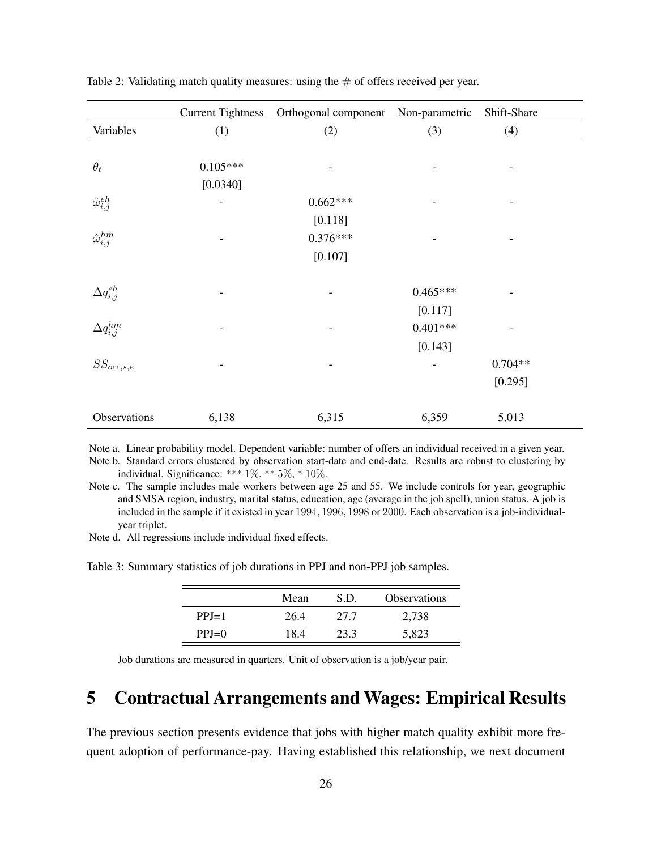|                           | <b>Current Tightness</b> | Orthogonal component Non-parametric |                | Shift-Share |
|---------------------------|--------------------------|-------------------------------------|----------------|-------------|
| Variables                 | (1)                      | (2)                                 | (3)            | (4)         |
|                           |                          |                                     |                |             |
| $\theta_t$                | $0.105***$               |                                     | $\overline{a}$ |             |
|                           | [0.0340]                 |                                     |                |             |
| $\hat{\omega}_{i,j}^{eh}$ | $\overline{\phantom{0}}$ | $0.662***$                          |                |             |
|                           |                          | [0.118]                             |                |             |
| $\hat{\omega}^{hm}_{i,j}$ |                          | $0.376***$                          |                |             |
|                           |                          | [0.107]                             |                |             |
|                           |                          |                                     |                |             |
| $\Delta q_{i,j}^{eh}$     |                          |                                     | $0.465***$     |             |
|                           |                          |                                     | [0.117]        |             |
| $\Delta q_{i,j}^{hm}$     |                          |                                     | $0.401***$     |             |
|                           |                          |                                     | [0.143]        |             |
| $SS_{occ, s, e}$          |                          |                                     |                | $0.704**$   |
|                           |                          |                                     |                | [0.295]     |
| Observations              | 6,138                    | 6,315                               | 6,359          | 5,013       |

Table 2: Validating match quality measures: using the  $#$  of offers received per year.

Note a. Linear probability model. Dependent variable: number of offers an individual received in a given year. Note b. Standard errors clustered by observation start-date and end-date. Results are robust to clustering by individual. Significance: \*\*\* 1%, \*\* 5%, \* 10%.

Note c. The sample includes male workers between age 25 and 55. We include controls for year, geographic and SMSA region, industry, marital status, education, age (average in the job spell), union status. A job is included in the sample if it existed in year 1994, 1996, 1998 or 2000. Each observation is a job-individualyear triplet.

Note d. All regressions include individual fixed effects.

Table 3: Summary statistics of job durations in PPJ and non-PPJ job samples.

|         | Mean | S.D. | <b>Observations</b> |
|---------|------|------|---------------------|
| $PPJ=1$ | 26.4 | 27.7 | 2,738               |
| $PPJ=0$ | 18.4 | 23.3 | 5,823               |

Job durations are measured in quarters. Unit of observation is a job/year pair.

# 5 Contractual Arrangements and Wages: Empirical Results

The previous section presents evidence that jobs with higher match quality exhibit more frequent adoption of performance-pay. Having established this relationship, we next document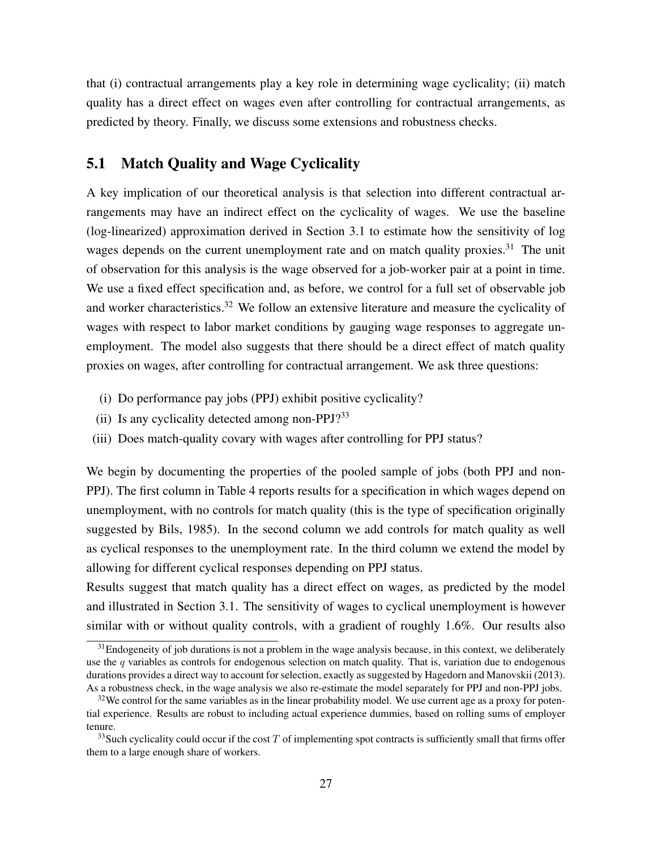that (i) contractual arrangements play a key role in determining wage cyclicality; (ii) match quality has a direct effect on wages even after controlling for contractual arrangements, as predicted by theory. Finally, we discuss some extensions and robustness checks.

## 5.1 Match Quality and Wage Cyclicality

A key implication of our theoretical analysis is that selection into different contractual arrangements may have an indirect effect on the cyclicality of wages. We use the baseline (log-linearized) approximation derived in Section 3.1 to estimate how the sensitivity of log wages depends on the current unemployment rate and on match quality proxies.<sup>31</sup> The unit of observation for this analysis is the wage observed for a job-worker pair at a point in time. We use a fixed effect specification and, as before, we control for a full set of observable job and worker characteristics.<sup>32</sup> We follow an extensive literature and measure the cyclicality of wages with respect to labor market conditions by gauging wage responses to aggregate unemployment. The model also suggests that there should be a direct effect of match quality proxies on wages, after controlling for contractual arrangement. We ask three questions:

- (i) Do performance pay jobs (PPJ) exhibit positive cyclicality?
- (ii) Is any cyclicality detected among non-PPJ?<sup>33</sup>
- (iii) Does match-quality covary with wages after controlling for PPJ status?

We begin by documenting the properties of the pooled sample of jobs (both PPJ and non-PPJ). The first column in Table 4 reports results for a specification in which wages depend on unemployment, with no controls for match quality (this is the type of specification originally suggested by Bils, 1985). In the second column we add controls for match quality as well as cyclical responses to the unemployment rate. In the third column we extend the model by allowing for different cyclical responses depending on PPJ status.

Results suggest that match quality has a direct effect on wages, as predicted by the model and illustrated in Section 3.1. The sensitivity of wages to cyclical unemployment is however similar with or without quality controls, with a gradient of roughly 1.6%. Our results also

 $31$ Endogeneity of job durations is not a problem in the wage analysis because, in this context, we deliberately use the  $q$  variables as controls for endogenous selection on match quality. That is, variation due to endogenous durations provides a direct way to account for selection, exactly as suggested by Hagedorn and Manovskii (2013). As a robustness check, in the wage analysis we also re-estimate the model separately for PPJ and non-PPJ jobs.

 $32$ We control for the same variables as in the linear probability model. We use current age as a proxy for potential experience. Results are robust to including actual experience dummies, based on rolling sums of employer tenure.

 $33$ Such cyclicality could occur if the cost T of implementing spot contracts is sufficiently small that firms offer them to a large enough share of workers.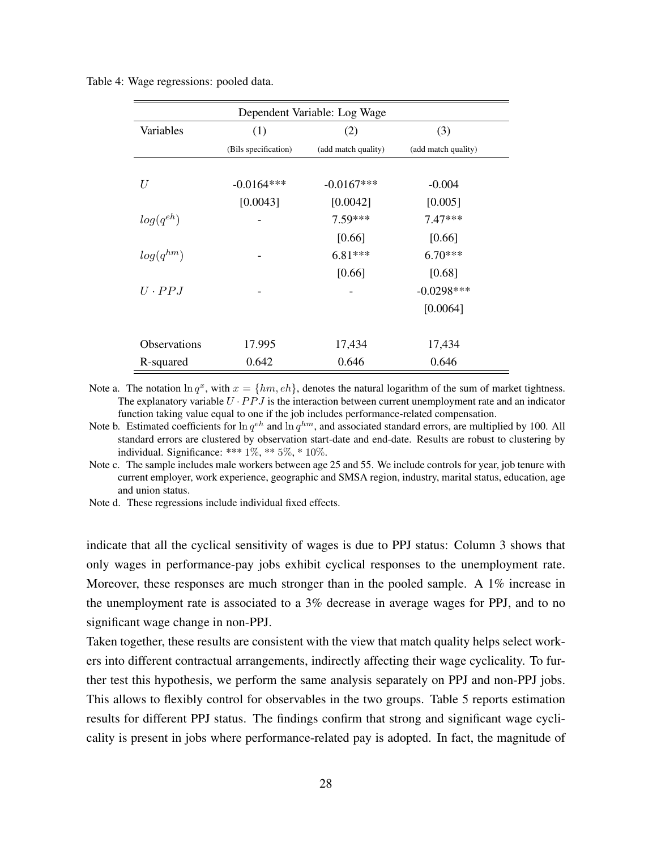| Dependent Variable: Log Wage |                      |                     |                     |  |  |  |
|------------------------------|----------------------|---------------------|---------------------|--|--|--|
| Variables                    | (1)                  | (2)                 | (3)                 |  |  |  |
|                              | (Bils specification) | (add match quality) | (add match quality) |  |  |  |
| U                            | $-0.0164***$         | $-0.0167***$        | $-0.004$            |  |  |  |
|                              | [0.0043]             | [0.0042]            | [0.005]             |  |  |  |
| $log(q^{eh})$                |                      | $7.59***$           | $7.47***$           |  |  |  |
|                              |                      | [0.66]              | [0.66]              |  |  |  |
| $log(q^{hm})$                |                      | $6.81***$           | $6.70***$           |  |  |  |
|                              |                      | [0.66]              | [0.68]              |  |  |  |
| $U \cdot PPJ$                |                      |                     | $-0.0298***$        |  |  |  |
|                              |                      |                     | [0.0064]            |  |  |  |
| <b>Observations</b>          | 17.995               | 17,434              | 17,434              |  |  |  |
| R-squared                    | 0.642                | 0.646               | 0.646               |  |  |  |

Table 4: Wage regressions: pooled data.

Note a. The notation  $\ln q^x$ , with  $x = \{hm, eh\}$ , denotes the natural logarithm of the sum of market tightness. The explanatory variable  $U \cdot PPJ$  is the interaction between current unemployment rate and an indicator function taking value equal to one if the job includes performance-related compensation.

Note b. Estimated coefficients for  $\ln q^{eh}$  and  $\ln q^{hm}$ , and associated standard errors, are multiplied by 100. All standard errors are clustered by observation start-date and end-date. Results are robust to clustering by individual. Significance: \*\*\* 1%, \*\* 5%, \* 10%.

Note c. The sample includes male workers between age 25 and 55. We include controls for year, job tenure with current employer, work experience, geographic and SMSA region, industry, marital status, education, age and union status.

Note d. These regressions include individual fixed effects.

indicate that all the cyclical sensitivity of wages is due to PPJ status: Column 3 shows that only wages in performance-pay jobs exhibit cyclical responses to the unemployment rate. Moreover, these responses are much stronger than in the pooled sample. A 1% increase in the unemployment rate is associated to a 3% decrease in average wages for PPJ, and to no significant wage change in non-PPJ.

Taken together, these results are consistent with the view that match quality helps select workers into different contractual arrangements, indirectly affecting their wage cyclicality. To further test this hypothesis, we perform the same analysis separately on PPJ and non-PPJ jobs. This allows to flexibly control for observables in the two groups. Table 5 reports estimation results for different PPJ status. The findings confirm that strong and significant wage cyclicality is present in jobs where performance-related pay is adopted. In fact, the magnitude of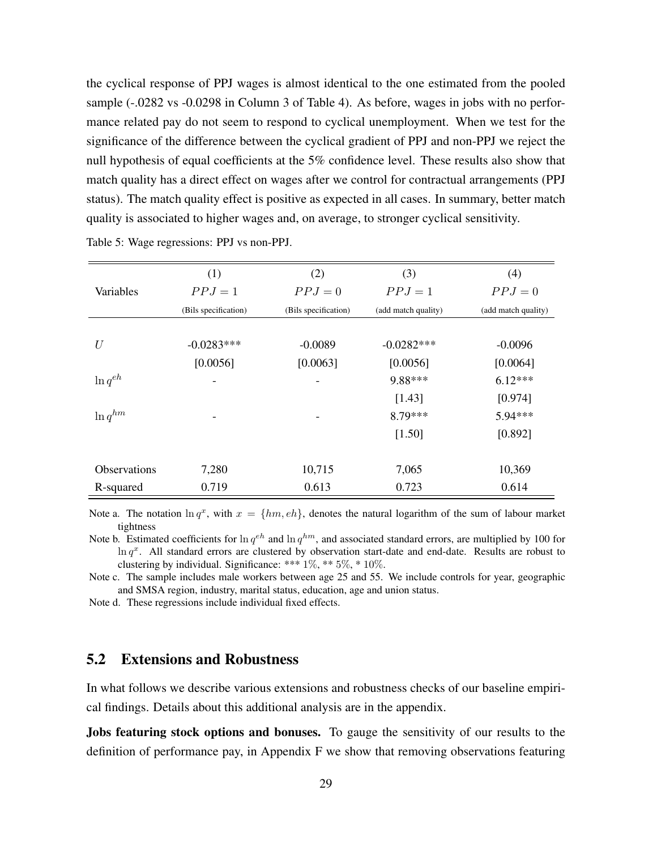the cyclical response of PPJ wages is almost identical to the one estimated from the pooled sample (-.0282 vs -0.0298 in Column 3 of Table 4). As before, wages in jobs with no performance related pay do not seem to respond to cyclical unemployment. When we test for the significance of the difference between the cyclical gradient of PPJ and non-PPJ we reject the null hypothesis of equal coefficients at the 5% confidence level. These results also show that match quality has a direct effect on wages after we control for contractual arrangements (PPJ status). The match quality effect is positive as expected in all cases. In summary, better match quality is associated to higher wages and, on average, to stronger cyclical sensitivity.

|              | (1)                  | (2)                      | (3)                 | (4)                 |
|--------------|----------------------|--------------------------|---------------------|---------------------|
|              |                      |                          |                     |                     |
| Variables    | $PPJ=1$              | $PPJ=0$                  | $PPJ=1$             | $PPJ=0$             |
|              | (Bils specification) | (Bils specification)     | (add match quality) | (add match quality) |
|              |                      |                          |                     |                     |
| U            | $-0.0283***$         | $-0.0089$                | $-0.0282***$        | $-0.0096$           |
|              | [0.0056]             | [0.0063]                 | [0.0056]            | [0.0064]            |
| $\ln q^{eh}$ |                      | $\overline{\phantom{a}}$ | 9.88***             | $6.12***$           |
|              |                      |                          | [1.43]              | [0.974]             |
| $\ln q^{hm}$ | -                    | -                        | $8.79***$           | 5.94***             |
|              |                      |                          | [1.50]              | [0.892]             |
|              |                      |                          |                     |                     |
| Observations | 7,280                | 10,715                   | 7,065               | 10,369              |
| R-squared    | 0.719                | 0.613                    | 0.723               | 0.614               |

Table 5: Wage regressions: PPJ vs non-PPJ.

Note a. The notation  $\ln q^x$ , with  $x = \{hm, eh\}$ , denotes the natural logarithm of the sum of labour market tightness

Note b. Estimated coefficients for  $\ln q^{eh}$  and  $\ln q^{hm}$ , and associated standard errors, are multiplied by 100 for  $\ln q^x$ . All standard errors are clustered by observation start-date and end-date. Results are robust to clustering by individual. Significance: \*\*\* 1%, \*\* 5%, \* 10%.

Note c. The sample includes male workers between age 25 and 55. We include controls for year, geographic and SMSA region, industry, marital status, education, age and union status.

Note d. These regressions include individual fixed effects.

#### 5.2 Extensions and Robustness

In what follows we describe various extensions and robustness checks of our baseline empirical findings. Details about this additional analysis are in the appendix.

Jobs featuring stock options and bonuses. To gauge the sensitivity of our results to the definition of performance pay, in Appendix F we show that removing observations featuring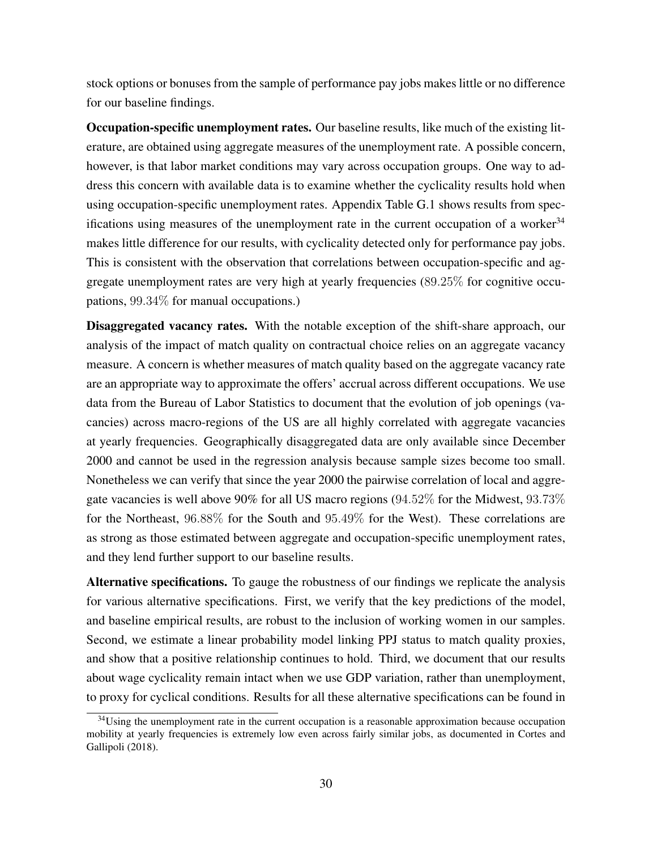stock options or bonuses from the sample of performance pay jobs makes little or no difference for our baseline findings.

Occupation-specific unemployment rates. Our baseline results, like much of the existing literature, are obtained using aggregate measures of the unemployment rate. A possible concern, however, is that labor market conditions may vary across occupation groups. One way to address this concern with available data is to examine whether the cyclicality results hold when using occupation-specific unemployment rates. Appendix Table G.1 shows results from specifications using measures of the unemployment rate in the current occupation of a worker  $34$ makes little difference for our results, with cyclicality detected only for performance pay jobs. This is consistent with the observation that correlations between occupation-specific and aggregate unemployment rates are very high at yearly frequencies (89.25% for cognitive occupations, 99.34% for manual occupations.)

Disaggregated vacancy rates. With the notable exception of the shift-share approach, our analysis of the impact of match quality on contractual choice relies on an aggregate vacancy measure. A concern is whether measures of match quality based on the aggregate vacancy rate are an appropriate way to approximate the offers' accrual across different occupations. We use data from the Bureau of Labor Statistics to document that the evolution of job openings (vacancies) across macro-regions of the US are all highly correlated with aggregate vacancies at yearly frequencies. Geographically disaggregated data are only available since December 2000 and cannot be used in the regression analysis because sample sizes become too small. Nonetheless we can verify that since the year 2000 the pairwise correlation of local and aggregate vacancies is well above 90% for all US macro regions (94.52% for the Midwest, 93.73% for the Northeast, 96.88% for the South and 95.49% for the West). These correlations are as strong as those estimated between aggregate and occupation-specific unemployment rates, and they lend further support to our baseline results.

Alternative specifications. To gauge the robustness of our findings we replicate the analysis for various alternative specifications. First, we verify that the key predictions of the model, and baseline empirical results, are robust to the inclusion of working women in our samples. Second, we estimate a linear probability model linking PPJ status to match quality proxies, and show that a positive relationship continues to hold. Third, we document that our results about wage cyclicality remain intact when we use GDP variation, rather than unemployment, to proxy for cyclical conditions. Results for all these alternative specifications can be found in

 $34$ Using the unemployment rate in the current occupation is a reasonable approximation because occupation mobility at yearly frequencies is extremely low even across fairly similar jobs, as documented in Cortes and Gallipoli (2018).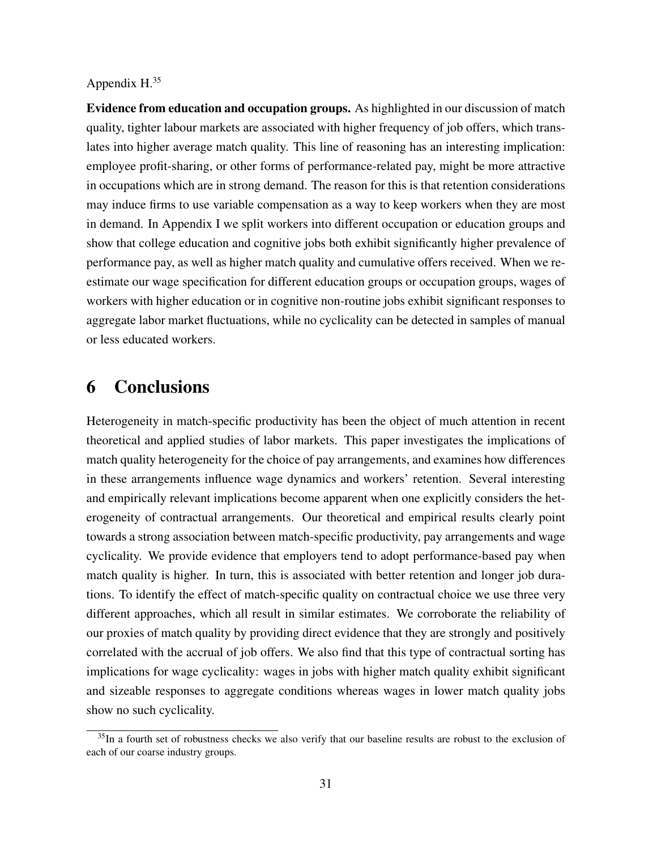#### Appendix H.<sup>35</sup>

Evidence from education and occupation groups. As highlighted in our discussion of match quality, tighter labour markets are associated with higher frequency of job offers, which translates into higher average match quality. This line of reasoning has an interesting implication: employee profit-sharing, or other forms of performance-related pay, might be more attractive in occupations which are in strong demand. The reason for this is that retention considerations may induce firms to use variable compensation as a way to keep workers when they are most in demand. In Appendix I we split workers into different occupation or education groups and show that college education and cognitive jobs both exhibit significantly higher prevalence of performance pay, as well as higher match quality and cumulative offers received. When we reestimate our wage specification for different education groups or occupation groups, wages of workers with higher education or in cognitive non-routine jobs exhibit significant responses to aggregate labor market fluctuations, while no cyclicality can be detected in samples of manual or less educated workers.

# 6 Conclusions

Heterogeneity in match-specific productivity has been the object of much attention in recent theoretical and applied studies of labor markets. This paper investigates the implications of match quality heterogeneity for the choice of pay arrangements, and examines how differences in these arrangements influence wage dynamics and workers' retention. Several interesting and empirically relevant implications become apparent when one explicitly considers the heterogeneity of contractual arrangements. Our theoretical and empirical results clearly point towards a strong association between match-specific productivity, pay arrangements and wage cyclicality. We provide evidence that employers tend to adopt performance-based pay when match quality is higher. In turn, this is associated with better retention and longer job durations. To identify the effect of match-specific quality on contractual choice we use three very different approaches, which all result in similar estimates. We corroborate the reliability of our proxies of match quality by providing direct evidence that they are strongly and positively correlated with the accrual of job offers. We also find that this type of contractual sorting has implications for wage cyclicality: wages in jobs with higher match quality exhibit significant and sizeable responses to aggregate conditions whereas wages in lower match quality jobs show no such cyclicality.

<sup>&</sup>lt;sup>35</sup>In a fourth set of robustness checks we also verify that our baseline results are robust to the exclusion of each of our coarse industry groups.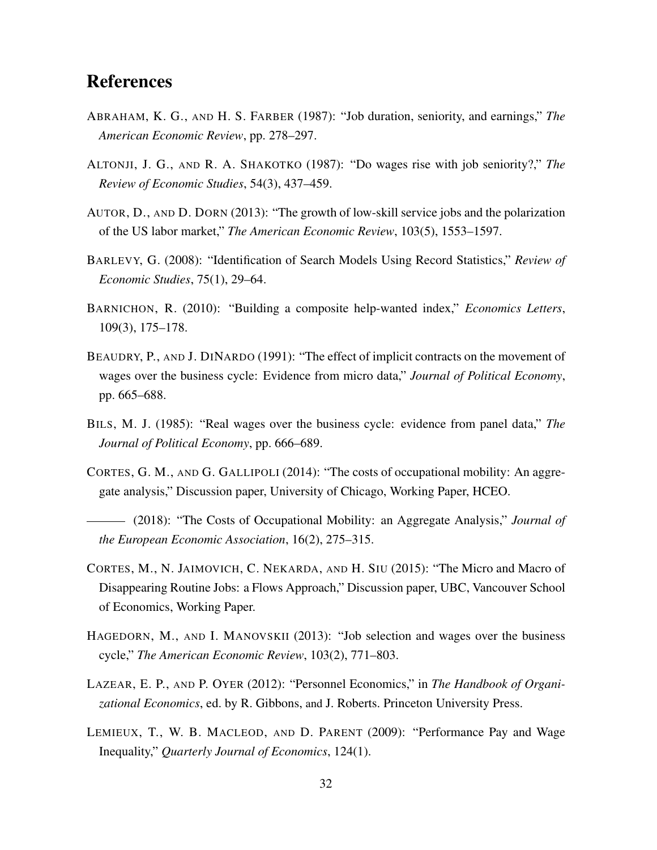# References

- ABRAHAM, K. G., AND H. S. FARBER (1987): "Job duration, seniority, and earnings," *The American Economic Review*, pp. 278–297.
- ALTONJI, J. G., AND R. A. SHAKOTKO (1987): "Do wages rise with job seniority?," *The Review of Economic Studies*, 54(3), 437–459.
- AUTOR, D., AND D. DORN (2013): "The growth of low-skill service jobs and the polarization of the US labor market," *The American Economic Review*, 103(5), 1553–1597.
- BARLEVY, G. (2008): "Identification of Search Models Using Record Statistics," *Review of Economic Studies*, 75(1), 29–64.
- BARNICHON, R. (2010): "Building a composite help-wanted index," *Economics Letters*, 109(3), 175–178.
- BEAUDRY, P., AND J. DINARDO (1991): "The effect of implicit contracts on the movement of wages over the business cycle: Evidence from micro data," *Journal of Political Economy*, pp. 665–688.
- BILS, M. J. (1985): "Real wages over the business cycle: evidence from panel data," *The Journal of Political Economy*, pp. 666–689.
- CORTES, G. M., AND G. GALLIPOLI (2014): "The costs of occupational mobility: An aggregate analysis," Discussion paper, University of Chicago, Working Paper, HCEO.
- (2018): "The Costs of Occupational Mobility: an Aggregate Analysis," *Journal of the European Economic Association*, 16(2), 275–315.
- CORTES, M., N. JAIMOVICH, C. NEKARDA, AND H. SIU (2015): "The Micro and Macro of Disappearing Routine Jobs: a Flows Approach," Discussion paper, UBC, Vancouver School of Economics, Working Paper.
- HAGEDORN, M., AND I. MANOVSKII (2013): "Job selection and wages over the business cycle," *The American Economic Review*, 103(2), 771–803.
- LAZEAR, E. P., AND P. OYER (2012): "Personnel Economics," in *The Handbook of Organizational Economics*, ed. by R. Gibbons, and J. Roberts. Princeton University Press.
- LEMIEUX, T., W. B. MACLEOD, AND D. PARENT (2009): "Performance Pay and Wage Inequality," *Quarterly Journal of Economics*, 124(1).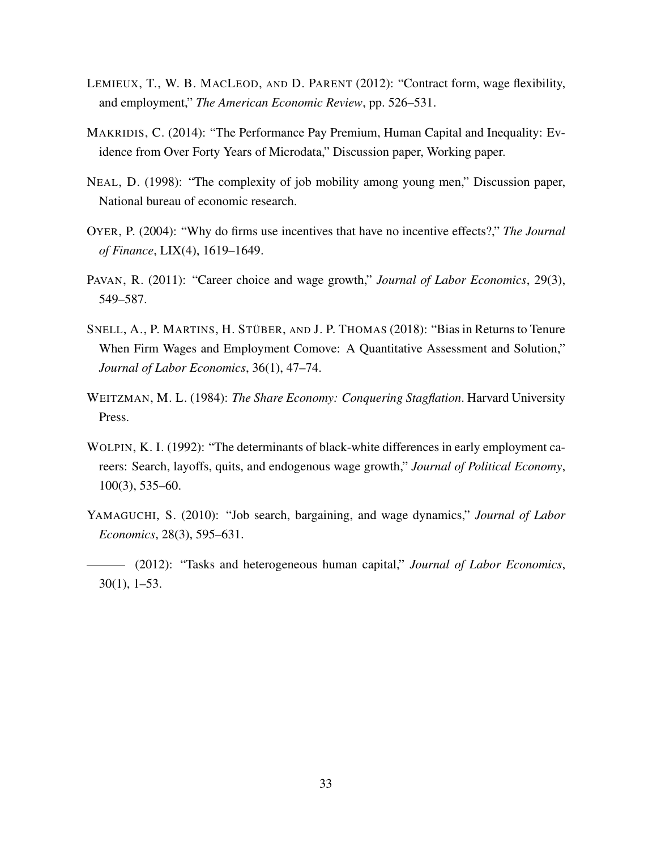- LEMIEUX, T., W. B. MACLEOD, AND D. PARENT (2012): "Contract form, wage flexibility, and employment," *The American Economic Review*, pp. 526–531.
- MAKRIDIS, C. (2014): "The Performance Pay Premium, Human Capital and Inequality: Evidence from Over Forty Years of Microdata," Discussion paper, Working paper.
- NEAL, D. (1998): "The complexity of job mobility among young men," Discussion paper, National bureau of economic research.
- OYER, P. (2004): "Why do firms use incentives that have no incentive effects?," *The Journal of Finance*, LIX(4), 1619–1649.
- PAVAN, R. (2011): "Career choice and wage growth," *Journal of Labor Economics*, 29(3), 549–587.
- SNELL, A., P. MARTINS, H. STÜBER, AND J. P. THOMAS (2018): "Bias in Returns to Tenure When Firm Wages and Employment Comove: A Quantitative Assessment and Solution," *Journal of Labor Economics*, 36(1), 47–74.
- WEITZMAN, M. L. (1984): *The Share Economy: Conquering Stagflation*. Harvard University Press.
- WOLPIN, K. I. (1992): "The determinants of black-white differences in early employment careers: Search, layoffs, quits, and endogenous wage growth," *Journal of Political Economy*, 100(3), 535–60.
- YAMAGUCHI, S. (2010): "Job search, bargaining, and wage dynamics," *Journal of Labor Economics*, 28(3), 595–631.
- (2012): "Tasks and heterogeneous human capital," *Journal of Labor Economics*, 30(1), 1–53.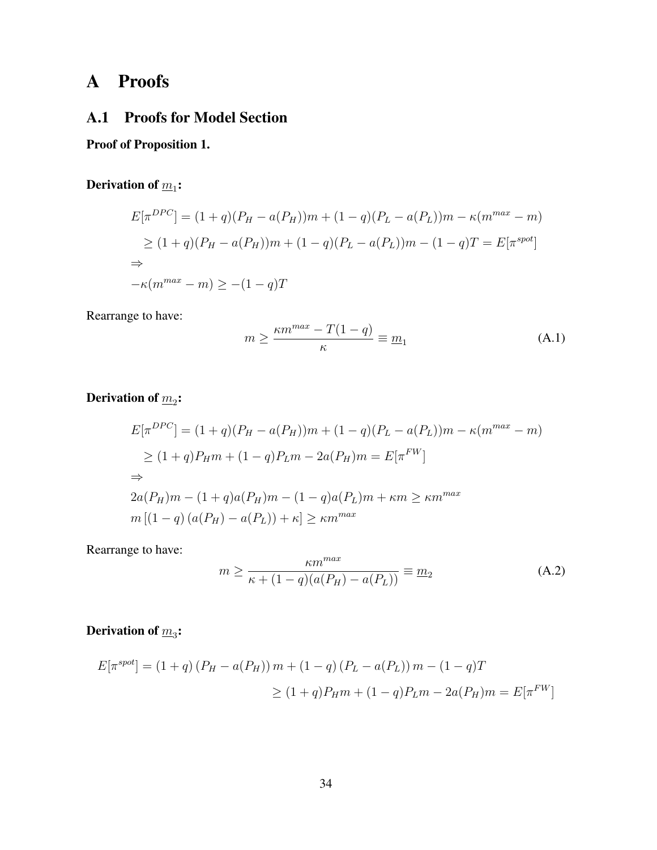# A Proofs

## A.1 Proofs for Model Section

## Proof of Proposition 1.

## Derivation of  $\overline{m}_1$ :

$$
E[\pi^{DPC}] = (1+q)(P_H - a(P_H))m + (1-q)(P_L - a(P_L))m - \kappa(m^{max} - m)
$$
  
\n
$$
\geq (1+q)(P_H - a(P_H))m + (1-q)(P_L - a(P_L))m - (1-q)T = E[\pi^{spot}]
$$
  
\n
$$
\Rightarrow
$$
  
\n
$$
-\kappa(m^{max} - m) \geq -(1-q)T
$$

Rearrange to have:

$$
m \ge \frac{\kappa m^{max} - T(1 - q)}{\kappa} \equiv \underline{m}_1 \tag{A.1}
$$

Derivation of  $\overline{m}_2$ :

$$
E[\pi^{DPC}] = (1+q)(P_H - a(P_H))m + (1-q)(P_L - a(P_L))m - \kappa(m^{max} - m)
$$
  
\n
$$
\geq (1+q)P_Hm + (1-q)P_Lm - 2a(P_H)m = E[\pi^{FW}]
$$
  
\n
$$
\Rightarrow
$$
  
\n
$$
2a(P_H)m - (1+q)a(P_H)m - (1-q)a(P_L)m + \kappa m \geq \kappa m^{max}
$$
  
\n
$$
m[(1-q)(a(P_H) - a(P_L)) + \kappa] \geq \kappa m^{max}
$$

Rearrange to have:

$$
m \ge \frac{\kappa m^{max}}{\kappa + (1 - q)(a(P_H) - a(P_L))} \equiv \underline{m}_2
$$
 (A.2)

## Derivation of  $\overline{m}_3$ :

$$
E[\pi^{spot}] = (1+q) (P_H - a(P_H)) m + (1-q) (P_L - a(P_L)) m - (1-q) T
$$
  
\n
$$
\geq (1+q) P_H m + (1-q) P_L m - 2a(P_H) m = E[\pi^{FW}]
$$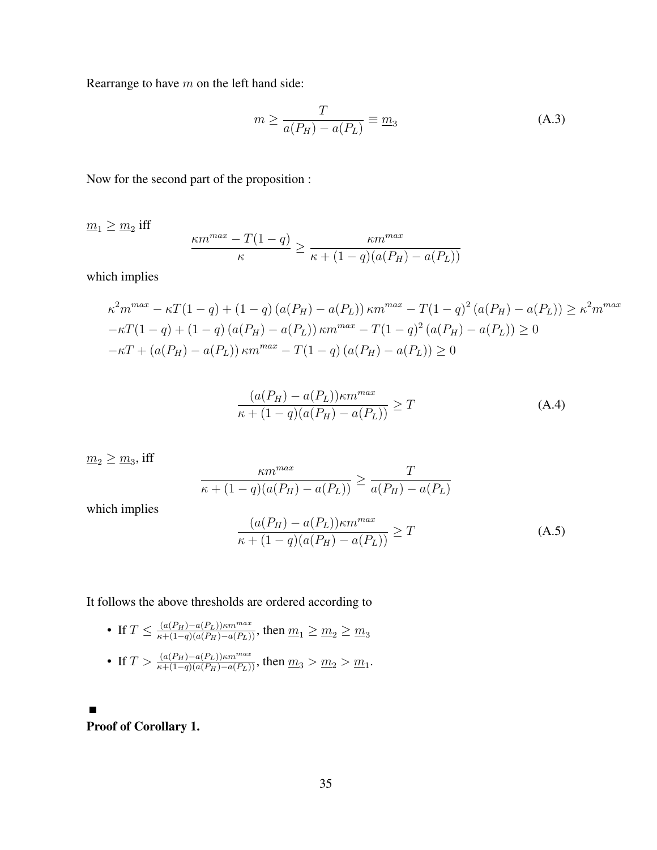Rearrange to have m on the left hand side:

$$
m \ge \frac{T}{a(P_H) - a(P_L)} \equiv \underline{m}_3 \tag{A.3}
$$

Now for the second part of the proposition :

 $\underline{m}_1 \ge \underline{m}_2$  iff  $\kappa m^{max} - T(1-q)$ κ  $\geq \frac{\kappa m^{max}}{\kappa m^{max}}$  $\kappa + (1 - q)(a(P_H) - a(P_L))$ 

which implies

$$
\kappa^2 m^{max} - \kappa T (1 - q) + (1 - q) (a(P_H) - a(P_L)) \kappa m^{max} - T (1 - q)^2 (a(P_H) - a(P_L)) \ge \kappa^2 m^{max}
$$
  
 
$$
-\kappa T (1 - q) + (1 - q) (a(P_H) - a(P_L)) \kappa m^{max} - T (1 - q)^2 (a(P_H) - a(P_L)) \ge 0
$$
  
 
$$
-\kappa T + (a(P_H) - a(P_L)) \kappa m^{max} - T (1 - q) (a(P_H) - a(P_L)) \ge 0
$$

$$
\frac{(a(P_H) - a(P_L))\kappa m^{max}}{\kappa + (1 - q)(a(P_H) - a(P_L))} \ge T
$$
\n(A.4)

$$
\frac{m_2 \ge m_3, \text{ iff } \qquad \qquad \frac{\kappa m^{max}}{\kappa + (1 - q)(a(P_H) - a(P_L))} \ge \frac{T}{a(P_H) - a(P_L)}
$$
\nwhich implies

\n
$$
(a(P_H) - a(P_L)) \kappa m^{max} \qquad \qquad \gamma
$$

$$
\frac{(a(P_H) - a(P_L))\kappa m^{max}}{\kappa + (1 - q)(a(P_H) - a(P_L))} \ge T
$$
\n(A.5)

It follows the above thresholds are ordered according to

- If  $T\leq \frac{(a(P_H)-a(P_L))\kappa m^{max}}{\kappa+(1-q)(a(P_H)-a(P_L))},$  then  $\underline{m}_1\geq \underline{m}_2\geq \underline{m}_3$
- If  $T > \frac{(a(P_H)-a(P_L))\kappa m^{max}}{\kappa+(1-q)(a(P_H)-a(P_L))}$ , then  $m_3 > m_2 > m_1$ .

Proof of Corollary 1.

 $\blacksquare$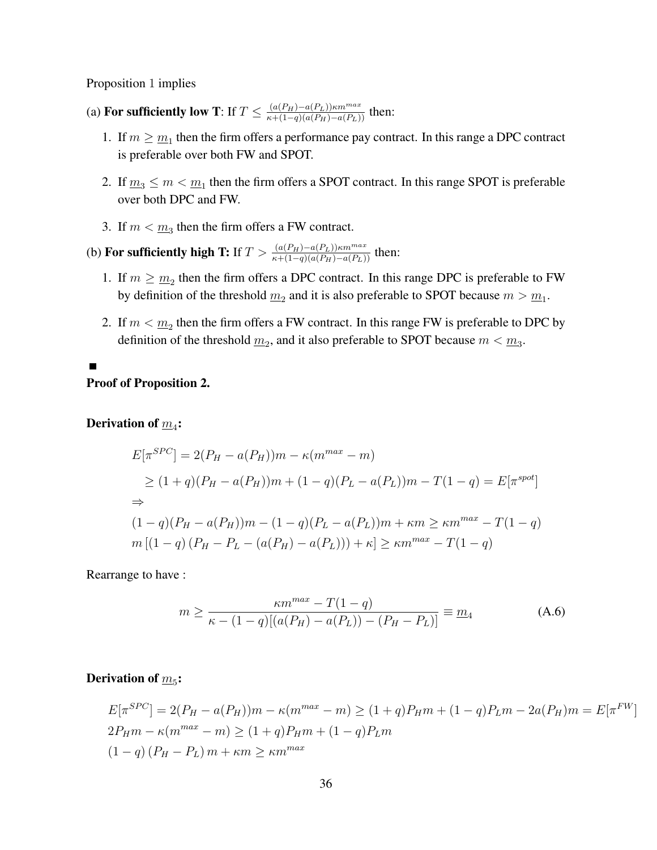Proposition 1 implies

- (a) For sufficiently low T: If  $T \n\t\leq \frac{(a(P_H)-a(P_L))\kappa m^{max}}{\kappa+(1-q)(a(P_H)-a(P_L))}$  then:
	- 1. If  $m \geq \underline{m_1}$  then the firm offers a performance pay contract. In this range a DPC contract is preferable over both FW and SPOT.
	- 2. If  $\underline{m}_3 \le m < \underline{m}_1$  then the firm offers a SPOT contract. In this range SPOT is preferable over both DPC and FW.
	- 3. If  $m < m_3$  then the firm offers a FW contract.
- (b) For sufficiently high T: If  $T > \frac{(a(P_H)-a(P_L))\kappa m^{max}}{\kappa+(1-q)(a(P_H)-a(P_L))}$  then:
	- 1. If  $m \geq \underline{m_2}$  then the firm offers a DPC contract. In this range DPC is preferable to FW by definition of the threshold  $\underline{m}_2$  and it is also preferable to SPOT because  $m > \underline{m}_1$ .
	- 2. If  $m < m_2$  then the firm offers a FW contract. In this range FW is preferable to DPC by definition of the threshold  $\underline{m}_2$ , and it also preferable to SPOT because  $m < \underline{m}_3$ .

#### Proof of Proposition 2.

## Derivation of  $\overline{m}_4$ :

Ē

$$
E[\pi^{SPC}] = 2(P_H - a(P_H))m - \kappa(m^{max} - m)
$$
  
\n
$$
\geq (1+q)(P_H - a(P_H))m + (1-q)(P_L - a(P_L))m - T(1-q) = E[\pi^{spot}]
$$
  
\n
$$
\Rightarrow
$$
  
\n
$$
(1-q)(P_H - a(P_H))m - (1-q)(P_L - a(P_L))m + \kappa m \geq \kappa m^{max} - T(1-q)
$$
  
\n
$$
m[(1-q)(P_H - P_L - (a(P_H) - a(P_L))) + \kappa] \geq \kappa m^{max} - T(1-q)
$$

Rearrange to have :

$$
m \ge \frac{\kappa m^{max} - T(1 - q)}{\kappa - (1 - q)[(a(P_H) - a(P_L)) - (P_H - P_L)]} \equiv \underline{m}_4
$$
 (A.6)

## Derivation of  $\overline{m}_5$ :

$$
E[\pi^{SPC}] = 2(P_H - a(P_H))m - \kappa(m^{max} - m) \ge (1 + q)P_H m + (1 - q)P_L m - 2a(P_H)m = E[\pi^{FW}]
$$
  
\n
$$
2P_H m - \kappa(m^{max} - m) \ge (1 + q)P_H m + (1 - q)P_L m
$$
  
\n
$$
(1 - q) (P_H - P_L) m + \kappa m \ge \kappa m^{max}
$$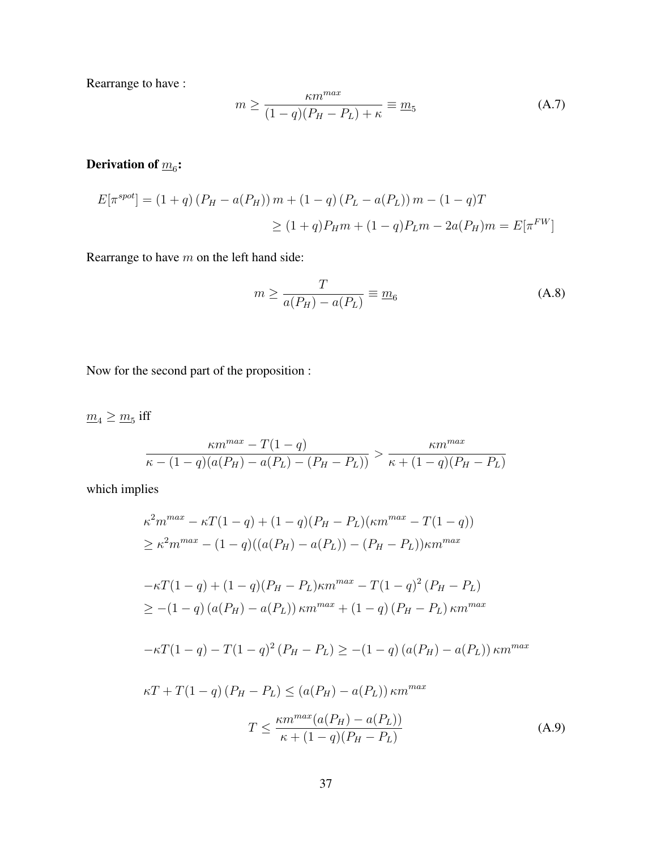Rearrange to have :

$$
m \ge \frac{\kappa m^{max}}{(1-q)(P_H - P_L) + \kappa} \equiv \underline{m}_5 \tag{A.7}
$$

## Derivation of  $\overline{m}_6$ :

$$
E[\pi^{spot}] = (1+q) (P_H - a(P_H)) m + (1-q) (P_L - a(P_L)) m - (1-q) T
$$
  
\n
$$
\geq (1+q) P_H m + (1-q) P_L m - 2a(P_H) m = E[\pi^{FW}]
$$

Rearrange to have  $m$  on the left hand side:

$$
m \ge \frac{T}{a(P_H) - a(P_L)} \equiv \underline{m}_6 \tag{A.8}
$$

Now for the second part of the proposition :

 $m_4 \geq m_5$  iff

$$
\frac{\kappa m^{max} - T(1 - q)}{\kappa - (1 - q)(a(P_H) - a(P_L) - (P_H - P_L))} > \frac{\kappa m^{max}}{\kappa + (1 - q)(P_H - P_L)}
$$

which implies

$$
\kappa^2 m^{max} - \kappa T (1 - q) + (1 - q)(P_H - P_L)(\kappa m^{max} - T(1 - q))
$$
  
\n
$$
\geq \kappa^2 m^{max} - (1 - q)((a(P_H) - a(P_L)) - (P_H - P_L))\kappa m^{max}
$$
  
\n
$$
-\kappa T (1 - q) + (1 - q)(P_H - P_L)\kappa m^{max} - T(1 - q)^2 (P_H - P_L)
$$
  
\n
$$
\geq -(1 - q) (a(P_H) - a(P_L)) \kappa m^{max} + (1 - q) (P_H - P_L) \kappa m^{max}
$$
  
\n
$$
-\kappa T (1 - q) - T(1 - q)^2 (P_H - P_L) \geq -(1 - q) (a(P_H) - a(P_L)) \kappa m^{max}
$$
  
\n
$$
\kappa T + T(1 - q) (P_H - P_L) \leq (a(P_H) - a(P_L)) \kappa m^{max}
$$
  
\n
$$
T \leq \frac{\kappa m^{max} (a(P_H) - a(P_L))}{\kappa + (1 - q)(P_H - P_L)}
$$
 (A.9)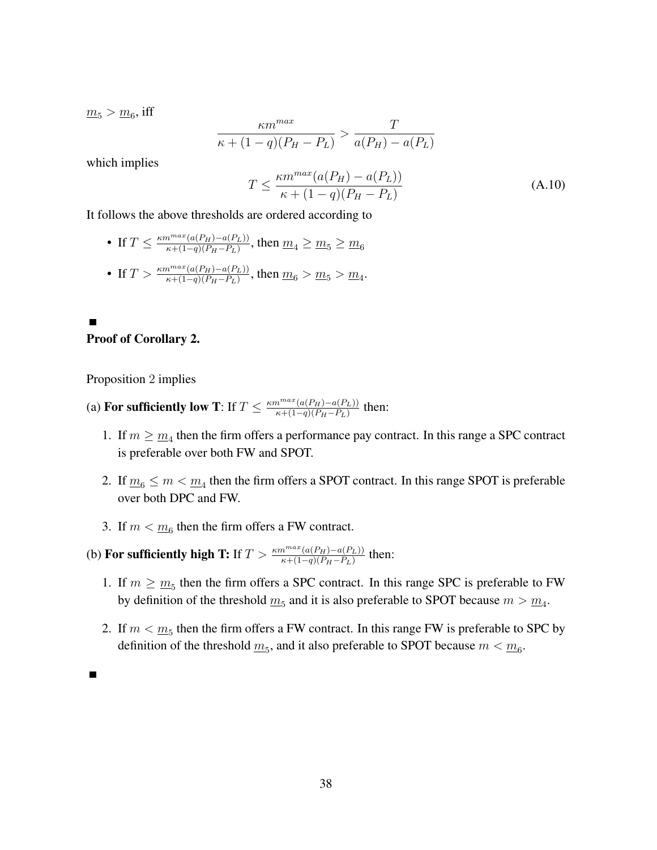$m_5 > m_6$ , iff

$$
\frac{\kappa m^{max}}{\kappa + (1-q)(P_H - P_L)} > \frac{T}{a(P_H) - a(P_L)}
$$

which implies

$$
T \le \frac{\kappa m^{max}(a(P_H) - a(P_L))}{\kappa + (1 - q)(P_H - P_L)}
$$
\n(A.10)

It follows the above thresholds are ordered according to

• If 
$$
T \leq \frac{\kappa m^{max}(a(P_H) - a(P_L))}{\kappa + (1 - q)(P_H - P_L)}
$$
, then  $m_4 \geq m_5 \geq m_6$ 

• If 
$$
T > \frac{\kappa m^{max}(a(P_H) - a(P_L))}{\kappa + (1 - q)(P_H - P_L)}
$$
, then  $m_6 > m_5 > m_4$ .

#### Proof of Corollary 2.

г

Proposition 2 implies

- (a) For sufficiently low T: If  $T \n\t\leq \frac{\kappa m^{max}(a(P_H)-a(P_L))}{\kappa+(1-a)(P_H-P_L)}$  $\frac{n^{\max}(a(P_H)-a(P_L))}{\kappa+(1-q)(P_H-P_L)}$  then:
	- 1. If  $m \geq \underline{m}_4$  then the firm offers a performance pay contract. In this range a SPC contract is preferable over both FW and SPOT.
	- 2. If  $\underline{m}_6 \le m < \underline{m}_4$  then the firm offers a SPOT contract. In this range SPOT is preferable over both DPC and FW.
	- 3. If  $m < \underline{m}_6$  then the firm offers a FW contract.
- (b) For sufficiently high T: If  $T > \frac{\kappa m^{max}(a(P_H) a(P_L))}{\kappa + (1-q)(P_H P_L)}$  then:
	- 1. If  $m \geq m_5$  then the firm offers a SPC contract. In this range SPC is preferable to FW by definition of the threshold  $\underline{m}_5$  and it is also preferable to SPOT because  $m > \underline{m}_4$ .
	- 2. If  $m < m<sub>5</sub>$  then the firm offers a FW contract. In this range FW is preferable to SPC by definition of the threshold  $\underline{m}_5$ , and it also preferable to SPOT because  $m < \underline{m}_6$ .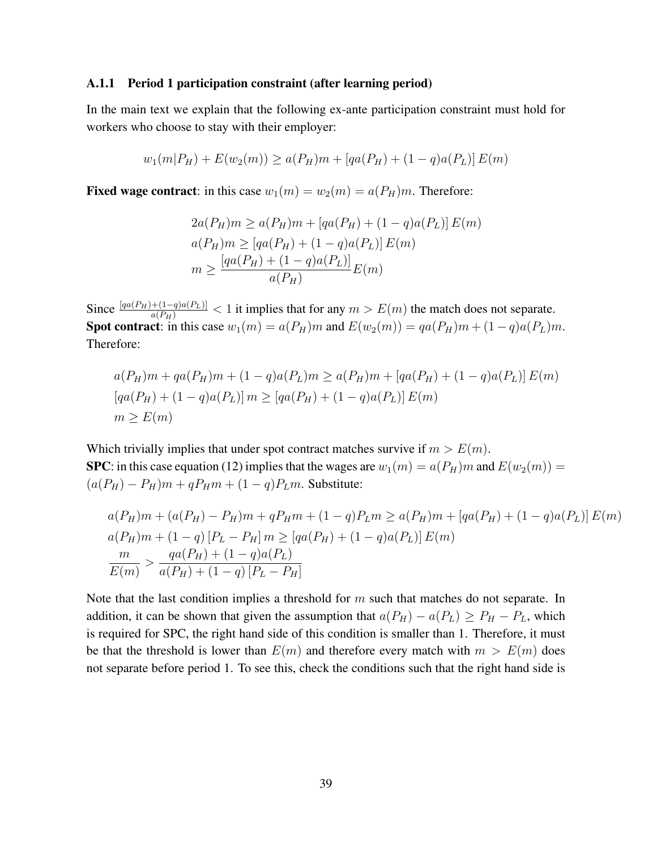#### A.1.1 Period 1 participation constraint (after learning period)

In the main text we explain that the following ex-ante participation constraint must hold for workers who choose to stay with their employer:

$$
w_1(m|P_H) + E(w_2(m)) \ge a(P_H)m + [qa(P_H) + (1-q)a(P_L)]E(m)
$$

**Fixed wage contract:** in this case  $w_1(m) = w_2(m) = a(P_H)m$ . Therefore:

$$
2a(P_H)m \ge a(P_H)m + [qa(P_H) + (1 - q)a(P_L)] E(m)
$$
  
\n
$$
a(P_H)m \ge [qa(P_H) + (1 - q)a(P_L)] E(m)
$$
  
\n
$$
m \ge \frac{[qa(P_H) + (1 - q)a(P_L)]}{a(P_H)} E(m)
$$

Since  $\frac{[qa(P_H)+(1-q)a(P_L)]}{a(P_H)} < 1$  it implies that for any  $m > E(m)$  the match does not separate. Spot contract: in this case  $w_1(m) = a(P_H)m$  and  $E(w_2(m)) = qa(P_H)m + (1-q)a(P_L)m$ . Therefore:

$$
a(P_H)m + qa(P_H)m + (1 - q)a(P_L)m \ge a(P_H)m + [qa(P_H) + (1 - q)a(P_L)]E(m)
$$
  
\n
$$
[qa(P_H) + (1 - q)a(P_L)]m \ge [qa(P_H) + (1 - q)a(P_L)]E(m)
$$
  
\n
$$
m \ge E(m)
$$

Which trivially implies that under spot contract matches survive if  $m > E(m)$ . SPC: in this case equation (12) implies that the wages are  $w_1(m) = a(P_H)m$  and  $E(w_2(m)) = a(P_H)m$  $(a(P_H) - P_H)m + qP_Hm + (1 - q)P_Lm$ . Substitute:

$$
a(P_H)m + (a(P_H) - P_H)m + qP_Hm + (1 - q)P_Lm \ge a(P_H)m + [qa(P_H) + (1 - q)a(P_L)]E(m)
$$
  
\n
$$
a(P_H)m + (1 - q)[P_L - P_H]m \ge [qa(P_H) + (1 - q)a(P_L)]E(m)
$$
  
\n
$$
\frac{m}{E(m)} > \frac{qa(P_H) + (1 - q)a(P_L)}{a(P_H) + (1 - q)[P_L - P_H]}
$$

Note that the last condition implies a threshold for  $m$  such that matches do not separate. In addition, it can be shown that given the assumption that  $a(P_H) - a(P_L) \ge P_H - P_L$ , which is required for SPC, the right hand side of this condition is smaller than 1. Therefore, it must be that the threshold is lower than  $E(m)$  and therefore every match with  $m > E(m)$  does not separate before period 1. To see this, check the conditions such that the right hand side is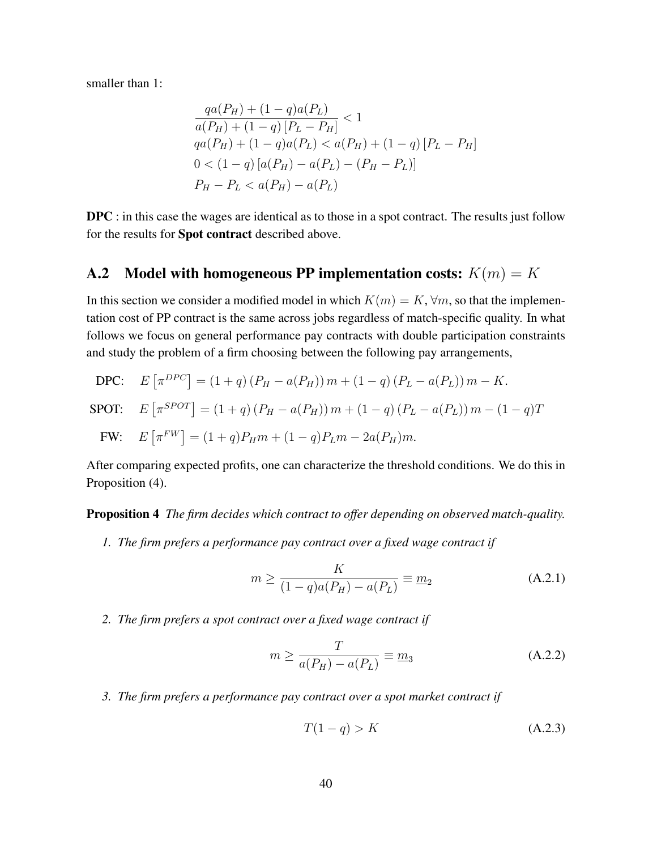smaller than 1:

$$
\frac{qa(P_H) + (1 - q)a(P_L)}{a(P_H) + (1 - q)[P_L - P_H]} < 1
$$
\n
$$
qa(P_H) + (1 - q)a(P_L) < a(P_H) + (1 - q)[P_L - P_H]
$$
\n
$$
0 < (1 - q)[a(P_H) - a(P_L) - (P_H - P_L)]
$$
\n
$$
P_H - P_L < a(P_H) - a(P_L)
$$

DPC : in this case the wages are identical as to those in a spot contract. The results just follow for the results for Spot contract described above.

## A.2 Model with homogeneous PP implementation costs:  $K(m) = K$

In this section we consider a modified model in which  $K(m) = K$ ,  $\forall m$ , so that the implementation cost of PP contract is the same across jobs regardless of match-specific quality. In what follows we focus on general performance pay contracts with double participation constraints and study the problem of a firm choosing between the following pay arrangements,

DPC: 
$$
E[\pi^{DPC}] = (1+q) (P_H - a(P_H)) m + (1-q) (P_L - a(P_L)) m - K.
$$
  
\nSPOT:  $E[\pi^{SPOT}] = (1+q) (P_H - a(P_H)) m + (1-q) (P_L - a(P_L)) m - (1-q) T$   
\nFW:  $E[\pi^{FW}] = (1+q) P_H m + (1-q) P_L m - 2a(P_H) m.$ 

After comparing expected profits, one can characterize the threshold conditions. We do this in Proposition (4).

Proposition 4 *The firm decides which contract to offer depending on observed match-quality.*

*1. The firm prefers a performance pay contract over a fixed wage contract if*

$$
m \ge \frac{K}{(1-q)a(P_H) - a(P_L)} \equiv \underline{m}_2
$$
 (A.2.1)

*2. The firm prefers a spot contract over a fixed wage contract if*

$$
m \ge \frac{T}{a(P_H) - a(P_L)} \equiv \underline{m}_3 \tag{A.2.2}
$$

*3. The firm prefers a performance pay contract over a spot market contract if*

$$
T(1-q) > K \tag{A.2.3}
$$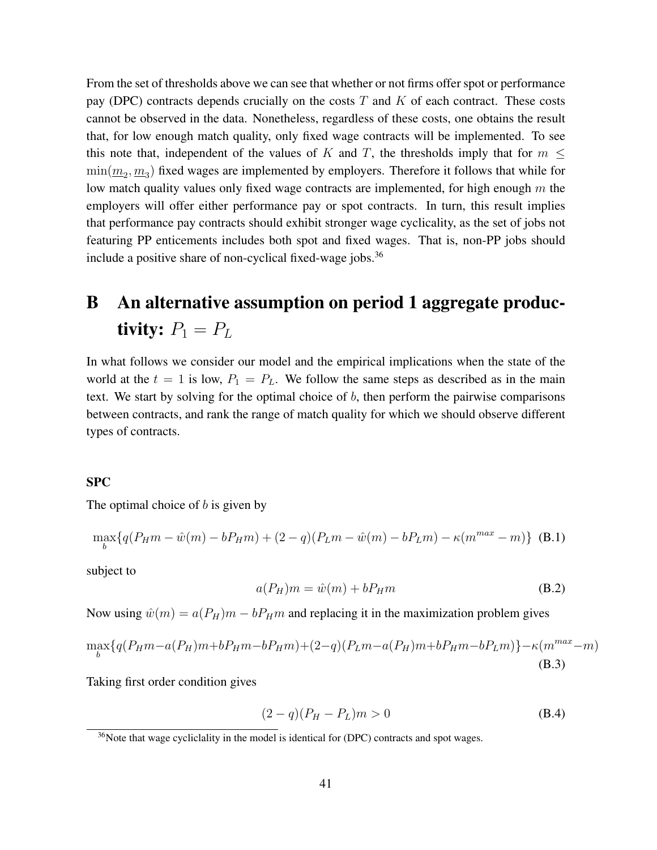From the set of thresholds above we can see that whether or not firms offer spot or performance pay (DPC) contracts depends crucially on the costs  $T$  and  $K$  of each contract. These costs cannot be observed in the data. Nonetheless, regardless of these costs, one obtains the result that, for low enough match quality, only fixed wage contracts will be implemented. To see this note that, independent of the values of K and T, the thresholds imply that for  $m \leq$  $\min(\underline{m}_2, \underline{m}_3)$  fixed wages are implemented by employers. Therefore it follows that while for low match quality values only fixed wage contracts are implemented, for high enough  $m$  the employers will offer either performance pay or spot contracts. In turn, this result implies that performance pay contracts should exhibit stronger wage cyclicality, as the set of jobs not featuring PP enticements includes both spot and fixed wages. That is, non-PP jobs should include a positive share of non-cyclical fixed-wage jobs.<sup>36</sup>

# B An alternative assumption on period 1 aggregate productivity:  $P_1 = P_L$

In what follows we consider our model and the empirical implications when the state of the world at the  $t = 1$  is low,  $P_1 = P_L$ . We follow the same steps as described as in the main text. We start by solving for the optimal choice of b, then perform the pairwise comparisons between contracts, and rank the range of match quality for which we should observe different types of contracts.

#### SPC

The optimal choice of  $b$  is given by

$$
\max_{b} \{ q(P_{H}m - \hat{w}(m) - bP_{H}m) + (2 - q)(P_{L}m - \hat{w}(m) - bP_{L}m) - \kappa(m^{max} - m) \} (B.1)
$$

subject to

$$
a(P_H)m = \hat{w}(m) + bP_Hm \tag{B.2}
$$

Now using  $\hat{w}(m) = a(P_H)m - bP_Hm$  and replacing it in the maximization problem gives

$$
\max_{b} \{q(P_{H}m - a(P_{H})m + bP_{H}m - bP_{H}m) + (2-q)(P_{L}m - a(P_{H})m + bP_{H}m - bP_{L}m)\} - \kappa(m^{max} - m)
$$
\n(B.3)

Taking first order condition gives

$$
(2 - q)(P_H - P_L)m > 0
$$
 (B.4)

 $36$ Note that wage cycliclality in the model is identical for (DPC) contracts and spot wages.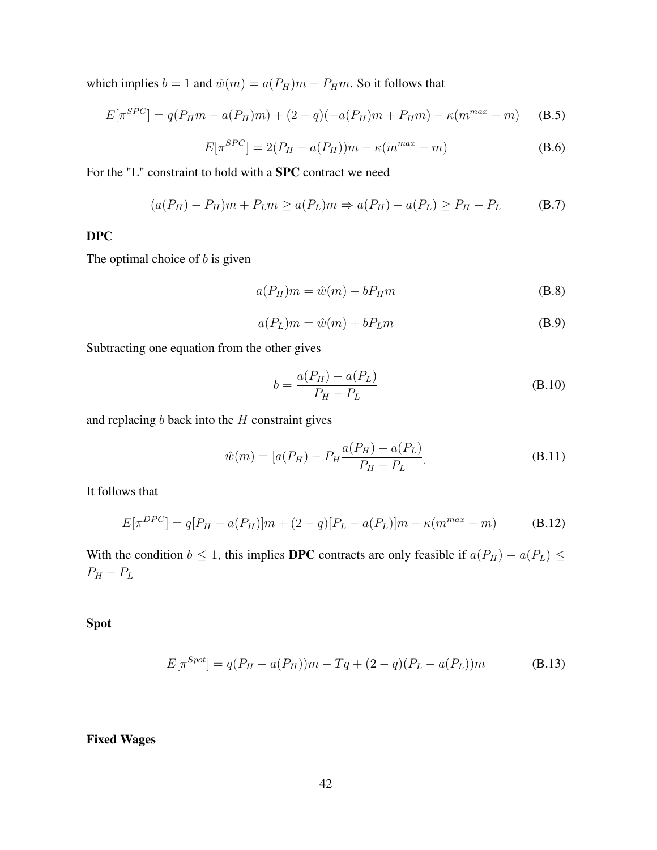which implies  $b = 1$  and  $\hat{w}(m) = a(P_H)m - P_Hm$ . So it follows that

$$
E[\pi^{SPC}] = q(P_H m - a(P_H)m) + (2 - q)(-a(P_H)m + P_Hm) - \kappa(m^{max} - m)
$$
 (B.5)

$$
E[\pi^{SPC}] = 2(P_H - a(P_H))m - \kappa(m^{max} - m)
$$
 (B.6)

For the "L" constraint to hold with a SPC contract we need

$$
(a(P_H) - P_H)m + P_Lm \ge a(P_L)m \Rightarrow a(P_H) - a(P_L) \ge P_H - P_L
$$
 (B.7)

#### DPC

The optimal choice of  $b$  is given

$$
a(P_H)m = \hat{w}(m) + bP_Hm \tag{B.8}
$$

$$
a(P_L)m = \hat{w}(m) + bP_Lm
$$
 (B.9)

Subtracting one equation from the other gives

$$
b = \frac{a(P_H) - a(P_L)}{P_H - P_L}
$$
 (B.10)

and replacing  $b$  back into the  $H$  constraint gives

$$
\hat{w}(m) = [a(P_H) - P_H \frac{a(P_H) - a(P_L)}{P_H - P_L}]
$$
\n(B.11)

It follows that

$$
E[\pi^{DPC}] = q[P_H - a(P_H)]m + (2 - q)[P_L - a(P_L)]m - \kappa(m^{max} - m)
$$
 (B.12)

With the condition  $b \le 1$ , this implies DPC contracts are only feasible if  $a(P_H) - a(P_L) \le$  $P_H - P_L$ 

Spot

$$
E[\pi^{Spot}] = q(P_H - a(P_H))m - Tq + (2 - q)(P_L - a(P_L))m
$$
 (B.13)

Fixed Wages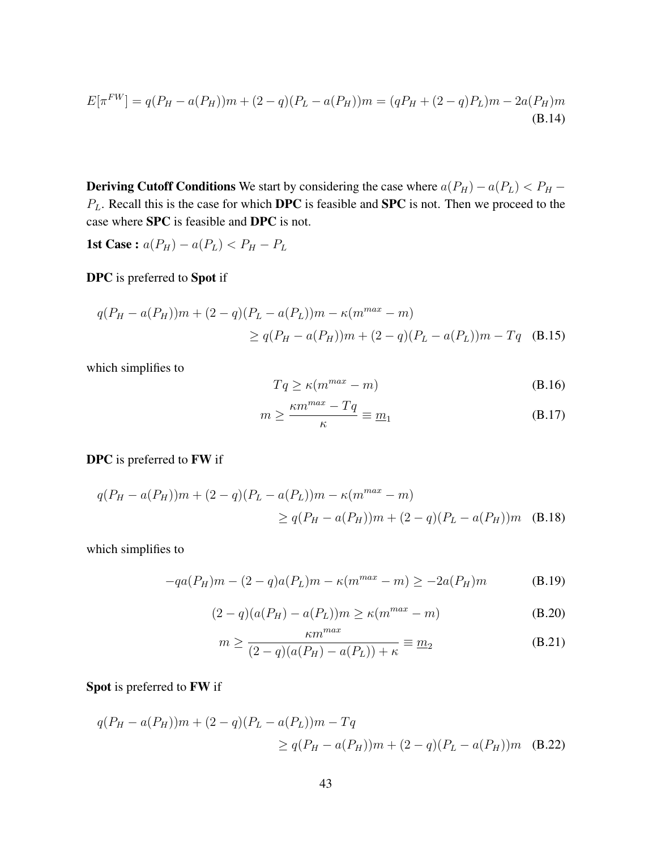$$
E[\pi^{FW}] = q(P_H - a(P_H))m + (2 - q)(P_L - a(P_H))m = (qP_H + (2 - q)P_L)m - 2a(P_H)m
$$
\n(B.14)

**Deriving Cutoff Conditions** We start by considering the case where  $a(P_H) - a(P_L) < P_H$  –  $P_L$ . Recall this is the case for which **DPC** is feasible and **SPC** is not. Then we proceed to the case where SPC is feasible and DPC is not.

**1st Case :**  $a(P_H) - a(P_L) < P_H - P_L$ 

DPC is preferred to Spot if

$$
q(P_H - a(P_H))m + (2 - q)(P_L - a(P_L))m - \kappa(m^{max} - m)
$$
  
\n
$$
\geq q(P_H - a(P_H))m + (2 - q)(P_L - a(P_L))m - Tq
$$
 (B.15)

which simplifies to

$$
Tq \ge \kappa(m^{max} - m) \tag{B.16}
$$

$$
m \ge \frac{\kappa m^{max} - Tq}{\kappa} \equiv \underline{m}_1 \tag{B.17}
$$

#### DPC is preferred to FW if

$$
q(P_H - a(P_H))m + (2 - q)(P_L - a(P_L))m - \kappa(m^{max} - m)
$$
  
\n
$$
\geq q(P_H - a(P_H))m + (2 - q)(P_L - a(P_H))m
$$
 (B.18)

which simplifies to

$$
-qa(P_H)m - (2-q)a(P_L)m - \kappa(m^{max} - m) \ge -2a(P_H)m
$$
 (B.19)

$$
(2-q)(a(P_H) - a(P_L))m \ge \kappa(m^{max} - m)
$$
\n(B.20)

$$
m \ge \frac{\kappa m^{\text{max}}}{(2-q)(a(P_H) - a(P_L)) + \kappa} \equiv \underline{m}_2
$$
 (B.21)

## Spot is preferred to FW if

$$
q(P_H - a(P_H))m + (2 - q)(P_L - a(P_L))m - Tq
$$
  
\n
$$
\geq q(P_H - a(P_H))m + (2 - q)(P_L - a(P_H))m
$$
 (B.22)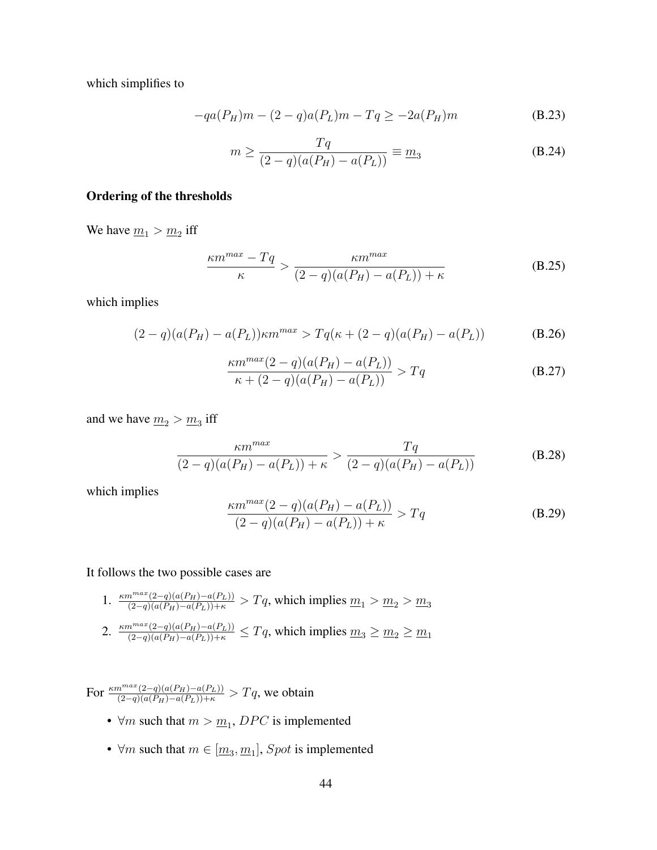which simplifies to

$$
-qa(P_H)m - (2-q)a(P_L)m - Tq \ge -2a(P_H)m \tag{B.23}
$$

$$
m \ge \frac{Tq}{(2-q)(a(P_H) - a(P_L))} \equiv \underline{m}_3
$$
 (B.24)

#### Ordering of the thresholds

We have  $\underline{m}_1 > \underline{m}_2$  iff

$$
\frac{\kappa m^{max} - Tq}{\kappa} > \frac{\kappa m^{max}}{(2-q)(a(P_H) - a(P_L)) + \kappa}
$$
 (B.25)

which implies

$$
(2-q)(a(P_H) - a(P_L)) \kappa m^{max} > Tq(\kappa + (2-q)(a(P_H) - a(P_L))
$$
 (B.26)

$$
\frac{\kappa m^{max}(2-q)(a(P_H) - a(P_L))}{\kappa + (2-q)(a(P_H) - a(P_L))} > Tq
$$
\n(B.27)

and we have  $m_2 > m_3$  iff

$$
\frac{\kappa m^{max}}{(2-q)(a(P_H) - a(P_L)) + \kappa} > \frac{Tq}{(2-q)(a(P_H) - a(P_L))}
$$
(B.28)

which implies

$$
\frac{\kappa m^{max}(2-q)(a(P_H) - a(P_L))}{(2-q)(a(P_H) - a(P_L)) + \kappa} > Tq
$$
\n(B.29)

It follows the two possible cases are

- 1.  $\frac{\kappa m^{max}(2-q)(a(P_H)-a(P_L))}{(2-q)(a(P_H)-a(P_L))+\kappa} > Tq$ , which implies  $\underline{m}_1 > \underline{m}_2 > \underline{m}_3$
- 2.  $\frac{\kappa m^{max}(2-q)(a(P_H)-a(P_L))}{(2-q)(a(P_H)-a(P_L))+\kappa} \le Tq$ , which implies  $m_3 \ge m_2 \ge m_1$

For  $\frac{\kappa m^{max}(2-q)(a(P_H)-a(P_L))}{(2-q)(a(P_H)-a(P_L))+\kappa} > Tq$ , we obtain

- $\forall m$  such that  $m > m_1$ , DPC is implemented
- $\forall m$  such that  $m \in [\underline{m}_3, \underline{m}_1]$ , *Spot* is implemented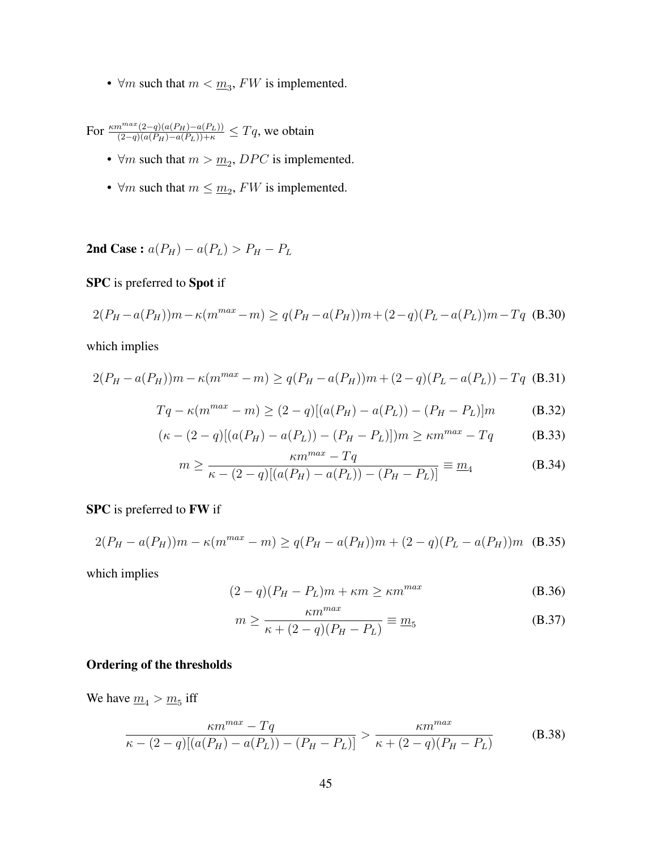•  $\forall m$  such that  $m < \underline{m_3}$ ,  $FW$  is implemented.

For  $\frac{\kappa m^{max}(2-q)(a(P_H)-a(P_L))}{(2-q)(a(P_H)-a(P_L))+\kappa} \le Tq$ , we obtain

- $\forall m$  such that  $m > m_2$ , DPC is implemented.
- $\forall m$  such that  $m \leq m_2$ ,  $FW$  is implemented.

2nd Case :  $a(P_H) - a(P_L) > P_H - P_L$ 

#### SPC is preferred to Spot if

$$
2(P_H - a(P_H))m - \kappa(m^{max} - m) \ge q(P_H - a(P_H))m + (2 - q)(P_L - a(P_L))m - Tq
$$
 (B.30)

which implies

$$
2(P_H - a(P_H))m - \kappa(m^{max} - m) \ge q(P_H - a(P_H))m + (2 - q)(P_L - a(P_L)) - Tq
$$
 (B.31)

$$
Tq - \kappa(m^{max} - m) \ge (2 - q)[(a(P_H) - a(P_L)) - (P_H - P_L)]m
$$
 (B.32)

$$
(\kappa - (2 - q)[(a(P_H) - a(P_L)) - (P_H - P_L)])m \ge \kappa m^{max} - Tq
$$
 (B.33)

$$
m \ge \frac{\kappa m^{2} - 1q}{\kappa - (2 - q)[(a(P_H) - a(P_L)) - (P_H - P_L)]} \equiv \underline{m}_4
$$
 (B.34)

#### SPC is preferred to FW if

$$
2(P_H - a(P_H))m - \kappa(m^{max} - m) \ge q(P_H - a(P_H))m + (2 - q)(P_L - a(P_H))m
$$
 (B.35)

which implies

$$
(2-q)(P_H - P_L)m + \kappa m \ge \kappa m^{max}
$$
 (B.36)

$$
m \ge \frac{\kappa m^{max}}{\kappa + (2 - q)(P_H - P_L)} \equiv \underline{m}_5
$$
 (B.37)

### Ordering of the thresholds

We have  $m_4 > m_5$  iff

$$
\frac{\kappa m^{max} - Tq}{\kappa - (2-q)[(a(P_H) - a(P_L)) - (P_H - P_L)]} > \frac{\kappa m^{max}}{\kappa + (2-q)(P_H - P_L)}
$$
(B.38)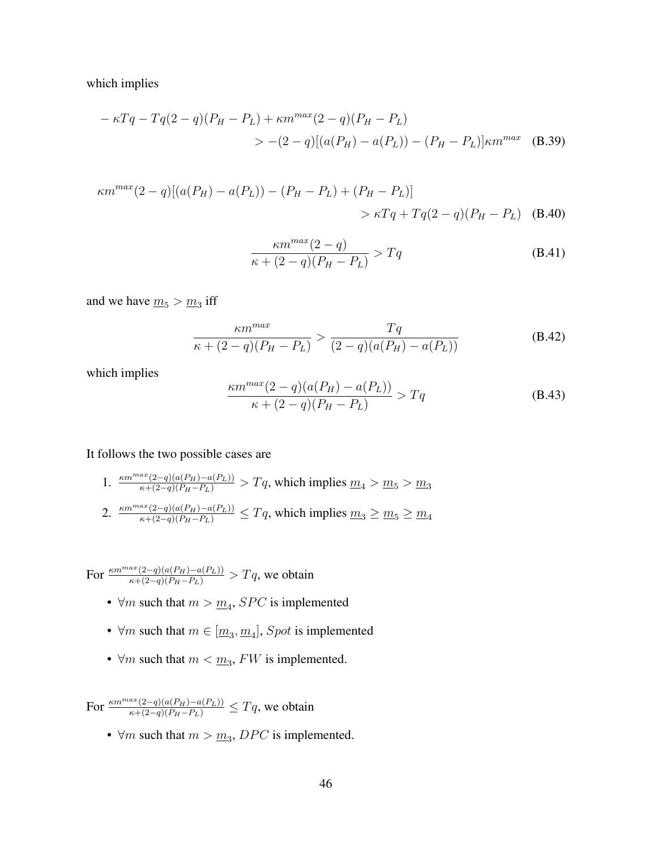which implies

$$
-\kappa Tq - Tq(2-q)(P_H - P_L) + \kappa m^{max}(2-q)(P_H - P_L)
$$
  
> -(2-q)[(a(P\_H) - a(P\_L)) - (P\_H - P\_L)]\kappa m^{max} (B.39)

$$
\kappa m^{max}(2-q)[(a(P_H) - a(P_L)) - (P_H - P_L) + (P_H - P_L)]
$$
  
>  $\kappa T q + T q (2-q)(P_H - P_L)$  (B.40)

$$
\frac{\kappa m^{max}(2-q)}{\kappa + (2-q)(P_H - P_L)} > Tq
$$
\n(B.41)

and we have  $m_5 > m_3$  iff

$$
\frac{\kappa m^{max}}{\kappa + (2-q)(P_H - P_L)} > \frac{Tq}{(2-q)(a(P_H) - a(P_L))}
$$
(B.42)

which implies

$$
\frac{\kappa m^{max}(2-q)(a(P_H) - a(P_L))}{\kappa + (2-q)(P_H - P_L)} > Tq
$$
\n(B.43)

It follows the two possible cases are

1.  $\frac{\kappa m^{max}(2-q)(a(P_H)-a(P_L))}{\kappa+(2-q)(P_H-P_L)} > Tq$ , which implies  $\underline{m}_4 > \underline{m}_5 > \underline{m}_3$ 2.  $\frac{\kappa m^{max}(2-q)(a(P_H)-a(P_L))}{\kappa+(2-q)(P_H-P_L)} \le Tq$ , which implies  $m_3 \ge m_5 \ge m_4$ 

For  $\frac{\kappa m^{max}(2-q)(a(P_H)-a(P_L))}{\kappa+(2-q)(P_H-P_L)} > Tq$ , we obtain

- $\forall m$  such that  $m > m_4$ , *SPC* is implemented
- $\forall m$  such that  $m \in [\underline{m}_3, \underline{m}_4]$ , Spot is implemented
- $\forall m$  such that  $m < \underline{m_3}$ ,  $FW$  is implemented.

For  $\frac{\kappa m^{max}(2-q)(a(P_H)-a(P_L))}{\kappa+(2-q)(P_H-P_L)} \le Tq$ , we obtain

•  $\forall m$  such that  $m > m_3$ , DPC is implemented.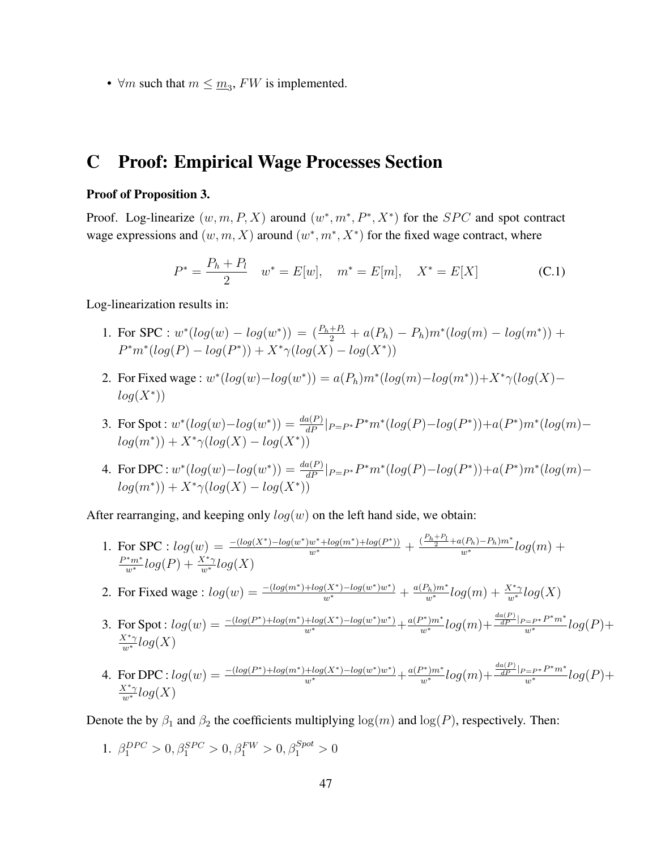•  $\forall m$  such that  $m \leq m_3$ ,  $FW$  is implemented.

# C Proof: Empirical Wage Processes Section

#### Proof of Proposition 3.

Proof. Log-linearize  $(w, m, P, X)$  around  $(w^*, m^*, P^*, X^*)$  for the *SPC* and spot contract wage expressions and  $(w, m, X)$  around  $(w^*, m^*, X^*)$  for the fixed wage contract, where

$$
P^* = \frac{P_h + P_l}{2} \quad w^* = E[w], \quad m^* = E[m], \quad X^* = E[X] \tag{C.1}
$$

Log-linearization results in:

- 1. For SPC :  $w^*(log(w) log(w^*)) = (\frac{P_h + P_l}{2} + a(P_h) P_h)m^*(log(m) log(m^*))$  +  $P^*m^*(log(P) - log(P^*)) + X^*\gamma(log(X) - log(X^*))$
- 2. For Fixed wage :  $w^*(log(w) log(w^*)) = a(P_h)m^*(log(m) log(m^*)) + X^*\gamma(log(X)$  $log(X^*))$
- 3. For Spot :  $w^*(log(w) log(w^*)) = \frac{da(P)}{dP}|_{P = P^*} P^* m^*(log(P) log(P^*)) + a(P^*)m^*(log(m)$  $log(m^*)) + X^* \gamma(log(X) - log(X^*))$
- 4. For DPC :  $w^*(log(w) log(w^*)) = \frac{da(P)}{dP}|_{P = P^*} P^* m^*(log(P) log(P^*)) + a(P^*)m^*(log(m)$  $log(m^*)) + X^* \gamma(log(X) - log(X^*))$

After rearranging, and keeping only  $log(w)$  on the left hand side, we obtain:

1. For SPC :  $log(w) = \frac{-(log(X^*) - log(w^*)w^* + log(m^*) + log(P^*))}{w^*} + \frac{\frac{(P_h + P_l}{2} + a(P_h) - P_h)m^*}{w^*}log(m) + \frac{P^*m^*}{w^*}log(P) + \frac{X^*\gamma}{w^*}log(X)$ 

2. For Fixed wage : 
$$
log(w) = \frac{-(log(m^*) + log(X^*) - log(w^*)w^*)}{w^*} + \frac{a(P_h)m^*}{w^*}log(m) + \frac{X^*\gamma}{w^*}log(X)
$$

- 3. For Spot :  $log(w) = \frac{-(log(P^*) + log(m^*) + log(X^*) log(w^*)w^*)}{w^*} + \frac{a(P^*)m^*}{w^*}log(m) + \frac{\frac{da(P)}{dP}|_{P = P^*}P^*m^*}{w^*}log(P) +$  $\frac{X^*\gamma}{w^*}log(X)$
- 4. For DPC :  $log(w) = \frac{-(log(P^*) + log(m^*) + log(X^*) log(w^*)w^*)}{w^*} + \frac{a(P^*)m^*}{w^*}log(m) + \frac{\frac{da(P)}{dP}|_{P = P^*}P^*m^*}{w^*}log(P) +$  $\frac{X^*\gamma}{w^*}log(X)$

Denote the by  $\beta_1$  and  $\beta_2$  the coefficients multiplying  $\log(m)$  and  $\log(P)$ , respectively. Then:

1. 
$$
\beta_1^{DPC} > 0, \beta_1^{SPC} > 0, \beta_1^{FW} > 0, \beta_1^{Spot} > 0
$$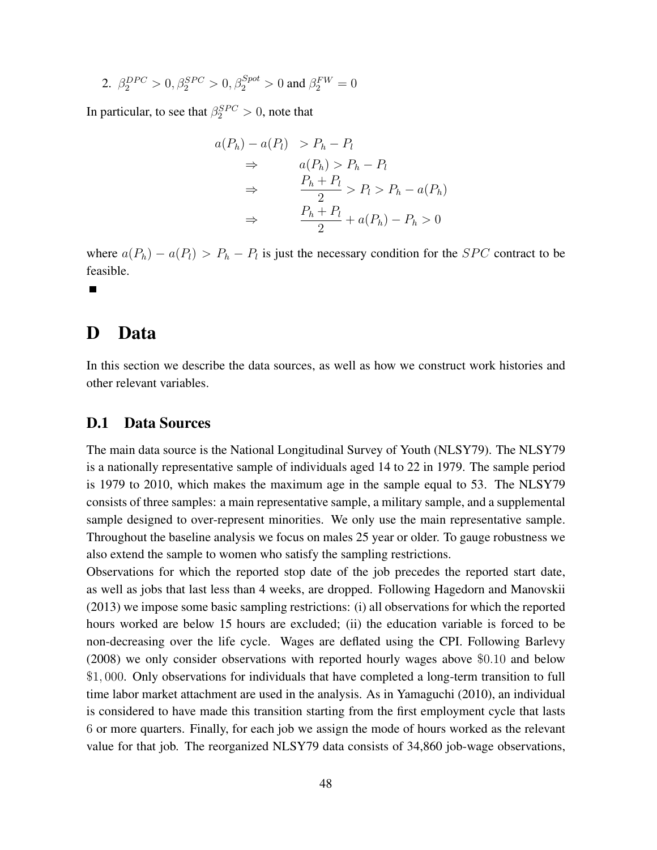2. 
$$
\beta_2^{DPC} > 0
$$
,  $\beta_2^{SPC} > 0$ ,  $\beta_2^{Spot} > 0$  and  $\beta_2^{FW} = 0$ 

In particular, to see that  $\beta_2^{SPC} > 0$ , note that

$$
a(P_h) - a(P_l) > P_h - P_l
$$
  
\n
$$
\Rightarrow \qquad a(P_h) > P_h - P_l
$$
  
\n
$$
\Rightarrow \qquad \frac{P_h + P_l}{2} > P_l > P_h - a(P_h)
$$
  
\n
$$
\Rightarrow \qquad \frac{P_h + P_l}{2} + a(P_h) - P_h > 0
$$

where  $a(P_h) - a(P_l) > P_h - P_l$  is just the necessary condition for the *SPC* contract to be feasible.

 $\blacksquare$ 

# D Data

In this section we describe the data sources, as well as how we construct work histories and other relevant variables.

## D.1 Data Sources

The main data source is the National Longitudinal Survey of Youth (NLSY79). The NLSY79 is a nationally representative sample of individuals aged 14 to 22 in 1979. The sample period is 1979 to 2010, which makes the maximum age in the sample equal to 53. The NLSY79 consists of three samples: a main representative sample, a military sample, and a supplemental sample designed to over-represent minorities. We only use the main representative sample. Throughout the baseline analysis we focus on males 25 year or older. To gauge robustness we also extend the sample to women who satisfy the sampling restrictions.

Observations for which the reported stop date of the job precedes the reported start date, as well as jobs that last less than 4 weeks, are dropped. Following Hagedorn and Manovskii (2013) we impose some basic sampling restrictions: (i) all observations for which the reported hours worked are below 15 hours are excluded; (ii) the education variable is forced to be non-decreasing over the life cycle. Wages are deflated using the CPI. Following Barlevy (2008) we only consider observations with reported hourly wages above \$0.10 and below \$1, 000. Only observations for individuals that have completed a long-term transition to full time labor market attachment are used in the analysis. As in Yamaguchi (2010), an individual is considered to have made this transition starting from the first employment cycle that lasts 6 or more quarters. Finally, for each job we assign the mode of hours worked as the relevant value for that job. The reorganized NLSY79 data consists of 34,860 job-wage observations,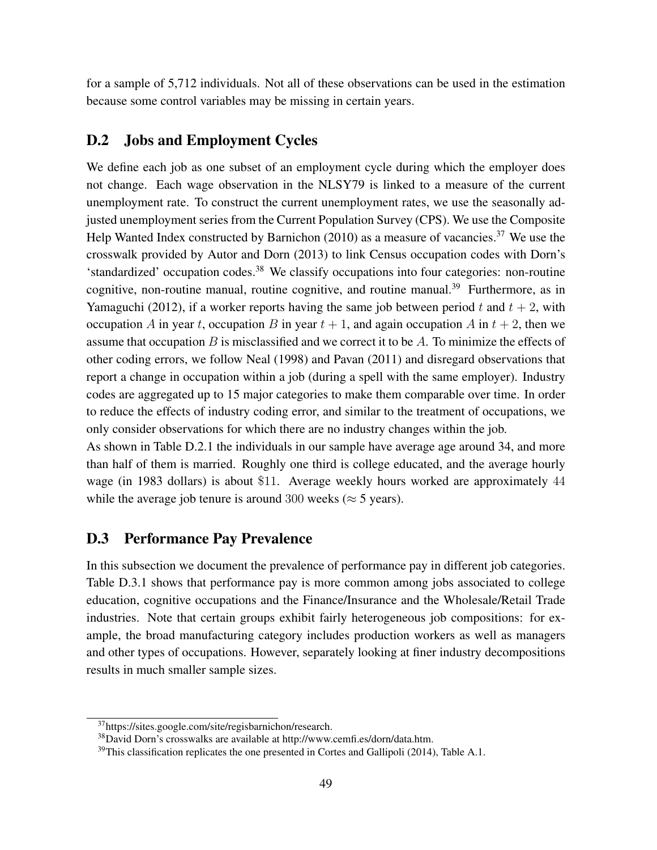for a sample of 5,712 individuals. Not all of these observations can be used in the estimation because some control variables may be missing in certain years.

## D.2 Jobs and Employment Cycles

We define each job as one subset of an employment cycle during which the employer does not change. Each wage observation in the NLSY79 is linked to a measure of the current unemployment rate. To construct the current unemployment rates, we use the seasonally adjusted unemployment series from the Current Population Survey (CPS). We use the Composite Help Wanted Index constructed by Barnichon  $(2010)$  as a measure of vacancies.<sup>37</sup> We use the crosswalk provided by Autor and Dorn (2013) to link Census occupation codes with Dorn's 'standardized' occupation codes.<sup>38</sup> We classify occupations into four categories: non-routine cognitive, non-routine manual, routine cognitive, and routine manual.<sup>39</sup> Furthermore, as in Yamaguchi (2012), if a worker reports having the same job between period t and  $t + 2$ , with occupation A in year t, occupation B in year  $t + 1$ , and again occupation A in  $t + 2$ , then we assume that occupation  $B$  is misclassified and we correct it to be  $A$ . To minimize the effects of other coding errors, we follow Neal (1998) and Pavan (2011) and disregard observations that report a change in occupation within a job (during a spell with the same employer). Industry codes are aggregated up to 15 major categories to make them comparable over time. In order to reduce the effects of industry coding error, and similar to the treatment of occupations, we only consider observations for which there are no industry changes within the job.

As shown in Table D.2.1 the individuals in our sample have average age around 34, and more than half of them is married. Roughly one third is college educated, and the average hourly wage (in 1983 dollars) is about \$11. Average weekly hours worked are approximately 44 while the average job tenure is around 300 weeks ( $\approx$  5 years).

## D.3 Performance Pay Prevalence

In this subsection we document the prevalence of performance pay in different job categories. Table D.3.1 shows that performance pay is more common among jobs associated to college education, cognitive occupations and the Finance/Insurance and the Wholesale/Retail Trade industries. Note that certain groups exhibit fairly heterogeneous job compositions: for example, the broad manufacturing category includes production workers as well as managers and other types of occupations. However, separately looking at finer industry decompositions results in much smaller sample sizes.

<sup>37</sup>https://sites.google.com/site/regisbarnichon/research.

<sup>38</sup>David Dorn's crosswalks are available at http://www.cemfi.es/dorn/data.htm.

 $39$ This classification replicates the one presented in Cortes and Gallipoli (2014), Table A.1.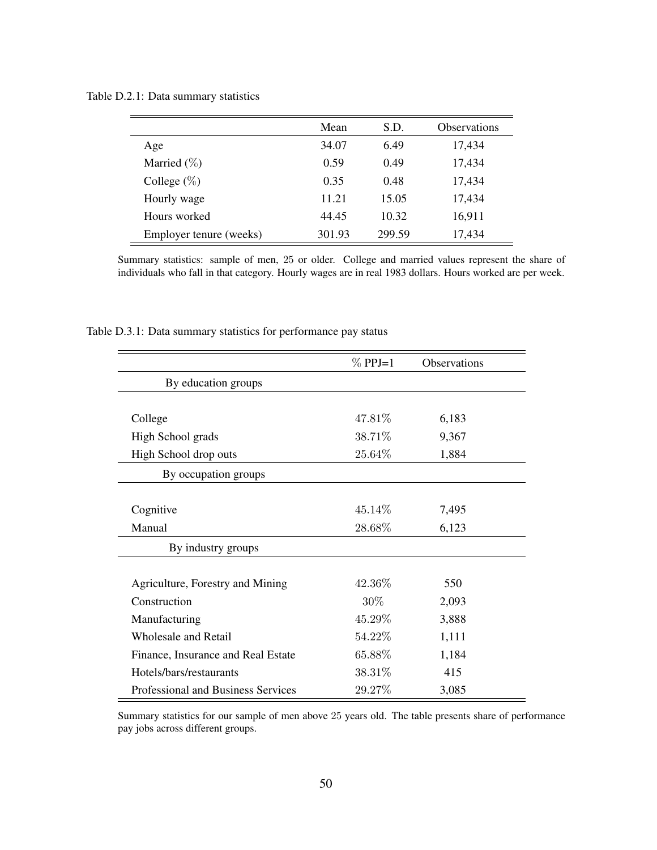Table D.2.1: Data summary statistics

|                         | Mean   | S.D.   | <b>Observations</b> |
|-------------------------|--------|--------|---------------------|
| Age                     | 34.07  | 6.49   | 17,434              |
| Married $(\%)$          | 0.59   | 0.49   | 17,434              |
| College $(\%)$          | 0.35   | 0.48   | 17,434              |
| Hourly wage             | 11.21  | 15.05  | 17,434              |
| Hours worked            | 44.45  | 10.32  | 16,911              |
| Employer tenure (weeks) | 301.93 | 299.59 | 17,434              |

Summary statistics: sample of men, 25 or older. College and married values represent the share of individuals who fall in that category. Hourly wages are in real 1983 dollars. Hours worked are per week.

Table D.3.1: Data summary statistics for performance pay status

|                                    | $\%$ PPJ=1 | Observations |
|------------------------------------|------------|--------------|
| By education groups                |            |              |
|                                    |            |              |
| College                            | 47.81\%    | 6,183        |
| High School grads                  | 38.71%     | 9,367        |
| High School drop outs              | 25.64\%    | 1,884        |
| By occupation groups               |            |              |
|                                    |            |              |
| Cognitive                          | 45.14\%    | 7,495        |
| Manual                             | 28.68%     | 6,123        |
| By industry groups                 |            |              |
|                                    |            |              |
| Agriculture, Forestry and Mining   | 42.36\%    | 550          |
| Construction                       | 30\%       | 2,093        |
| Manufacturing                      | 45.29%     | 3,888        |
| <b>Wholesale and Retail</b>        | 54.22\%    | 1,111        |
| Finance, Insurance and Real Estate | 65.88\%    | 1,184        |
| Hotels/bars/restaurants            | 38.31\%    | 415          |
| Professional and Business Services | 29.27%     | 3,085        |

Summary statistics for our sample of men above 25 years old. The table presents share of performance pay jobs across different groups.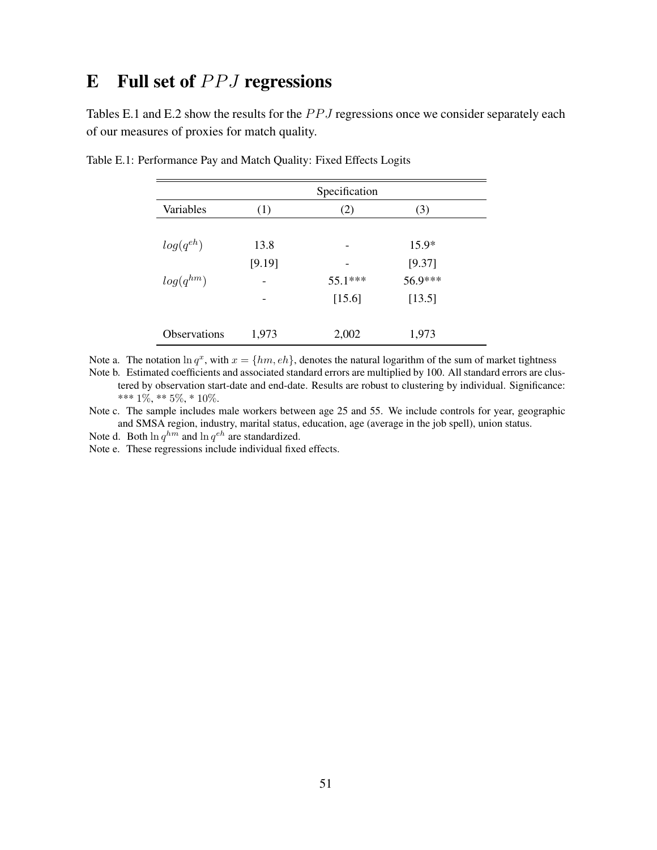# $E$  Full set of  $PPJ$  regressions

Tables E.1 and E.2 show the results for the  $PPJ$  regressions once we consider separately each of our measures of proxies for match quality.

|               |        | Specification |         |
|---------------|--------|---------------|---------|
| Variables     | (1)    | (2)           | (3)     |
| $log(q^{eh})$ | 13.8   |               | $15.9*$ |
|               | [9.19] |               | [9.37]  |
| $log(q^{hm})$ |        | 55.1***       | 56.9*** |
|               |        | [15.6]        | [13.5]  |
| Observations  | 1,973  | 2,002         | 1,973   |

Table E.1: Performance Pay and Match Quality: Fixed Effects Logits

Note a. The notation  $\ln q^x$ , with  $x = \{hm, eh\}$ , denotes the natural logarithm of the sum of market tightness

Note b. Estimated coefficients and associated standard errors are multiplied by 100. All standard errors are clustered by observation start-date and end-date. Results are robust to clustering by individual. Significance: \*\*\*  $1\%,$  \*\*  $5\%,$  \*  $10\%.$ 

Note c. The sample includes male workers between age 25 and 55. We include controls for year, geographic and SMSA region, industry, marital status, education, age (average in the job spell), union status.

Note d. Both  $\ln q^{hm}$  and  $\ln q^{eh}$  are standardized.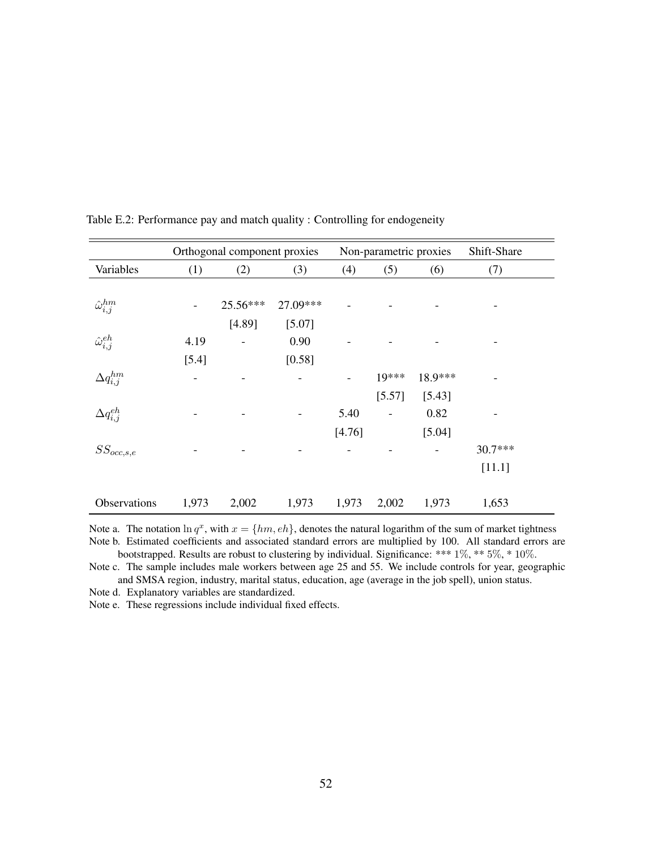|                           | Orthogonal component proxies |          |          | Non-parametric proxies |         |         | Shift-Share |  |
|---------------------------|------------------------------|----------|----------|------------------------|---------|---------|-------------|--|
| Variables                 | (1)                          | (2)      | (3)      | (4)                    | (5)     | (6)     | (7)         |  |
|                           |                              |          |          |                        |         |         |             |  |
| $\hat{\omega}^{hm}_{i,j}$ |                              | 25.56*** | 27.09*** |                        |         |         |             |  |
|                           |                              | [4.89]   | [5.07]   |                        |         |         |             |  |
| $\hat{\omega}_{i,j}^{eh}$ | 4.19                         |          | 0.90     |                        |         |         |             |  |
|                           | $[5.4]$                      |          | [0.58]   |                        |         |         |             |  |
| $\Delta q_{i,j}^{hm}$     |                              |          |          |                        | $19***$ | 18.9*** |             |  |
|                           |                              |          |          |                        | [5.57]  | [5.43]  |             |  |
| $\Delta q_{i,j}^{eh}$     |                              |          |          | 5.40                   |         | 0.82    |             |  |
|                           |                              |          |          | [4.76]                 |         | [5.04]  |             |  |
| $SS_{occ, s, e}$          |                              |          |          |                        |         |         | $30.7***$   |  |
|                           |                              |          |          |                        |         |         | [11.1]      |  |
|                           |                              |          |          |                        |         |         |             |  |
| Observations              | 1,973                        | 2,002    | 1,973    | 1,973                  | 2,002   | 1,973   | 1,653       |  |

Table E.2: Performance pay and match quality : Controlling for endogeneity

Note a. The notation  $\ln q^x$ , with  $x = \{hm, eh\}$ , denotes the natural logarithm of the sum of market tightness Note b. Estimated coefficients and associated standard errors are multiplied by 100. All standard errors are bootstrapped. Results are robust to clustering by individual. Significance: \*\*\* 1%, \*\* 5%, \* 10%.

Note c. The sample includes male workers between age 25 and 55. We include controls for year, geographic and SMSA region, industry, marital status, education, age (average in the job spell), union status.

Note d. Explanatory variables are standardized.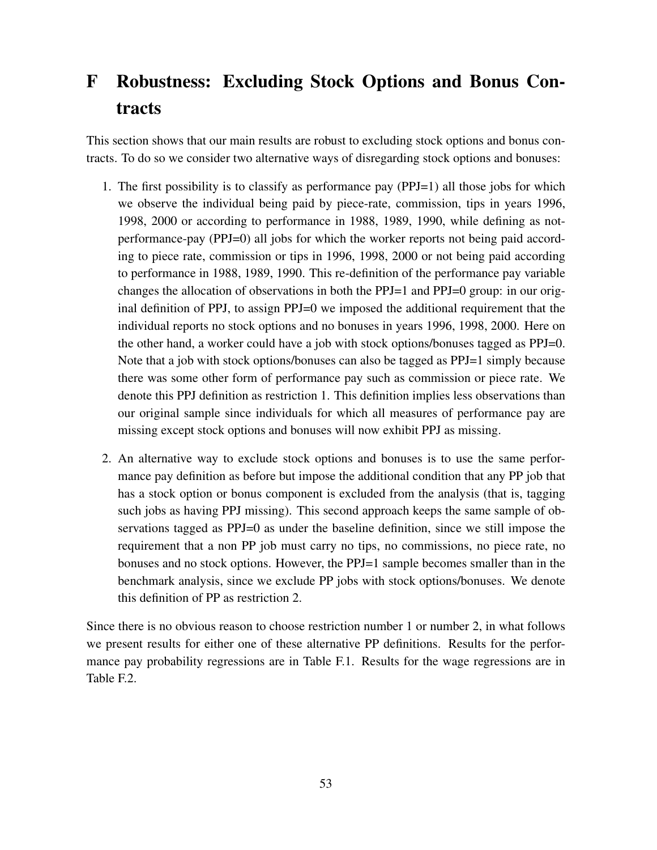# F Robustness: Excluding Stock Options and Bonus Contracts

This section shows that our main results are robust to excluding stock options and bonus contracts. To do so we consider two alternative ways of disregarding stock options and bonuses:

- 1. The first possibility is to classify as performance pay (PPJ=1) all those jobs for which we observe the individual being paid by piece-rate, commission, tips in years 1996, 1998, 2000 or according to performance in 1988, 1989, 1990, while defining as notperformance-pay (PPJ=0) all jobs for which the worker reports not being paid according to piece rate, commission or tips in 1996, 1998, 2000 or not being paid according to performance in 1988, 1989, 1990. This re-definition of the performance pay variable changes the allocation of observations in both the PPJ=1 and PPJ=0 group: in our original definition of PPJ, to assign PPJ=0 we imposed the additional requirement that the individual reports no stock options and no bonuses in years 1996, 1998, 2000. Here on the other hand, a worker could have a job with stock options/bonuses tagged as PPJ=0. Note that a job with stock options/bonuses can also be tagged as PPJ=1 simply because there was some other form of performance pay such as commission or piece rate. We denote this PPJ definition as restriction 1. This definition implies less observations than our original sample since individuals for which all measures of performance pay are missing except stock options and bonuses will now exhibit PPJ as missing.
- 2. An alternative way to exclude stock options and bonuses is to use the same performance pay definition as before but impose the additional condition that any PP job that has a stock option or bonus component is excluded from the analysis (that is, tagging such jobs as having PPJ missing). This second approach keeps the same sample of observations tagged as PPJ=0 as under the baseline definition, since we still impose the requirement that a non PP job must carry no tips, no commissions, no piece rate, no bonuses and no stock options. However, the PPJ=1 sample becomes smaller than in the benchmark analysis, since we exclude PP jobs with stock options/bonuses. We denote this definition of PP as restriction 2.

Since there is no obvious reason to choose restriction number 1 or number 2, in what follows we present results for either one of these alternative PP definitions. Results for the performance pay probability regressions are in Table F.1. Results for the wage regressions are in Table F.2.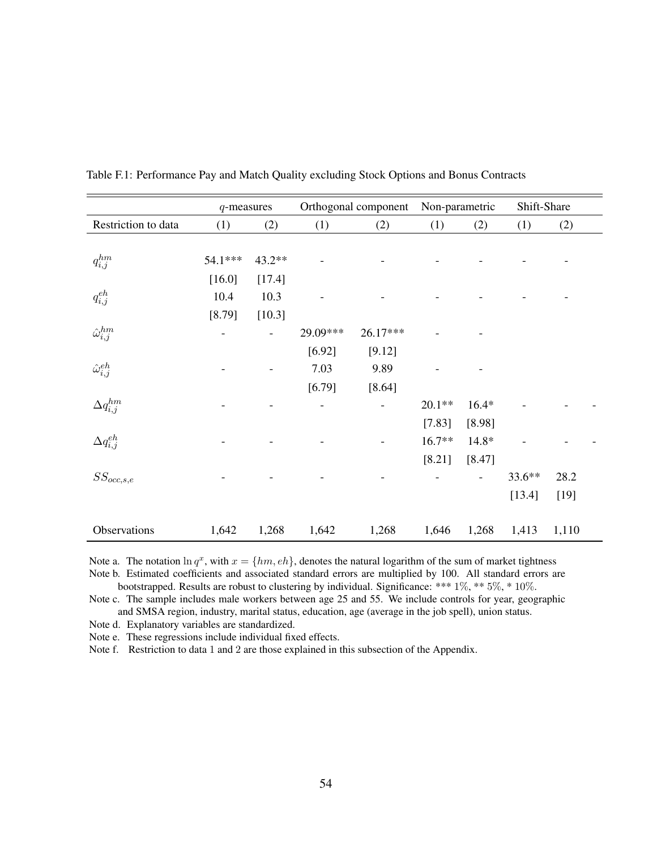|                           | $q$ -measures |        |          | Orthogonal component | Non-parametric |         | Shift-Share |        |  |
|---------------------------|---------------|--------|----------|----------------------|----------------|---------|-------------|--------|--|
| Restriction to data       | (1)           | (2)    | (1)      | (2)                  | (1)            | (2)     | (1)         | (2)    |  |
|                           |               |        |          |                      |                |         |             |        |  |
| $q_{i,j}^{hm}$            | 54.1***       | 43.2** |          |                      |                |         |             |        |  |
|                           | $[16.0]$      | [17.4] |          |                      |                |         |             |        |  |
| $q_{i,j}^{eh}$            | 10.4          | 10.3   |          |                      |                |         |             |        |  |
|                           | [8.79]        | [10.3] |          |                      |                |         |             |        |  |
| $\hat{\omega}_{i,j}^{hm}$ |               |        | 29.09*** | 26.17***             |                |         |             |        |  |
|                           |               |        | [6.92]   | [9.12]               |                |         |             |        |  |
| $\hat{\omega}_{i,j}^{eh}$ |               |        | 7.03     | 9.89                 |                |         |             |        |  |
|                           |               |        | [6.79]   | [8.64]               |                |         |             |        |  |
| $\Delta q_{i,j}^{hm}$     |               |        |          |                      | $20.1**$       | $16.4*$ |             |        |  |
|                           |               |        |          |                      | [7.83]         | [8.98]  |             |        |  |
| $\Delta q_{i,j}^{eh}$     |               |        |          |                      | $16.7**$       | $14.8*$ |             |        |  |
|                           |               |        |          |                      | [8.21]         | [8.47]  |             |        |  |
| $SS_{occ, s, e}$          |               |        |          |                      |                |         | 33.6**      | 28.2   |  |
|                           |               |        |          |                      |                |         | [13.4]      | $[19]$ |  |
|                           |               |        |          |                      |                |         |             |        |  |
| Observations              | 1,642         | 1,268  | 1,642    | 1,268                | 1,646          | 1,268   | 1,413       | 1,110  |  |

Table F.1: Performance Pay and Match Quality excluding Stock Options and Bonus Contracts

Note a. The notation  $\ln q^x$ , with  $x = \{hm, eh\}$ , denotes the natural logarithm of the sum of market tightness Note b. Estimated coefficients and associated standard errors are multiplied by 100. All standard errors are

bootstrapped. Results are robust to clustering by individual. Significance: \*\*\* 1%, \*\* 5%, \* 10%.

Note c. The sample includes male workers between age 25 and 55. We include controls for year, geographic and SMSA region, industry, marital status, education, age (average in the job spell), union status.

Note d. Explanatory variables are standardized.

Note e. These regressions include individual fixed effects.

Note f. Restriction to data 1 and 2 are those explained in this subsection of the Appendix.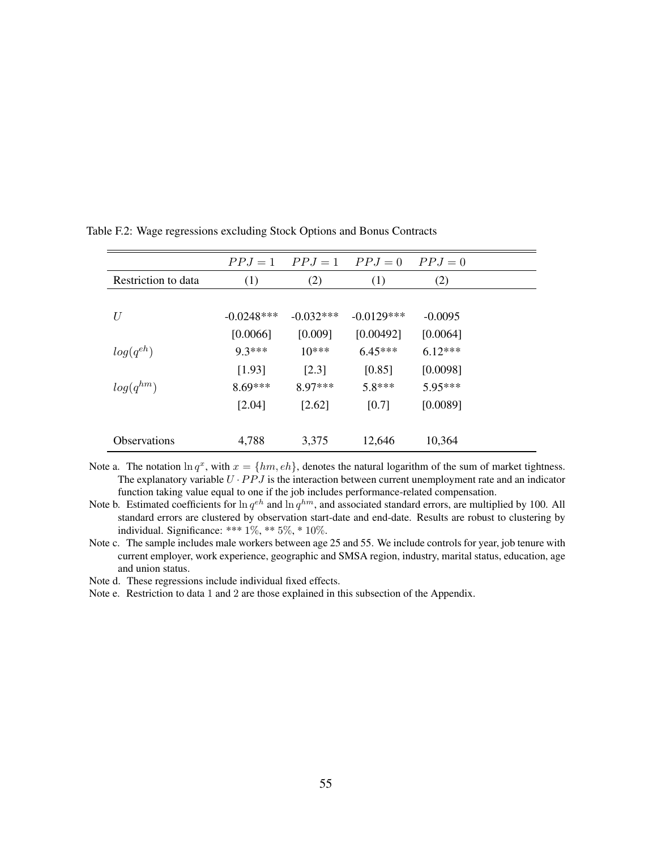|                     |              |             | $PPJ = 1$ $PPJ = 1$ $PPJ = 0$ | $PPJ=0$   |  |
|---------------------|--------------|-------------|-------------------------------|-----------|--|
| Restriction to data | (1)          | (2)         | (1)                           | (2)       |  |
|                     |              |             |                               |           |  |
| U                   | $-0.0248***$ | $-0.032***$ | $-0.0129***$                  | $-0.0095$ |  |
|                     | [0.0066]     | [0.009]     | [0.00492]                     | [0.0064]  |  |
| $log(q^{eh})$       | $9.3***$     | $10***$     | $6.45***$                     | $6.12***$ |  |
|                     | [1.93]       | [2.3]       | [0.85]                        | [0.0098]  |  |
| $log(q^{hm})$       | $8.69***$    | 8.97***     | $5.8***$                      | 5.95***   |  |
|                     | [2.04]       | $[2.62]$    | [0.7]                         | [0.0089]  |  |
|                     |              |             |                               |           |  |
| <b>Observations</b> | 4,788        | 3,375       | 12,646                        | 10,364    |  |

Table F.2: Wage regressions excluding Stock Options and Bonus Contracts

Note a. The notation  $\ln q^x$ , with  $x = \{hm, eh\}$ , denotes the natural logarithm of the sum of market tightness. The explanatory variable  $U \cdot PPJ$  is the interaction between current unemployment rate and an indicator function taking value equal to one if the job includes performance-related compensation.

Note b. Estimated coefficients for  $\ln q^{eh}$  and  $\ln q^{hm}$ , and associated standard errors, are multiplied by 100. All standard errors are clustered by observation start-date and end-date. Results are robust to clustering by individual. Significance: \*\*\* 1%, \*\* 5%, \* 10%.

Note c. The sample includes male workers between age 25 and 55. We include controls for year, job tenure with current employer, work experience, geographic and SMSA region, industry, marital status, education, age and union status.

Note d. These regressions include individual fixed effects.

Note e. Restriction to data 1 and 2 are those explained in this subsection of the Appendix.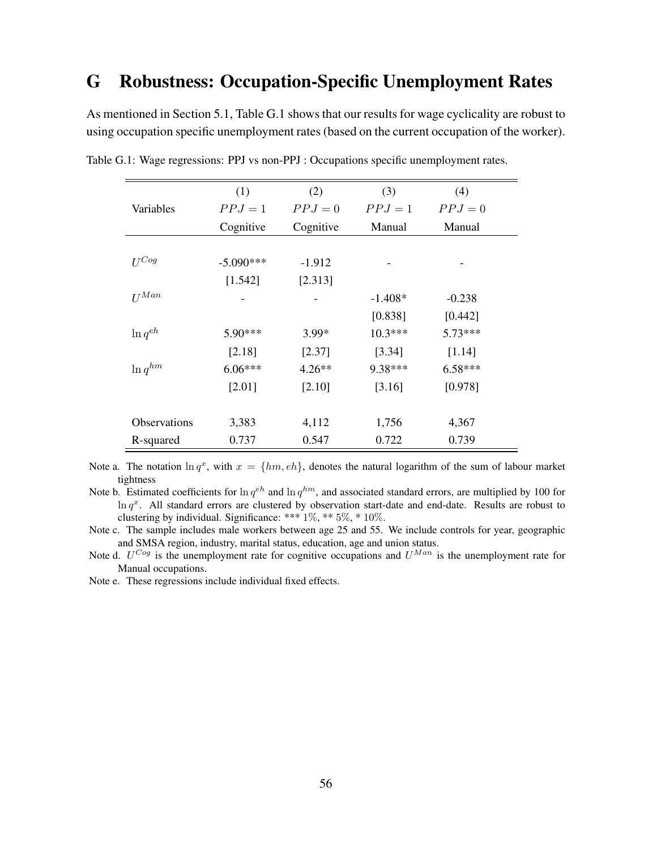# G Robustness: Occupation-Specific Unemployment Rates

As mentioned in Section 5.1, Table G.1 shows that our results for wage cyclicality are robust to using occupation specific unemployment rates (based on the current occupation of the worker).

|                     | (1)         | (2)       | (3)       | (4)       |
|---------------------|-------------|-----------|-----------|-----------|
| Variables           | $PPJ = 1$   | $PPJ=0$   | $PPJ=1$   | $PPJ=0$   |
|                     | Cognitive   | Cognitive | Manual    | Manual    |
|                     |             |           |           |           |
| $U^{Cog}$           | $-5.090***$ | $-1.912$  |           |           |
|                     | [1.542]     | [2.313]   |           |           |
| $II^{Man}$          |             |           | $-1.408*$ | $-0.238$  |
|                     |             |           | [0.838]   | [0.442]   |
| $\ln q^{eh}$        | $5.90***$   | $3.99*$   | $10.3***$ | $5.73***$ |
|                     | [2.18]      | [2.37]    | [3.34]    | [1.14]    |
| $\ln q^{hm}$        | $6.06***$   | $4.26**$  | 9.38***   | $6.58***$ |
|                     | $[2.01]$    | [2.10]    | [3.16]    | [0.978]   |
|                     |             |           |           |           |
| <b>Observations</b> | 3,383       | 4,112     | 1,756     | 4,367     |
| R-squared           | 0.737       | 0.547     | 0.722     | 0.739     |

Table G.1: Wage regressions: PPJ vs non-PPJ : Occupations specific unemployment rates.

Note a. The notation  $\ln q^x$ , with  $x = \{hm, eh\}$ , denotes the natural logarithm of the sum of labour market tightness

Note b. Estimated coefficients for  $\ln q^{eh}$  and  $\ln q^{hm}$ , and associated standard errors, are multiplied by 100 for  $\ln q^x$ . All standard errors are clustered by observation start-date and end-date. Results are robust to clustering by individual. Significance: \*\*\* 1%, \*\* 5%, \* 10%.

Note c. The sample includes male workers between age 25 and 55. We include controls for year, geographic and SMSA region, industry, marital status, education, age and union status.

Note d.  $U^{Cog}$  is the unemployment rate for cognitive occupations and  $U^{Man}$  is the unemployment rate for Manual occupations.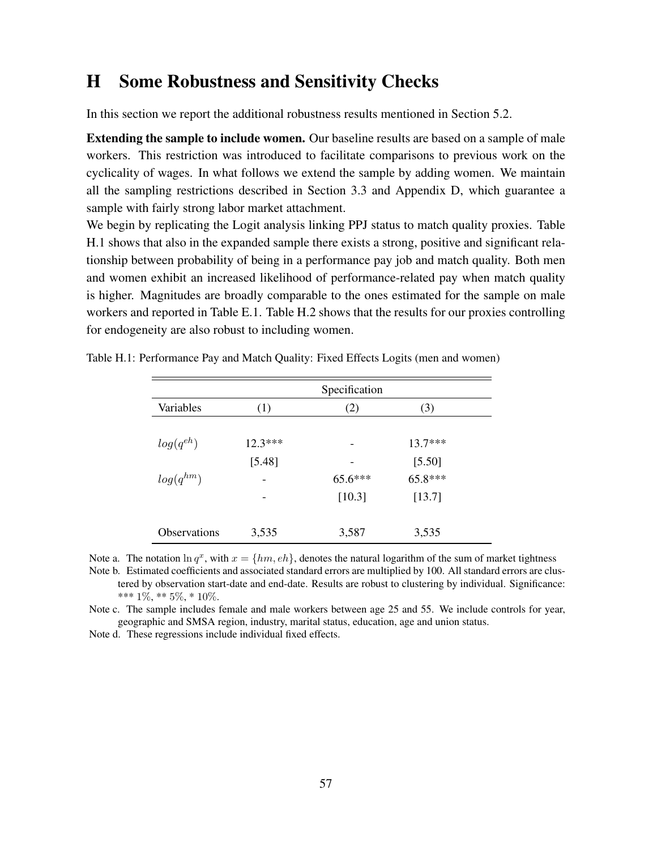## H Some Robustness and Sensitivity Checks

In this section we report the additional robustness results mentioned in Section 5.2.

Extending the sample to include women. Our baseline results are based on a sample of male workers. This restriction was introduced to facilitate comparisons to previous work on the cyclicality of wages. In what follows we extend the sample by adding women. We maintain all the sampling restrictions described in Section 3.3 and Appendix D, which guarantee a sample with fairly strong labor market attachment.

We begin by replicating the Logit analysis linking PPJ status to match quality proxies. Table H.1 shows that also in the expanded sample there exists a strong, positive and significant relationship between probability of being in a performance pay job and match quality. Both men and women exhibit an increased likelihood of performance-related pay when match quality is higher. Magnitudes are broadly comparable to the ones estimated for the sample on male workers and reported in Table E.1. Table H.2 shows that the results for our proxies controlling for endogeneity are also robust to including women.

|                     | Specification            |         |           |  |  |
|---------------------|--------------------------|---------|-----------|--|--|
| Variables           | (1)                      | (2)     | (3)       |  |  |
| $log(q^{eh})$       | $12.3***$                | -       | $13.7***$ |  |  |
|                     | [5.48]                   |         | [5.50]    |  |  |
| $log(q^{hm})$       |                          | 65.6*** | 65.8***   |  |  |
|                     | $\overline{\phantom{0}}$ | [10.3]  | [13.7]    |  |  |
| <b>Observations</b> | 3,535                    | 3,587   | 3,535     |  |  |

Table H.1: Performance Pay and Match Quality: Fixed Effects Logits (men and women)

Note a. The notation  $\ln q^x$ , with  $x = \{hm, eh\}$ , denotes the natural logarithm of the sum of market tightness Note b. Estimated coefficients and associated standard errors are multiplied by 100. All standard errors are clustered by observation start-date and end-date. Results are robust to clustering by individual. Significance: \*\*\* 1%, \*\* 5%, \* 10%.

Note c. The sample includes female and male workers between age 25 and 55. We include controls for year, geographic and SMSA region, industry, marital status, education, age and union status.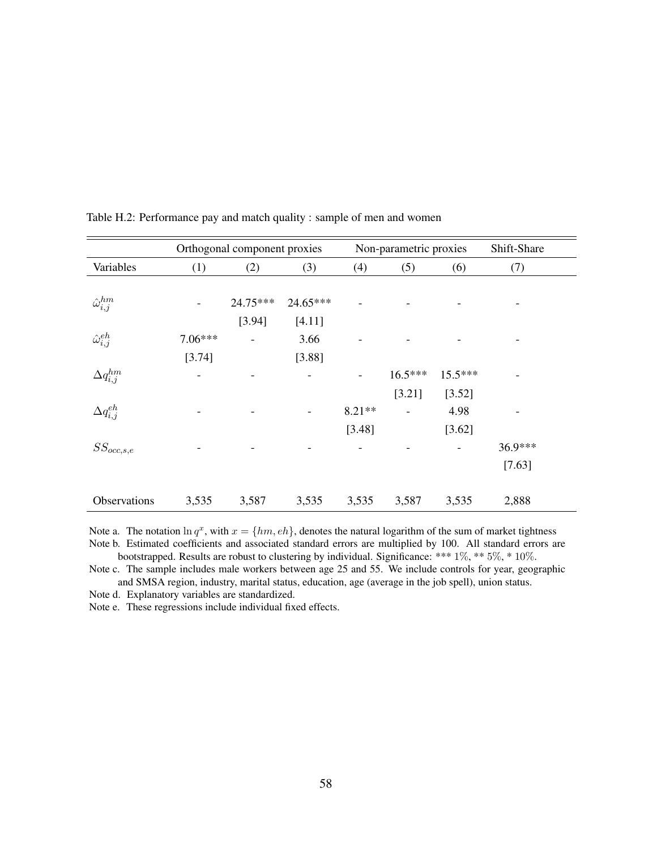|                           |           | Orthogonal component proxies |          |          | Non-parametric proxies |           | Shift-Share |  |
|---------------------------|-----------|------------------------------|----------|----------|------------------------|-----------|-------------|--|
| Variables                 | (1)       | (2)                          | (3)      | (4)      | (5)                    | (6)       | (7)         |  |
|                           |           |                              |          |          |                        |           |             |  |
| $\hat{\omega}^{hm}_{i,j}$ |           | 24.75***                     | 24.65*** |          |                        |           |             |  |
|                           |           | [3.94]                       | [4.11]   |          |                        |           |             |  |
| $\hat{\omega}_{i,j}^{eh}$ | $7.06***$ |                              | 3.66     |          |                        |           |             |  |
|                           | [3.74]    |                              | [3.88]   |          |                        |           |             |  |
| $\Delta q_{i,j}^{hm}$     |           |                              |          |          | $16.5***$              | $15.5***$ |             |  |
|                           |           |                              |          |          | [3.21]                 | [3.52]    |             |  |
| $\Delta q_{i,j}^{eh}$     |           |                              |          | $8.21**$ |                        | 4.98      |             |  |
|                           |           |                              |          | [3.48]   |                        | [3.62]    |             |  |
| $SS_{occ, s, e}$          |           |                              |          |          |                        |           | 36.9***     |  |
|                           |           |                              |          |          |                        |           | [7.63]      |  |
|                           |           |                              |          |          |                        |           |             |  |
| Observations              | 3,535     | 3,587                        | 3,535    | 3,535    | 3,587                  | 3,535     | 2,888       |  |

Table H.2: Performance pay and match quality : sample of men and women

Note a. The notation  $\ln q^x$ , with  $x = \{hm, eh\}$ , denotes the natural logarithm of the sum of market tightness Note b. Estimated coefficients and associated standard errors are multiplied by 100. All standard errors are bootstrapped. Results are robust to clustering by individual. Significance: \*\*\* 1%, \*\* 5%, \* 10%.

Note c. The sample includes male workers between age 25 and 55. We include controls for year, geographic and SMSA region, industry, marital status, education, age (average in the job spell), union status.

Note d. Explanatory variables are standardized.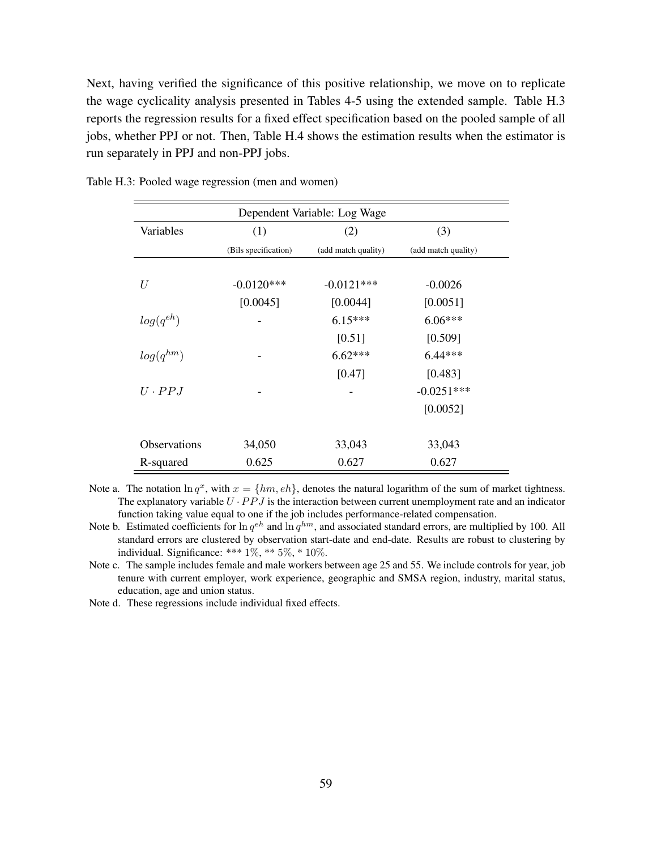Next, having verified the significance of this positive relationship, we move on to replicate the wage cyclicality analysis presented in Tables 4-5 using the extended sample. Table H.3 reports the regression results for a fixed effect specification based on the pooled sample of all jobs, whether PPJ or not. Then, Table H.4 shows the estimation results when the estimator is run separately in PPJ and non-PPJ jobs.

| Dependent Variable: Log Wage |                      |                     |                     |  |  |  |
|------------------------------|----------------------|---------------------|---------------------|--|--|--|
| Variables                    | (1)                  | (2)                 | (3)                 |  |  |  |
|                              | (Bils specification) | (add match quality) | (add match quality) |  |  |  |
|                              |                      |                     |                     |  |  |  |
| U                            | $-0.0120***$         | $-0.0121***$        | $-0.0026$           |  |  |  |
|                              | [0.0045]             | [0.0044]            | [0.0051]            |  |  |  |
| $log(q^{eh})$                |                      | $6.15***$           | $6.06***$           |  |  |  |
|                              |                      | [0.51]              | [0.509]             |  |  |  |
| $log(q^{hm})$                |                      | $6.62***$           | $6.44***$           |  |  |  |
|                              |                      | [0.47]              | [0.483]             |  |  |  |
| $U \cdot PPJ$                |                      |                     | $-0.0251***$        |  |  |  |
|                              |                      |                     | [0.0052]            |  |  |  |
| <b>Observations</b>          | 34,050               | 33,043              | 33,043              |  |  |  |
| R-squared                    | 0.625                | 0.627               | 0.627               |  |  |  |

Table H.3: Pooled wage regression (men and women)

Note a. The notation  $\ln q^x$ , with  $x = \{hm, eh\}$ , denotes the natural logarithm of the sum of market tightness. The explanatory variable  $U \cdot PPJ$  is the interaction between current unemployment rate and an indicator function taking value equal to one if the job includes performance-related compensation.

Note b. Estimated coefficients for  $\ln q^{eh}$  and  $\ln q^{hm}$ , and associated standard errors, are multiplied by 100. All standard errors are clustered by observation start-date and end-date. Results are robust to clustering by individual. Significance: \*\*\*  $1\%$ , \*\*  $5\%$ , \*  $10\%$ .

Note c. The sample includes female and male workers between age 25 and 55. We include controls for year, job tenure with current employer, work experience, geographic and SMSA region, industry, marital status, education, age and union status.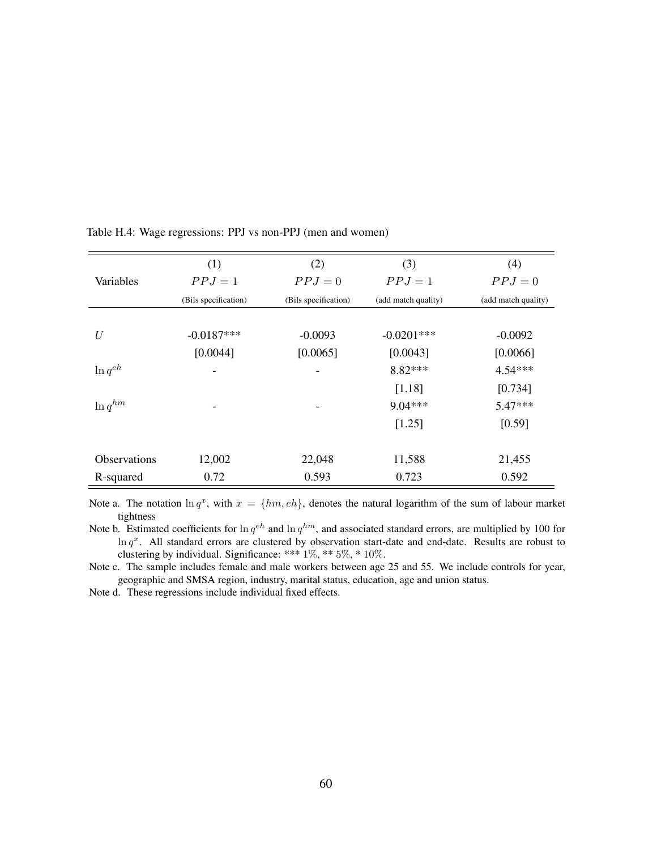|                     | (1)                  | (2)                  | (3)                 | (4)                 |
|---------------------|----------------------|----------------------|---------------------|---------------------|
| Variables           | $PPJ=1$              | $PPJ=0$              | $PPJ=1$             | $PPJ=0$             |
|                     | (Bils specification) | (Bils specification) | (add match quality) | (add match quality) |
|                     |                      |                      |                     |                     |
| U                   | $-0.0187***$         | $-0.0093$            | $-0.0201***$        | $-0.0092$           |
|                     | [0.0044]             | [0.0065]             | [0.0043]            | [0.0066]            |
| $\ln q^{eh}$        |                      |                      | $8.82***$           | $4.54***$           |
|                     |                      |                      | [1.18]              | [0.734]             |
| $\ln q^{hm}$        |                      | -                    | $9.04***$           | $5.47***$           |
|                     |                      |                      | [1.25]              | [0.59]              |
|                     |                      |                      |                     |                     |
| <b>Observations</b> | 12,002               | 22,048               | 11,588              | 21,455              |
| R-squared           | 0.72                 | 0.593                | 0.723               | 0.592               |

Table H.4: Wage regressions: PPJ vs non-PPJ (men and women)

Note a. The notation  $\ln q^x$ , with  $x = \{hm, eh\}$ , denotes the natural logarithm of the sum of labour market tightness

Note b. Estimated coefficients for  $\ln q^{eh}$  and  $\ln q^{hm}$ , and associated standard errors, are multiplied by 100 for  $\ln q^x$ . All standard errors are clustered by observation start-date and end-date. Results are robust to clustering by individual. Significance: \*\*\* 1%, \*\* 5%, \* 10%.

Note c. The sample includes female and male workers between age 25 and 55. We include controls for year, geographic and SMSA region, industry, marital status, education, age and union status.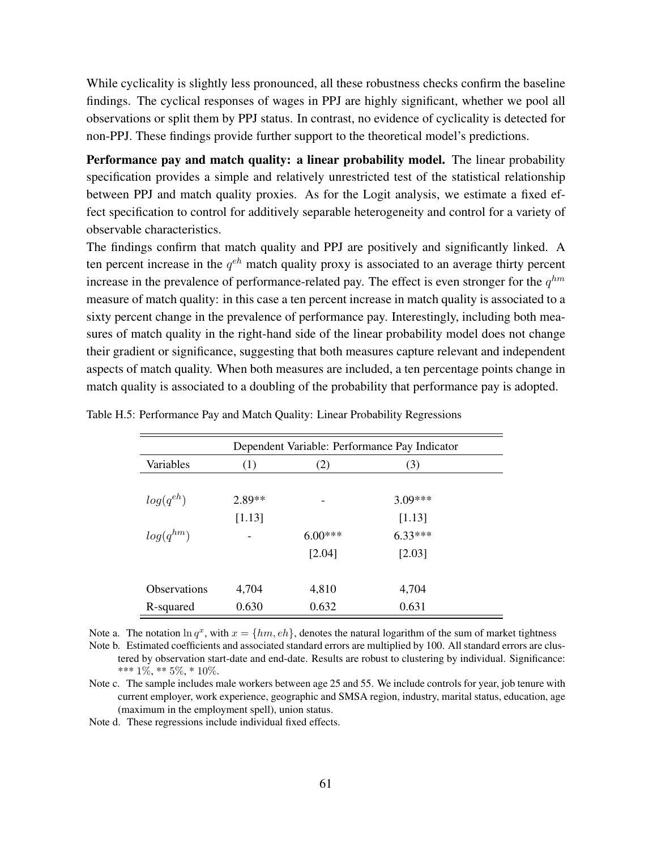While cyclicality is slightly less pronounced, all these robustness checks confirm the baseline findings. The cyclical responses of wages in PPJ are highly significant, whether we pool all observations or split them by PPJ status. In contrast, no evidence of cyclicality is detected for non-PPJ. These findings provide further support to the theoretical model's predictions.

Performance pay and match quality: a linear probability model. The linear probability specification provides a simple and relatively unrestricted test of the statistical relationship between PPJ and match quality proxies. As for the Logit analysis, we estimate a fixed effect specification to control for additively separable heterogeneity and control for a variety of observable characteristics.

The findings confirm that match quality and PPJ are positively and significantly linked. A ten percent increase in the  $q^{eh}$  match quality proxy is associated to an average thirty percent increase in the prevalence of performance-related pay. The effect is even stronger for the  $q^{hm}$ measure of match quality: in this case a ten percent increase in match quality is associated to a sixty percent change in the prevalence of performance pay. Interestingly, including both measures of match quality in the right-hand side of the linear probability model does not change their gradient or significance, suggesting that both measures capture relevant and independent aspects of match quality. When both measures are included, a ten percentage points change in match quality is associated to a doubling of the probability that performance pay is adopted.

| Dependent Variable: Performance Pay Indicator |          |           |           |  |  |
|-----------------------------------------------|----------|-----------|-----------|--|--|
| Variables                                     | (1)      | (2)       | (3)       |  |  |
|                                               |          |           |           |  |  |
| $log(q^{eh})$                                 | $2.89**$ |           | $3.09***$ |  |  |
|                                               | [1.13]   |           | [1.13]    |  |  |
| $log(q^{hm})$                                 |          | $6.00***$ | $6.33***$ |  |  |
|                                               |          | [2.04]    | [2.03]    |  |  |
| Observations                                  | 4.704    | 4.810     | 4.704     |  |  |
|                                               |          |           |           |  |  |
| R-squared                                     | 0.630    | 0.632     | 0.631     |  |  |

| Table H.5: Performance Pay and Match Quality: Linear Probability Regressions |  |  |
|------------------------------------------------------------------------------|--|--|
|                                                                              |  |  |

Note a. The notation  $\ln q^x$ , with  $x = \{hm, eh\}$ , denotes the natural logarithm of the sum of market tightness Note b. Estimated coefficients and associated standard errors are multiplied by 100. All standard errors are clustered by observation start-date and end-date. Results are robust to clustering by individual. Significance: \*\*\*  $1\%$ , \*\*  $5\%$ , \*  $10\%$ .

Note c. The sample includes male workers between age 25 and 55. We include controls for year, job tenure with current employer, work experience, geographic and SMSA region, industry, marital status, education, age (maximum in the employment spell), union status.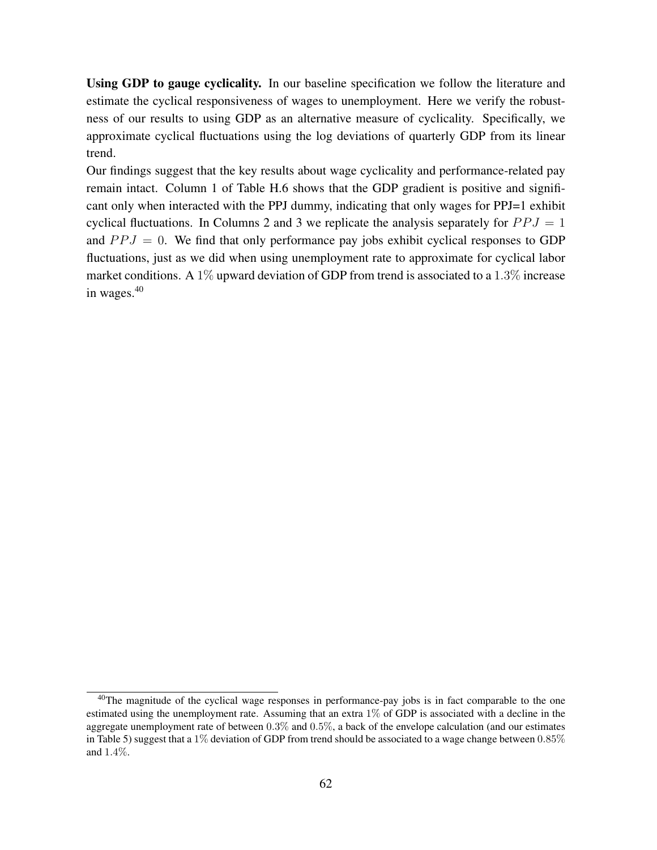Using GDP to gauge cyclicality. In our baseline specification we follow the literature and estimate the cyclical responsiveness of wages to unemployment. Here we verify the robustness of our results to using GDP as an alternative measure of cyclicality. Specifically, we approximate cyclical fluctuations using the log deviations of quarterly GDP from its linear trend.

Our findings suggest that the key results about wage cyclicality and performance-related pay remain intact. Column 1 of Table H.6 shows that the GDP gradient is positive and significant only when interacted with the PPJ dummy, indicating that only wages for PPJ=1 exhibit cyclical fluctuations. In Columns 2 and 3 we replicate the analysis separately for  $PPJ = 1$ and  $PPJ = 0$ . We find that only performance pay jobs exhibit cyclical responses to GDP fluctuations, just as we did when using unemployment rate to approximate for cyclical labor market conditions. A 1% upward deviation of GDP from trend is associated to a 1.3% increase in wages.<sup>40</sup>

<sup>&</sup>lt;sup>40</sup>The magnitude of the cyclical wage responses in performance-pay jobs is in fact comparable to the one estimated using the unemployment rate. Assuming that an extra 1% of GDP is associated with a decline in the aggregate unemployment rate of between 0.3% and 0.5%, a back of the envelope calculation (and our estimates in Table 5) suggest that a 1% deviation of GDP from trend should be associated to a wage change between 0.85% and 1.4%.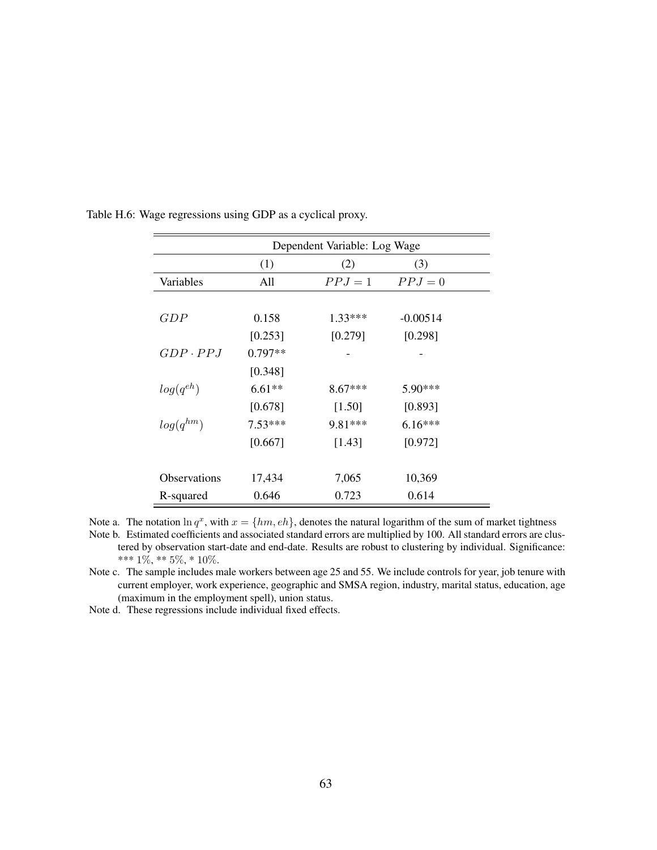|                 | Dependent Variable: Log Wage |           |            |  |  |
|-----------------|------------------------------|-----------|------------|--|--|
|                 | (1)                          | (2)       | (3)        |  |  |
| Variables       | All                          | $PPJ=1$   | $PPJ=0$    |  |  |
|                 |                              |           |            |  |  |
| GDP             | 0.158                        | $1.33***$ | $-0.00514$ |  |  |
|                 | [0.253]                      | [0.279]   | [0.298]    |  |  |
| $GDP \cdot PPJ$ | $0.797**$                    |           |            |  |  |
|                 | [0.348]                      |           |            |  |  |
| $log(q^{eh})$   | $6.61**$                     | $8.67***$ | $5.90***$  |  |  |
|                 | [0.678]                      | $[1.50]$  | [0.893]    |  |  |
| $log(q^{hm})$   | $7.53***$                    | 9.81***   | $6.16***$  |  |  |
|                 | [0.667]                      | [1.43]    | [0.972]    |  |  |
|                 |                              |           |            |  |  |
| Observations    | 17,434                       | 7,065     | 10,369     |  |  |
| R-squared       | 0.646                        | 0.723     | 0.614      |  |  |

Table H.6: Wage regressions using GDP as a cyclical proxy.

Note a. The notation  $\ln q^x$ , with  $x = \{hm, eh\}$ , denotes the natural logarithm of the sum of market tightness Note b. Estimated coefficients and associated standard errors are multiplied by 100. All standard errors are clustered by observation start-date and end-date. Results are robust to clustering by individual. Significance: \*\*\*  $1\%,$  \*\*  $5\%,$  \*  $10\%.$ 

Note c. The sample includes male workers between age 25 and 55. We include controls for year, job tenure with current employer, work experience, geographic and SMSA region, industry, marital status, education, age (maximum in the employment spell), union status.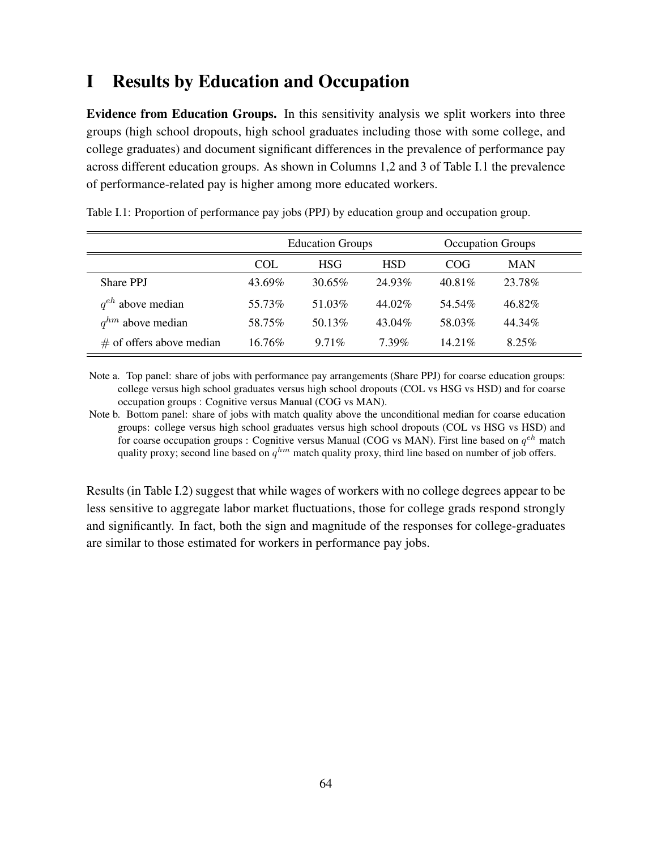# I Results by Education and Occupation

Evidence from Education Groups. In this sensitivity analysis we split workers into three groups (high school dropouts, high school graduates including those with some college, and college graduates) and document significant differences in the prevalence of performance pay across different education groups. As shown in Columns 1,2 and 3 of Table I.1 the prevalence of performance-related pay is higher among more educated workers.

|                            | <b>Education Groups</b> |            |            | <b>Occupation Groups</b> |            |  |
|----------------------------|-------------------------|------------|------------|--------------------------|------------|--|
|                            | COL                     | <b>HSG</b> | <b>HSD</b> | COG                      | <b>MAN</b> |  |
| <b>Share PPJ</b>           | 43.69%                  | 30.65%     | 24.93%     | 40.81\%                  | 23.78%     |  |
| $q^{eh}$ above median      | 55.73%                  | 51.03%     | 44.02%     | 54.54%                   | 46.82%     |  |
| $q^{hm}$ above median      | 58.75%                  | 50.13\%    | 43.04%     | 58.03%                   | 44.34%     |  |
| $#$ of offers above median | 16.76%                  | $9.71\%$   | 7.39%      | $14.21\%$                | $8.25\%$   |  |

Table I.1: Proportion of performance pay jobs (PPJ) by education group and occupation group.

Note a. Top panel: share of jobs with performance pay arrangements (Share PPJ) for coarse education groups: college versus high school graduates versus high school dropouts (COL vs HSG vs HSD) and for coarse occupation groups : Cognitive versus Manual (COG vs MAN).

Note b. Bottom panel: share of jobs with match quality above the unconditional median for coarse education groups: college versus high school graduates versus high school dropouts (COL vs HSG vs HSD) and for coarse occupation groups : Cognitive versus Manual (COG vs MAN). First line based on  $q^{eh}$  match quality proxy; second line based on  $q^{hm}$  match quality proxy, third line based on number of job offers.

Results (in Table I.2) suggest that while wages of workers with no college degrees appear to be less sensitive to aggregate labor market fluctuations, those for college grads respond strongly and significantly. In fact, both the sign and magnitude of the responses for college-graduates are similar to those estimated for workers in performance pay jobs.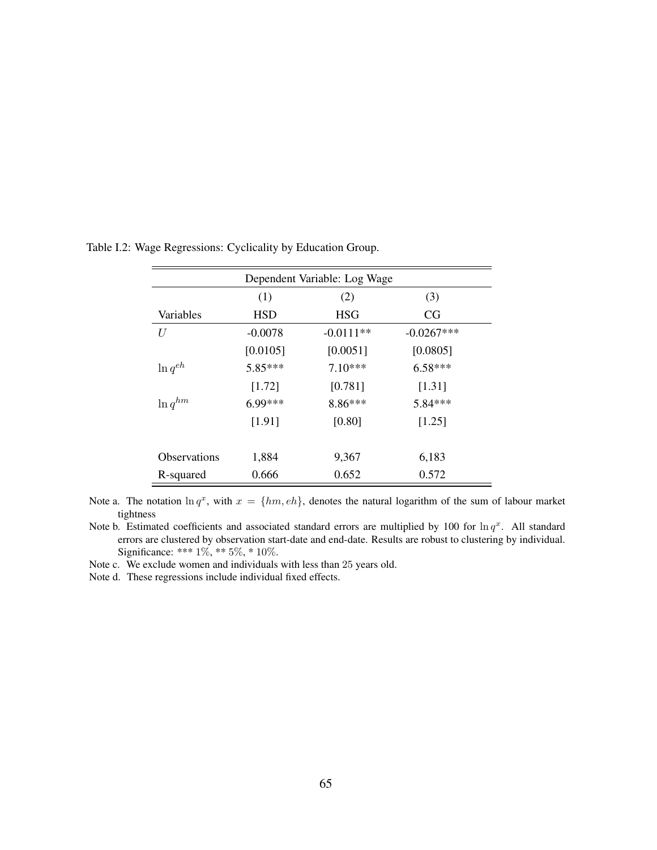| Dependent Variable: Log Wage |            |             |              |  |  |  |  |  |
|------------------------------|------------|-------------|--------------|--|--|--|--|--|
| (1)<br>(2)<br>(3)            |            |             |              |  |  |  |  |  |
| Variables                    | <b>HSD</b> | <b>HSG</b>  | CG           |  |  |  |  |  |
| U                            | $-0.0078$  | $-0.0111**$ | $-0.0267***$ |  |  |  |  |  |
|                              | [0.0105]   | [0.0051]    | [0.0805]     |  |  |  |  |  |
| $\ln q^{eh}$                 | $5.85***$  | $7.10***$   | $6.58***$    |  |  |  |  |  |
|                              | [1.72]     | [0.781]     | [1.31]       |  |  |  |  |  |
| $\ln q^{hm}$                 | $6.99***$  | $8.86***$   | $5.84***$    |  |  |  |  |  |
|                              | [1.91]     | [0.80]      | [1.25]       |  |  |  |  |  |
|                              |            |             |              |  |  |  |  |  |
| <b>Observations</b>          | 1,884      | 9,367       | 6,183        |  |  |  |  |  |
| R-squared                    | 0.666      | 0.652       | 0.572        |  |  |  |  |  |

Table I.2: Wage Regressions: Cyclicality by Education Group.

Note a. The notation  $\ln q^x$ , with  $x = \{hm, eh\}$ , denotes the natural logarithm of the sum of labour market tightness

Note b. Estimated coefficients and associated standard errors are multiplied by 100 for  $\ln q^x$ . All standard errors are clustered by observation start-date and end-date. Results are robust to clustering by individual. Significance: \*\*\*  $1\%$ , \*\*  $5\%$ , \*  $10\%$ .

Note c. We exclude women and individuals with less than 25 years old.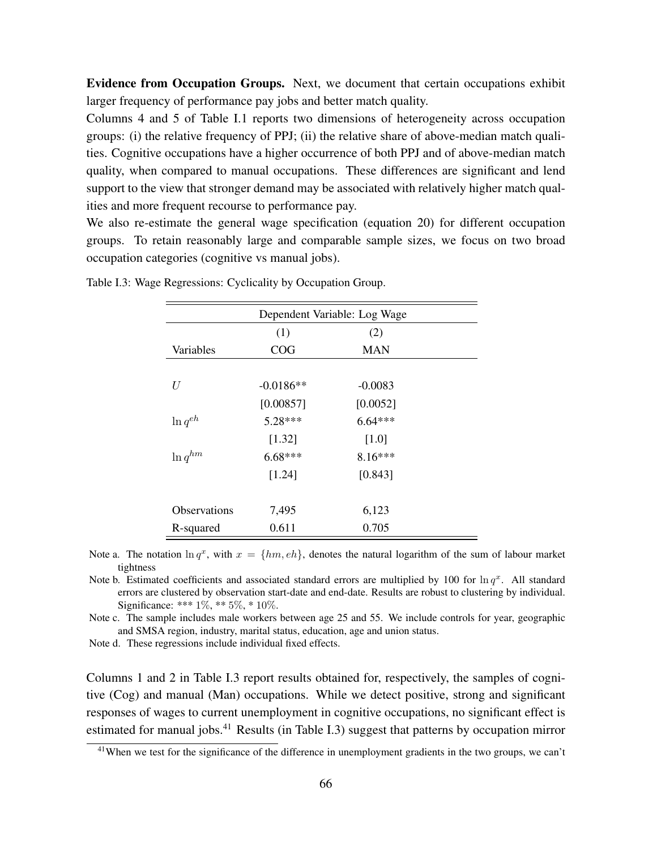Evidence from Occupation Groups. Next, we document that certain occupations exhibit larger frequency of performance pay jobs and better match quality.

Columns 4 and 5 of Table I.1 reports two dimensions of heterogeneity across occupation groups: (i) the relative frequency of PPJ; (ii) the relative share of above-median match qualities. Cognitive occupations have a higher occurrence of both PPJ and of above-median match quality, when compared to manual occupations. These differences are significant and lend support to the view that stronger demand may be associated with relatively higher match qualities and more frequent recourse to performance pay.

We also re-estimate the general wage specification (equation 20) for different occupation groups. To retain reasonably large and comparable sample sizes, we focus on two broad occupation categories (cognitive vs manual jobs).

| Dependent Variable: Log Wage |             |            |  |  |  |
|------------------------------|-------------|------------|--|--|--|
|                              | (1)         | (2)        |  |  |  |
| Variables                    | COG         | <b>MAN</b> |  |  |  |
|                              |             |            |  |  |  |
| U                            | $-0.0186**$ | $-0.0083$  |  |  |  |
|                              | [0.00857]   | [0.0052]   |  |  |  |
| $\ln q^{eh}$                 | $5.28***$   | $6.64***$  |  |  |  |
|                              | [1.32]      | [1.0]      |  |  |  |
| $\ln q^{hm}$                 | $6.68***$   | $8.16***$  |  |  |  |
|                              | [1.24]      | [0.843]    |  |  |  |
|                              |             |            |  |  |  |
| <b>Observations</b>          | 7,495       | 6,123      |  |  |  |
| R-squared                    | 0.611       | 0.705      |  |  |  |

Table I.3: Wage Regressions: Cyclicality by Occupation Group.

Note a. The notation  $\ln q^x$ , with  $x = \{hm, eh\}$ , denotes the natural logarithm of the sum of labour market tightness

Note b. Estimated coefficients and associated standard errors are multiplied by 100 for  $\ln q^x$ . All standard errors are clustered by observation start-date and end-date. Results are robust to clustering by individual. Significance: \*\*\* 1%, \*\* 5%, \* 10%.

Note c. The sample includes male workers between age 25 and 55. We include controls for year, geographic and SMSA region, industry, marital status, education, age and union status.

Note d. These regressions include individual fixed effects.

Columns 1 and 2 in Table I.3 report results obtained for, respectively, the samples of cognitive (Cog) and manual (Man) occupations. While we detect positive, strong and significant responses of wages to current unemployment in cognitive occupations, no significant effect is estimated for manual jobs.<sup>41</sup> Results (in Table I.3) suggest that patterns by occupation mirror

<sup>&</sup>lt;sup>41</sup>When we test for the significance of the difference in unemployment gradients in the two groups, we can't